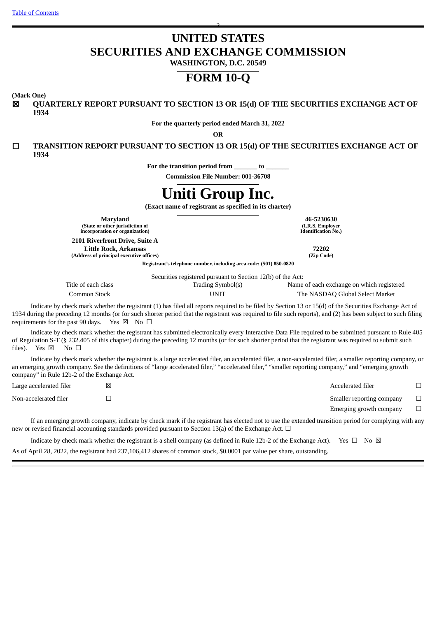# **UNITED STATES SECURITIES AND EXCHANGE COMMISSION**

2

**WASHINGTON, D.C. 20549**

## **FORM 10-Q**

**(Mark One)**

☒ **QUARTERLY REPORT PURSUANT TO SECTION 13 OR 15(d) OF THE SECURITIES EXCHANGE ACT OF 1934**

**For the quarterly period ended March 31, 2022**

**OR**

☐ **TRANSITION REPORT PURSUANT TO SECTION 13 OR 15(d) OF THE SECURITIES EXCHANGE ACT OF 1934**

**For the transition period from \_\_\_\_\_\_\_ to \_\_\_\_\_\_\_**

**Commission File Number: 001-36708**

# **Uniti Group Inc.**

**(Exact name of registrant as specified in its charter)**

**Maryland 46-5230630 (State or other jurisdiction of incorporation or organization)**

**2101 Riverfront Drive, Suite A Little Rock, Arkansas 72202**

**(Address of principal executive offices) (Zip Code)**

**(I.R.S. Employer Identification No.)**

**Registrant's telephone number, including area code: (501) 850-0820**

Securities registered pursuant to Section 12(b) of the Act:

| Title of each class | $\alpha$ occurring regionered purposed to bechon $\mathbf{r} = \mathbf{r} \mathbf{r}$ or the rich<br>Trading Symbol(s) | Name of each exchange on which registered |
|---------------------|------------------------------------------------------------------------------------------------------------------------|-------------------------------------------|
| Common Stock        | UNIT                                                                                                                   | The NASDAQ Global Select Market           |

Indicate by check mark whether the registrant (1) has filed all reports required to be filed by Section 13 or 15(d) of the Securities Exchange Act of 1934 during the preceding 12 months (or for such shorter period that the registrant was required to file such reports), and (2) has been subject to such filing requirements for the past 90 days. Yes  $\boxtimes$  No  $\Box$ 

Indicate by check mark whether the registrant has submitted electronically every Interactive Data File required to be submitted pursuant to Rule 405 of Regulation S-T (§ 232.405 of this chapter) during the preceding 12 months (or for such shorter period that the registrant was required to submit such files). Yes  $\boxtimes$  No  $\square$ 

Indicate by check mark whether the registrant is a large accelerated filer, an accelerated filer, a non-accelerated filer, a smaller reporting company, or an emerging growth company. See the definitions of "large accelerated filer," "accelerated filer," "smaller reporting company," and "emerging growth company" in Rule 12b-2 of the Exchange Act.

| Large accelerated filer | × | Accelerated filer         |  |
|-------------------------|---|---------------------------|--|
| Non-accelerated filer   |   | Smaller reporting company |  |
|                         |   | Emerging growth company   |  |
|                         |   |                           |  |

If an emerging growth company, indicate by check mark if the registrant has elected not to use the extended transition period for complying with any new or revised financial accounting standards provided pursuant to Section 13(a) of the Exchange Act.  $\Box$ 

Indicate by check mark whether the registrant is a shell company (as defined in Rule 12b-2 of the Exchange Act). Yes  $\Box$  No  $\boxtimes$ As of April 28, 2022, the registrant had 237,106,412 shares of common stock, \$0.0001 par value per share, outstanding.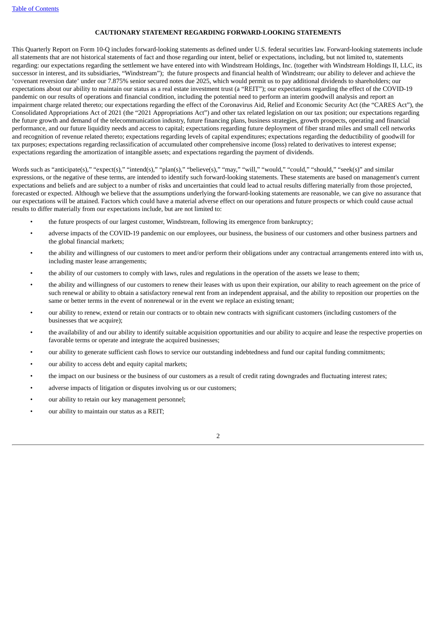#### **CAUTIONARY STATEMENT REGARDING FORWARD-LOOKING STATEMENTS**

This Quarterly Report on Form 10-Q includes forward-looking statements as defined under U.S. federal securities law. Forward-looking statements include all statements that are not historical statements of fact and those regarding our intent, belief or expectations, including, but not limited to, statements regarding: our expectations regarding the settlement we have entered into with Windstream Holdings, Inc. (together with Windstream Holdings II, LLC, its successor in interest, and its subsidiaries, "Windstream"); the future prospects and financial health of Windstream; our ability to delever and achieve the 'covenant reversion date' under our 7.875% senior secured notes due 2025, which would permit us to pay additional dividends to shareholders; our expectations about our ability to maintain our status as a real estate investment trust (a "REIT"); our expectations regarding the effect of the COVID-19 pandemic on our results of operations and financial condition, including the potential need to perform an interim goodwill analysis and report an impairment charge related thereto; our expectations regarding the effect of the Coronavirus Aid, Relief and Economic Security Act (the "CARES Act"), the Consolidated Appropriations Act of 2021 (the "2021 Appropriations Act") and other tax related legislation on our tax position; our expectations regarding the future growth and demand of the telecommunication industry, future financing plans, business strategies, growth prospects, operating and financial performance, and our future liquidity needs and access to capital; expectations regarding future deployment of fiber strand miles and small cell networks and recognition of revenue related thereto; expectations regarding levels of capital expenditures; expectations regarding the deductibility of goodwill for tax purposes; expectations regarding reclassification of accumulated other comprehensive income (loss) related to derivatives to interest expense; expectations regarding the amortization of intangible assets; and expectations regarding the payment of dividends.

Words such as "anticipate(s)," "expect(s)," "intend(s)," "plan(s)," "believe(s)," "may," "will," "would," "could," "should," "seek(s)" and similar expressions, or the negative of these terms, are intended to identify such forward-looking statements. These statements are based on management's current expectations and beliefs and are subject to a number of risks and uncertainties that could lead to actual results differing materially from those projected, forecasted or expected. Although we believe that the assumptions underlying the forward-looking statements are reasonable, we can give no assurance that our expectations will be attained. Factors which could have a material adverse effect on our operations and future prospects or which could cause actual results to differ materially from our expectations include, but are not limited to:

- the future prospects of our largest customer, Windstream, following its emergence from bankruptcy;
- adverse impacts of the COVID-19 pandemic on our employees, our business, the business of our customers and other business partners and the global financial markets;
- the ability and willingness of our customers to meet and/or perform their obligations under any contractual arrangements entered into with us, including master lease arrangements;
- the ability of our customers to comply with laws, rules and regulations in the operation of the assets we lease to them;
- the ability and willingness of our customers to renew their leases with us upon their expiration, our ability to reach agreement on the price of such renewal or ability to obtain a satisfactory renewal rent from an independent appraisal, and the ability to reposition our properties on the same or better terms in the event of nonrenewal or in the event we replace an existing tenant;
- our ability to renew, extend or retain our contracts or to obtain new contracts with significant customers (including customers of the businesses that we acquire);
- the availability of and our ability to identify suitable acquisition opportunities and our ability to acquire and lease the respective properties on favorable terms or operate and integrate the acquired businesses;
- our ability to generate sufficient cash flows to service our outstanding indebtedness and fund our capital funding commitments;
- our ability to access debt and equity capital markets;
- the impact on our business or the business of our customers as a result of credit rating downgrades and fluctuating interest rates;
- adverse impacts of litigation or disputes involving us or our customers;
- our ability to retain our key management personnel;
- our ability to maintain our status as a REIT;

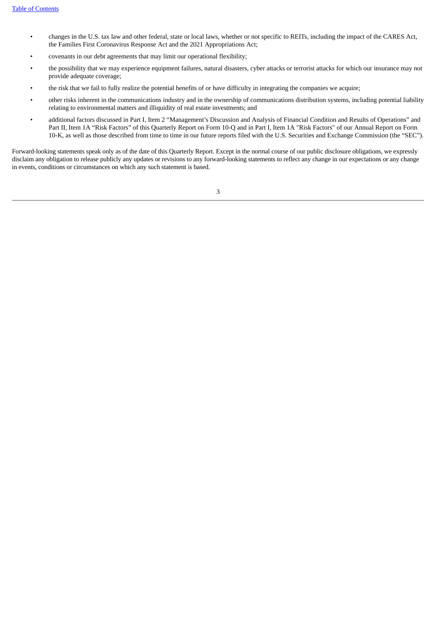- changes in the U.S. tax law and other federal, state or local laws, whether or not specific to REITs, including the impact of the CARES Act, the Families First Coronavirus Response Act and the 2021 Appropriations Act;
- covenants in our debt agreements that may limit our operational flexibility;
- the possibility that we may experience equipment failures, natural disasters, cyber attacks or terrorist attacks for which our insurance may not provide adequate coverage;
- the risk that we fail to fully realize the potential benefits of or have difficulty in integrating the companies we acquire;
- other risks inherent in the communications industry and in the ownership of communications distribution systems, including potential liability relating to environmental matters and illiquidity of real estate investments; and
- additional factors discussed in Part I, Item 2 "Management's Discussion and Analysis of Financial Condition and Results of Operations" and Part II, Item 1A "Risk Factors" of this Quarterly Report on Form 10-Q and in Part I, Item 1A "Risk Factors" of our Annual Report on Form 10-K, as well as those described from time to time in our future reports filed with the U.S. Securities and Exchange Commission (the "SEC").

Forward-looking statements speak only as of the date of this Quarterly Report. Except in the normal course of our public disclosure obligations, we expressly disclaim any obligation to release publicly any updates or revisions to any forward-looking statements to reflect any change in our expectations or any change in events, conditions or circumstances on which any such statement is based.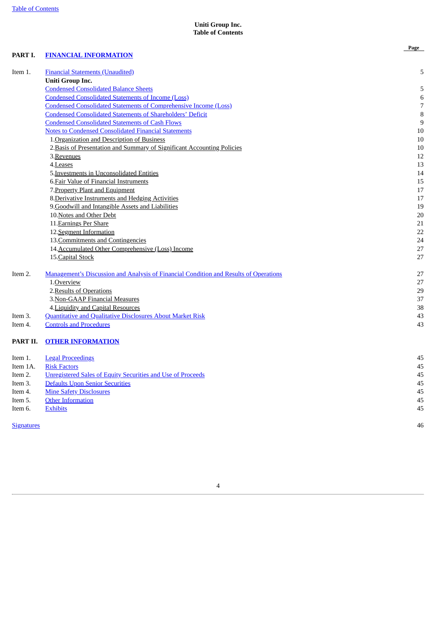#### **Uniti Group Inc. Table of Contents**

**Page**

#### <span id="page-3-0"></span>**PART I. FINANCIAL [INFORMATION](#page-4-0)**

| Item 1.           | <b>Financial Statements (Unaudited)</b>                                               | 5              |
|-------------------|---------------------------------------------------------------------------------------|----------------|
|                   | Uniti Group Inc.                                                                      |                |
|                   | <b>Condensed Consolidated Balance Sheets</b>                                          | 5              |
|                   | <b>Condensed Consolidated Statements of Income (Loss)</b>                             | $\,6$          |
|                   | <b>Condensed Consolidated Statements of Comprehensive Income (Loss)</b>               | $\overline{7}$ |
|                   | <b>Condensed Consolidated Statements of Shareholders' Deficit</b>                     | 8              |
|                   | <b>Condensed Consolidated Statements of Cash Flows</b>                                | 9              |
|                   | <b>Notes to Condensed Consolidated Financial Statements</b>                           | 10             |
|                   | 1. Organization and Description of Business                                           | $10\,$         |
|                   | 2. Basis of Presentation and Summary of Significant Accounting Policies               | 10             |
|                   | 3. Revenues                                                                           | 12             |
|                   | 4.Leases                                                                              | 13             |
|                   | 5. Investments in Unconsolidated Entities                                             | 14             |
|                   | 6. Fair Value of Financial Instruments                                                | 15             |
|                   | 7. Property Plant and Equipment                                                       | 17             |
|                   | 8. Derivative Instruments and Hedging Activities                                      | 17             |
|                   | 9. Goodwill and Intangible Assets and Liabilities                                     | 19             |
|                   | 10. Notes and Other Debt                                                              | 20             |
|                   | 11. Earnings Per Share                                                                | 21             |
|                   | 12. Segment Information                                                               | 22             |
|                   | 13. Commitments and Contingencies                                                     | 24             |
|                   | 14. Accumulated Other Comprehensive (Loss) Income                                     | 27             |
|                   | 15. Capital Stock                                                                     | 27             |
| Item 2.           | Management's Discussion and Analysis of Financial Condition and Results of Operations | 27             |
|                   | 1.Overview                                                                            | 27             |
|                   | 2. Results of Operations                                                              | 29             |
|                   | 3. Non-GAAP Financial Measures                                                        | 37             |
|                   | 4. Liquidity and Capital Resources                                                    | 38             |
| Item 3.           | <b>Quantitative and Qualitative Disclosures About Market Risk</b>                     | 43             |
| Item 4.           | <b>Controls and Procedures</b>                                                        | 43             |
| PART II.          | <b>OTHER INFORMATION</b>                                                              |                |
| Item 1.           | <b>Legal Proceedings</b>                                                              | 45             |
| Item 1A.          | <b>Risk Factors</b>                                                                   | 45             |
| Item 2.           | <b>Unregistered Sales of Equity Securities and Use of Proceeds</b>                    | 45             |
| Item 3.           | <b>Defaults Upon Senior Securities</b>                                                | 45             |
| Item 4.           | <b>Mine Safety Disclosures</b>                                                        | 45             |
| Item 5.           | <b>Other Information</b>                                                              | 45             |
| Item 6.           | <b>Exhibits</b>                                                                       | 45             |
| <b>Signatures</b> |                                                                                       | 46             |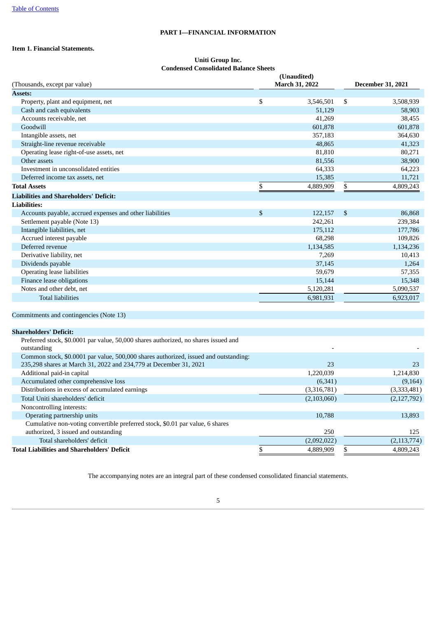#### **PART I—FINANCIAL INFORMATION**

#### <span id="page-4-1"></span><span id="page-4-0"></span>**Item 1. Financial Statements.**

#### **Uniti Group Inc. Condensed Consolidated Balance Sheets**

<span id="page-4-2"></span>

| (Thousands, except par value)                            | (Unaudited)<br>March 31, 2022 | <b>December 31, 2021</b> |           |  |
|----------------------------------------------------------|-------------------------------|--------------------------|-----------|--|
| <b>Assets:</b>                                           |                               |                          |           |  |
| Property, plant and equipment, net                       | \$<br>3,546,501               | \$                       | 3,508,939 |  |
| Cash and cash equivalents                                | 51,129                        |                          | 58,903    |  |
| Accounts receivable, net                                 | 41,269                        |                          | 38,455    |  |
| Goodwill                                                 | 601,878                       |                          | 601,878   |  |
| Intangible assets, net                                   | 357,183                       |                          | 364,630   |  |
| Straight-line revenue receivable                         | 48,865                        |                          | 41,323    |  |
| Operating lease right-of-use assets, net                 | 81,810                        |                          | 80,271    |  |
| Other assets                                             | 81,556                        |                          | 38,900    |  |
| Investment in unconsolidated entities                    | 64,333                        |                          | 64,223    |  |
| Deferred income tax assets, net                          | 15,385                        |                          | 11,721    |  |
| <b>Total Assets</b>                                      | \$<br>4,889,909               | \$                       | 4,809,243 |  |
| <b>Liabilities and Shareholders' Deficit:</b>            |                               |                          |           |  |
| <b>Liabilities:</b>                                      |                               |                          |           |  |
| Accounts payable, accrued expenses and other liabilities | \$<br>122,157                 | \$                       | 86,868    |  |
| Settlement payable (Note 13)                             | 242,261                       |                          | 239,384   |  |
| Intangible liabilities, net                              | 175,112                       |                          | 177,786   |  |
| Accrued interest payable                                 | 68,298                        |                          | 109,826   |  |
| Deferred revenue                                         | 1,134,585                     |                          | 1,134,236 |  |
| Derivative liability, net                                | 7,269                         |                          | 10,413    |  |
| Dividends payable                                        | 37,145                        |                          | 1,264     |  |
| Operating lease liabilities                              | 59,679                        |                          | 57,355    |  |
| Finance lease obligations                                | 15,144                        |                          | 15,348    |  |
| Notes and other debt, net                                | 5,120,281                     |                          | 5,090,537 |  |
| <b>Total liabilities</b>                                 | 6,981,931                     |                          | 6,923,017 |  |
|                                                          |                               |                          |           |  |

#### Commitments and contingencies (Note 13)

#### **Shareholders' Deficit:**

| Preferred stock, \$0.0001 par value, 50,000 shares authorized, no shares issued and<br>outstanding |             |               |
|----------------------------------------------------------------------------------------------------|-------------|---------------|
| Common stock, \$0.0001 par value, 500,000 shares authorized, issued and outstanding:               |             |               |
| 235,298 shares at March 31, 2022 and 234,779 at December 31, 2021                                  | 23          | 23            |
| Additional paid-in capital                                                                         | 1,220,039   | 1,214,830     |
| Accumulated other comprehensive loss                                                               | (6,341)     | (9,164)       |
| Distributions in excess of accumulated earnings                                                    | (3,316,781) | (3,333,481)   |
| Total Uniti shareholders' deficit                                                                  | (2,103,060) | (2, 127, 792) |
| Noncontrolling interests:                                                                          |             |               |
| Operating partnership units                                                                        | 10,788      | 13,893        |
| Cumulative non-voting convertible preferred stock, \$0.01 par value, 6 shares                      |             |               |
| authorized, 3 issued and outstanding                                                               | 250         | 125           |
| Total shareholders' deficit                                                                        | (2,092,022) | (2, 113, 774) |
| Total Liabilities and Shareholders' Deficit                                                        | 4,889,909   | 4,809,243     |
|                                                                                                    |             |               |

The accompanying notes are an integral part of these condensed consolidated financial statements.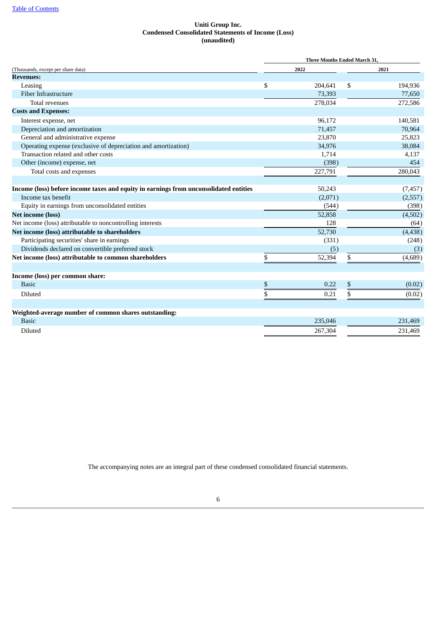#### **Uniti Group Inc. Condensed Consolidated Statements of Income (Loss) (unaudited)**

<span id="page-5-0"></span>

|                                                                                       | <b>Three Months Ended March 31,</b> |         |      |          |  |  |  |  |
|---------------------------------------------------------------------------------------|-------------------------------------|---------|------|----------|--|--|--|--|
| (Thousands, except per share data)                                                    |                                     | 2022    | 2021 |          |  |  |  |  |
| <b>Revenues:</b>                                                                      |                                     |         |      |          |  |  |  |  |
| Leasing                                                                               | \$                                  | 204,641 | \$   | 194,936  |  |  |  |  |
| Fiber Infrastructure                                                                  |                                     | 73,393  |      | 77,650   |  |  |  |  |
| <b>Total revenues</b>                                                                 |                                     | 278,034 |      | 272,586  |  |  |  |  |
| <b>Costs and Expenses:</b>                                                            |                                     |         |      |          |  |  |  |  |
| Interest expense, net                                                                 |                                     | 96,172  |      | 140,581  |  |  |  |  |
| Depreciation and amortization                                                         |                                     | 71,457  |      | 70,964   |  |  |  |  |
| General and administrative expense                                                    |                                     | 23,870  |      | 25,823   |  |  |  |  |
| Operating expense (exclusive of depreciation and amortization)                        |                                     | 34,976  |      | 38,084   |  |  |  |  |
| Transaction related and other costs                                                   |                                     | 1,714   |      | 4,137    |  |  |  |  |
| Other (income) expense, net                                                           |                                     | (398)   |      | 454      |  |  |  |  |
| Total costs and expenses                                                              |                                     | 227,791 |      | 280,043  |  |  |  |  |
|                                                                                       |                                     |         |      |          |  |  |  |  |
| Income (loss) before income taxes and equity in earnings from unconsolidated entities |                                     | 50,243  |      | (7, 457) |  |  |  |  |
| Income tax benefit                                                                    |                                     | (2,071) |      | (2,557)  |  |  |  |  |
| Equity in earnings from unconsolidated entities                                       |                                     | (544)   |      | (398)    |  |  |  |  |
| <b>Net income (loss)</b>                                                              |                                     | 52,858  |      | (4,502)  |  |  |  |  |
| Net income (loss) attributable to noncontrolling interests                            |                                     | 128     |      | (64)     |  |  |  |  |
| Net income (loss) attributable to shareholders                                        |                                     | 52,730  |      | (4, 438) |  |  |  |  |
| Participating securities' share in earnings                                           |                                     | (331)   |      | (248)    |  |  |  |  |
| Dividends declared on convertible preferred stock                                     |                                     | (5)     |      | (3)      |  |  |  |  |
| Net income (loss) attributable to common shareholders                                 | \$                                  | 52,394  | \$   | (4,689)  |  |  |  |  |
| Income (loss) per common share:                                                       |                                     |         |      |          |  |  |  |  |
| <b>Basic</b>                                                                          | \$                                  | 0.22    | \$   | (0.02)   |  |  |  |  |
|                                                                                       |                                     |         |      |          |  |  |  |  |
| Diluted                                                                               | \$                                  | 0.21    |      | (0.02)   |  |  |  |  |
| Weighted-average number of common shares outstanding:                                 |                                     |         |      |          |  |  |  |  |
| <b>Basic</b>                                                                          |                                     | 235,046 |      | 231,469  |  |  |  |  |
| Diluted                                                                               |                                     | 267,304 |      | 231,469  |  |  |  |  |

The accompanying notes are an integral part of these condensed consolidated financial statements.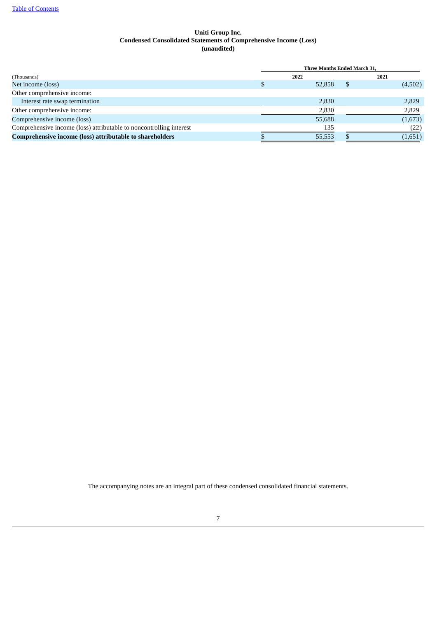#### **Uniti Group Inc. Condensed Consolidated Statements of Comprehensive Income (Loss) (unaudited)**

<span id="page-6-0"></span>

|                                                                     |  | <b>Three Months Ended March 31.</b> |         |
|---------------------------------------------------------------------|--|-------------------------------------|---------|
| (Thousands)                                                         |  | 2022                                | 2021    |
| Net income (loss)                                                   |  | 52,858                              | (4,502) |
| Other comprehensive income:                                         |  |                                     |         |
| Interest rate swap termination                                      |  | 2,830                               | 2,829   |
| Other comprehensive income:                                         |  | 2,830                               | 2,829   |
| Comprehensive income (loss)                                         |  | 55,688                              | (1,673) |
| Comprehensive income (loss) attributable to noncontrolling interest |  | 135                                 | (22)    |
| Comprehensive income (loss) attributable to shareholders            |  | 55,553                              | (1,651) |

The accompanying notes are an integral part of these condensed consolidated financial statements.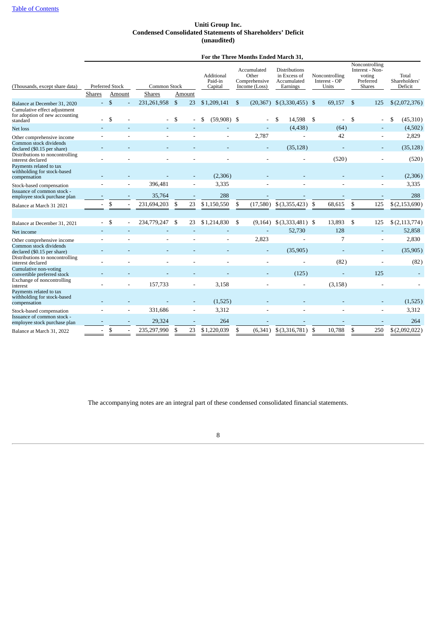#### **Uniti Group Inc. Condensed Consolidated Statements of Shareholders' Deficit (unaudited)**

#### **For the Three Months Ended March 31,**

<span id="page-7-0"></span>

| (Thousands, except share data)                                                           |                | <b>Preferred Stock</b> | Common Stock  |                |        | Additional<br>Paid-in<br>Capital | Accumulated<br>Other<br>Comprehensive<br>Income (Loss) | <b>Distributions</b><br>in Excess of<br>Accumulated<br>Earnings |      | Noncontrolling<br>Interest - OP<br>Units | Noncontrolling<br>Interest - Non-<br>voting<br>Preferred<br><b>Shares</b> | Total<br>Shareholders'<br>Deficit |
|------------------------------------------------------------------------------------------|----------------|------------------------|---------------|----------------|--------|----------------------------------|--------------------------------------------------------|-----------------------------------------------------------------|------|------------------------------------------|---------------------------------------------------------------------------|-----------------------------------|
|                                                                                          | <b>Shares</b>  | Amount                 | <b>Shares</b> |                | Amount |                                  |                                                        |                                                                 |      |                                          |                                                                           |                                   |
| Balance at December 31, 2020                                                             | $\blacksquare$ | $\mathbb{S}$           | 231,261,958   | $\mathfrak{F}$ | 23     | \$1,209,141                      | \$<br>(20, 367)                                        | $$$ (3,330,455) \,\$                                            |      | 69,157                                   | \$<br>125                                                                 | \$(2,072,376)                     |
| Cumulative effect adjustment<br>for adoption of new accounting<br>standard               |                | \$                     |               | <sup>\$</sup>  |        | $(59,908)$ \$                    |                                                        | 14,598<br>S                                                     | - \$ | ÷                                        | \$                                                                        | (45,310)<br>\$                    |
| Net loss                                                                                 |                |                        |               |                |        |                                  |                                                        | (4, 438)                                                        |      | (64)                                     |                                                                           | (4,502)                           |
| Other comprehensive income                                                               |                |                        |               |                |        | ٠                                | 2,787                                                  |                                                                 |      | 42                                       | $\overline{\phantom{a}}$                                                  | 2,829                             |
| Common stock dividends<br>declared (\$0.15 per share)<br>Distributions to noncontrolling |                |                        |               |                |        |                                  |                                                        | (35, 128)                                                       |      |                                          |                                                                           | (35, 128)                         |
| interest declared                                                                        |                |                        |               |                |        |                                  |                                                        |                                                                 |      | (520)                                    |                                                                           | (520)                             |
| Payments related to tax<br>withholding for stock-based<br>compensation                   |                |                        |               |                |        | (2,306)                          |                                                        |                                                                 |      |                                          |                                                                           | (2,306)                           |
| Stock-based compensation                                                                 |                |                        | 396,481       |                |        | 3,335                            |                                                        |                                                                 |      |                                          |                                                                           | 3,335                             |
| Issuance of common stock -<br>employee stock purchase plan                               |                |                        | 35,764        |                |        | 288                              |                                                        |                                                                 |      |                                          |                                                                           | 288                               |
| Balance at March 31 2021                                                                 |                | \$                     | 231,694,203   | \$             | 23     | \$1,150,550                      | \$<br>(17,580)                                         | \$(3,355,423)                                                   | -\$  | 68,615                                   | \$<br>125                                                                 | \$(2,153,690)                     |
|                                                                                          |                |                        |               |                |        |                                  |                                                        |                                                                 |      |                                          |                                                                           |                                   |
| Balance at December 31, 2021                                                             |                | \$                     | 234,779,247   | -S             | 23     | \$1,214,830                      | \$<br>(9,164)                                          | $$$ (3,333,481) \,\$                                            |      | 13,893                                   | \$<br>125                                                                 | \$(2,113,774)                     |
| Net income                                                                               |                |                        |               |                |        |                                  |                                                        | 52,730                                                          |      | 128                                      |                                                                           | 52,858                            |
| Other comprehensive income                                                               |                |                        |               |                |        |                                  | 2,823                                                  |                                                                 |      | 7                                        |                                                                           | 2,830                             |
| Common stock dividends<br>declared (\$0.15 per share)                                    |                |                        |               |                |        |                                  |                                                        | (35,905)                                                        |      |                                          |                                                                           | (35,905)                          |
| Distributions to noncontrolling<br>interest declared                                     |                |                        |               |                |        |                                  |                                                        |                                                                 |      | (82)                                     |                                                                           | (82)                              |
| Cumulative non-voting<br>convertible preferred stock                                     |                |                        |               |                |        |                                  |                                                        | (125)                                                           |      |                                          | 125                                                                       |                                   |
| Exchange of noncontrolling<br>interest                                                   |                |                        | 157,733       |                |        | 3,158                            |                                                        |                                                                 |      | (3, 158)                                 |                                                                           |                                   |
| Payments related to tax<br>withholding for stock-based<br>compensation                   |                |                        |               |                |        | (1,525)                          |                                                        |                                                                 |      |                                          |                                                                           | (1,525)                           |
| Stock-based compensation                                                                 |                |                        | 331,686       |                |        | 3,312                            |                                                        |                                                                 |      |                                          |                                                                           | 3,312                             |
| Issuance of common stock -<br>employee stock purchase plan                               |                |                        | 29,324        |                |        | 264                              |                                                        |                                                                 |      |                                          |                                                                           | 264                               |
| Balance at March 31, 2022                                                                | L.             | \$                     | 235,297,990   | \$             | 23     | \$1,220,039                      | \$                                                     | $(6,341)$ \$ $(3,316,781)$                                      | \$   | 10,788                                   | \$<br>250                                                                 | \$(2,092,022)                     |

The accompanying notes are an integral part of these condensed consolidated financial statements.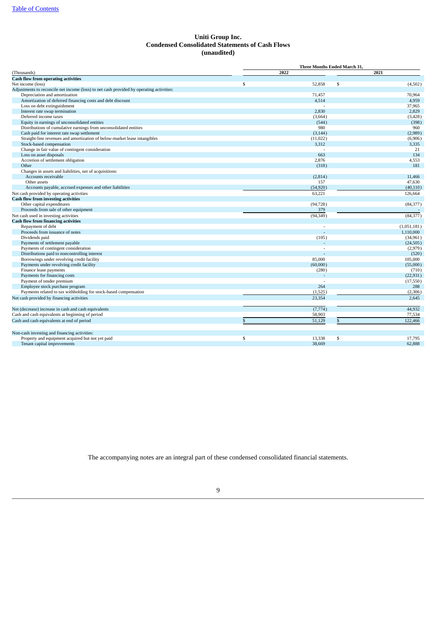#### **Uniti Group Inc. Condensed Consolidated Statements of Cash Flows (unaudited)**

<span id="page-8-0"></span>

|                                                                                          | Three Months Ended March 31, |           |     |             |  |  |  |  |
|------------------------------------------------------------------------------------------|------------------------------|-----------|-----|-------------|--|--|--|--|
| (Thousands)                                                                              |                              | 2021      |     |             |  |  |  |  |
| <b>Cash flow from operating activities</b>                                               |                              |           |     |             |  |  |  |  |
| Net income (loss)                                                                        | \$                           | 52,858    | \$  | (4,502)     |  |  |  |  |
| Adjustments to reconcile net income (loss) to net cash provided by operating activities: |                              |           |     |             |  |  |  |  |
| Depreciation and amortization                                                            |                              | 71.457    |     | 70,964      |  |  |  |  |
| Amortization of deferred financing costs and debt discount                               |                              | 4,514     |     | 4,959       |  |  |  |  |
| Loss on debt extinguishment                                                              |                              |           |     | 37,965      |  |  |  |  |
| Interest rate swap termination                                                           |                              | 2,830     |     | 2,829       |  |  |  |  |
| Deferred income taxes                                                                    |                              | (3,664)   |     | (3, 428)    |  |  |  |  |
| Equity in earnings of unconsolidated entities                                            |                              | (544)     |     | (398)       |  |  |  |  |
| Distributions of cumulative earnings from unconsolidated entities                        |                              | 980       |     | 960         |  |  |  |  |
| Cash paid for interest rate swap settlement                                              |                              | (3, 144)  |     | (2,989)     |  |  |  |  |
| Straight-line revenues and amortization of below-market lease intangibles                |                              | (11,022)  |     | (6,906)     |  |  |  |  |
| Stock-based compensation                                                                 |                              | 3,312     |     | 3,335       |  |  |  |  |
| Change in fair value of contingent consideration                                         |                              |           |     | 21          |  |  |  |  |
| Loss on asset disposals                                                                  |                              | 663       |     | 134         |  |  |  |  |
| Accretion of settlement obligation                                                       |                              | 2.876     |     | 4,553       |  |  |  |  |
| Other                                                                                    |                              | (318)     |     | 181         |  |  |  |  |
| Changes in assets and liabilities, net of acquisitions:                                  |                              |           |     |             |  |  |  |  |
| Accounts receivable                                                                      |                              | (2,814)   |     | 11,466      |  |  |  |  |
| Other assets                                                                             |                              | 157       |     | 47,630      |  |  |  |  |
| Accounts payable, accrued expenses and other liabilities                                 |                              | (54, 920) |     | (40, 110)   |  |  |  |  |
| Net cash provided by operating activities                                                |                              | 63,221    |     | 126,664     |  |  |  |  |
| <b>Cash flow from investing activities</b>                                               |                              |           |     |             |  |  |  |  |
| Other capital expenditures                                                               |                              | (94, 728) |     | (84, 377)   |  |  |  |  |
| Proceeds from sale of other equipment                                                    |                              | 379       |     |             |  |  |  |  |
|                                                                                          |                              |           |     |             |  |  |  |  |
| Net cash used in investing activities                                                    |                              | (94, 349) |     | (84, 377)   |  |  |  |  |
| <b>Cash flow from financing activities</b>                                               |                              |           |     |             |  |  |  |  |
| Repayment of debt                                                                        |                              |           |     | (1,051,181) |  |  |  |  |
| Proceeds from issuance of notes                                                          |                              |           |     | 1,110,000   |  |  |  |  |
| Dividends paid                                                                           |                              | (105)     |     | (34, 961)   |  |  |  |  |
| Payments of settlement payable                                                           |                              |           |     | (24, 505)   |  |  |  |  |
| Payments of contingent consideration                                                     |                              |           |     | (2,979)     |  |  |  |  |
| Distributions paid to noncontrolling interest                                            |                              |           |     | (520)       |  |  |  |  |
| Borrowings under revolving credit facility                                               |                              | 85,000    |     | 105,000     |  |  |  |  |
| Payments under revolving credit facility                                                 |                              | (60,000)  |     | (55,000)    |  |  |  |  |
| Finance lease payments                                                                   |                              | (280)     |     | (710)       |  |  |  |  |
| Payments for financing costs                                                             |                              |           |     | (22, 931)   |  |  |  |  |
| Payment of tender premium                                                                |                              |           |     | (17, 550)   |  |  |  |  |
| Employee stock purchase program                                                          |                              | 264       |     | 288         |  |  |  |  |
| Payments related to tax withholding for stock-based compensation                         |                              | (1,525)   |     | (2,306)     |  |  |  |  |
| Net cash provided by financing activities                                                |                              | 23,354    |     | 2,645       |  |  |  |  |
| Net (decrease) increase in cash and cash equivalents                                     |                              | (7,774)   |     | 44,932      |  |  |  |  |
| Cash and cash equivalents at beginning of period                                         |                              | 58,903    |     | 77,534      |  |  |  |  |
| Cash and cash equivalents at end of period                                               | \$.                          | 51,129    | \$. | 122,466     |  |  |  |  |
| Non-cash investing and financing activities:                                             |                              |           |     |             |  |  |  |  |
| Property and equipment acquired but not yet paid                                         | \$                           | 13,338    | \$  | 17,795      |  |  |  |  |
| Tenant capital improvements                                                              |                              | 38,669    |     | 62,888      |  |  |  |  |

The accompanying notes are an integral part of these condensed consolidated financial statements.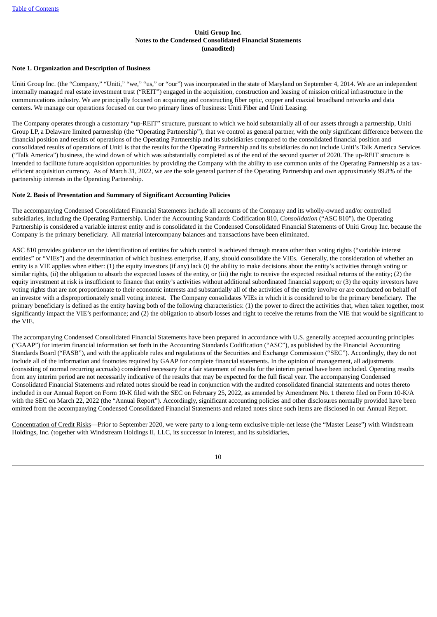#### **Uniti Group Inc. Notes to the Condensed Consolidated Financial Statements (unaudited)**

#### <span id="page-9-1"></span><span id="page-9-0"></span>**Note 1. Organization and Description of Business**

Uniti Group Inc. (the "Company," "Uniti," "we," "us," or "our") was incorporated in the state of Maryland on September 4, 2014. We are an independent internally managed real estate investment trust ("REIT") engaged in the acquisition, construction and leasing of mission critical infrastructure in the communications industry. We are principally focused on acquiring and constructing fiber optic, copper and coaxial broadband networks and data centers. We manage our operations focused on our two primary lines of business: Uniti Fiber and Uniti Leasing.

The Company operates through a customary "up-REIT" structure, pursuant to which we hold substantially all of our assets through a partnership, Uniti Group LP, a Delaware limited partnership (the "Operating Partnership"), that we control as general partner, with the only significant difference between the financial position and results of operations of the Operating Partnership and its subsidiaries compared to the consolidated financial position and consolidated results of operations of Uniti is that the results for the Operating Partnership and its subsidiaries do not include Uniti's Talk America Services ("Talk America") business, the wind down of which was substantially completed as of the end of the second quarter of 2020. The up-REIT structure is intended to facilitate future acquisition opportunities by providing the Company with the ability to use common units of the Operating Partnership as a taxefficient acquisition currency. As of March 31, 2022, we are the sole general partner of the Operating Partnership and own approximately 99.8% of the partnership interests in the Operating Partnership.

#### <span id="page-9-2"></span>**Note 2. Basis of Presentation and Summary of Significant Accounting Policies**

The accompanying Condensed Consolidated Financial Statements include all accounts of the Company and its wholly-owned and/or controlled subsidiaries, including the Operating Partnership. Under the Accounting Standards Codification 810, *Consolidation* ("ASC 810"), the Operating Partnership is considered a variable interest entity and is consolidated in the Condensed Consolidated Financial Statements of Uniti Group Inc. because the Company is the primary beneficiary. All material intercompany balances and transactions have been eliminated.

ASC 810 provides guidance on the identification of entities for which control is achieved through means other than voting rights ("variable interest entities" or "VIEs") and the determination of which business enterprise, if any, should consolidate the VIEs. Generally, the consideration of whether an entity is a VIE applies when either: (1) the equity investors (if any) lack (i) the ability to make decisions about the entity's activities through voting or similar rights, (ii) the obligation to absorb the expected losses of the entity, or (iii) the right to receive the expected residual returns of the entity; (2) the equity investment at risk is insufficient to finance that entity's activities without additional subordinated financial support; or (3) the equity investors have voting rights that are not proportionate to their economic interests and substantially all of the activities of the entity involve or are conducted on behalf of an investor with a disproportionately small voting interest. The Company consolidates VIEs in which it is considered to be the primary beneficiary. The primary beneficiary is defined as the entity having both of the following characteristics: (1) the power to direct the activities that, when taken together, most significantly impact the VIE's performance; and (2) the obligation to absorb losses and right to receive the returns from the VIE that would be significant to the VIE.

The accompanying Condensed Consolidated Financial Statements have been prepared in accordance with U.S. generally accepted accounting principles ("GAAP") for interim financial information set forth in the Accounting Standards Codification ("ASC"), as published by the Financial Accounting Standards Board ("FASB"), and with the applicable rules and regulations of the Securities and Exchange Commission ("SEC"). Accordingly, they do not include all of the information and footnotes required by GAAP for complete financial statements. In the opinion of management, all adjustments (consisting of normal recurring accruals) considered necessary for a fair statement of results for the interim period have been included. Operating results from any interim period are not necessarily indicative of the results that may be expected for the full fiscal year. The accompanying Condensed Consolidated Financial Statements and related notes should be read in conjunction with the audited consolidated financial statements and notes thereto included in our Annual Report on Form 10-K filed with the SEC on February 25, 2022, as amended by Amendment No. 1 thereto filed on Form 10-K/A with the SEC on March 22, 2022 (the "Annual Report"). Accordingly, significant accounting policies and other disclosures normally provided have been omitted from the accompanying Condensed Consolidated Financial Statements and related notes since such items are disclosed in our Annual Report.

Concentration of Credit Risks—Prior to September 2020, we were party to a long-term exclusive triple-net lease (the "Master Lease") with Windstream Holdings, Inc. (together with Windstream Holdings II, LLC, its successor in interest, and its subsidiaries,

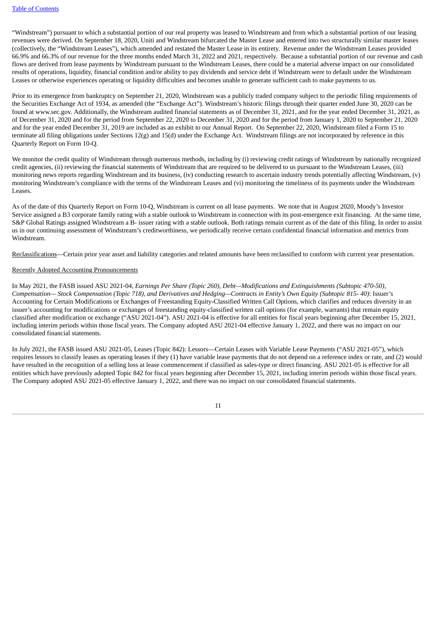"Windstream") pursuant to which a substantial portion of our real property was leased to Windstream and from which a substantial portion of our leasing revenues were derived. On September 18, 2020, Uniti and Windstream bifurcated the Master Lease and entered into two structurally similar master leases (collectively, the "Windstream Leases"), which amended and restated the Master Lease in its entirety. Revenue under the Windstream Leases provided 66.9% and 66.3% of our revenue for the three months ended March 31, 2022 and 2021, respectively. Because a substantial portion of our revenue and cash flows are derived from lease payments by Windstream pursuant to the Windstream Leases, there could be a material adverse impact on our consolidated results of operations, liquidity, financial condition and/or ability to pay dividends and service debt if Windstream were to default under the Windstream Leases or otherwise experiences operating or liquidity difficulties and becomes unable to generate sufficient cash to make payments to us.

Prior to its emergence from bankruptcy on September 21, 2020, Windstream was a publicly traded company subject to the periodic filing requirements of the Securities Exchange Act of 1934, as amended (the "Exchange Act"). Windstream's historic filings through their quarter ended June 30, 2020 can be found at www.sec.gov. Additionally, the Windstream audited financial statements as of December 31, 2021, and for the year ended December 31, 2021, as of December 31, 2020 and for the period from September 22, 2020 to December 31, 2020 and for the period from January 1, 2020 to September 21, 2020 and for the year ended December 31, 2019 are included as an exhibit to our Annual Report. On September 22, 2020, Windstream filed a Form 15 to terminate all filing obligations under Sections  $12(g)$  and  $15(d)$  under the Exchange Act. Windstream filings are not incorporated by reference in this Quarterly Report on Form 10-Q.

We monitor the credit quality of Windstream through numerous methods, including by (i) reviewing credit ratings of Windstream by nationally recognized credit agencies, (ii) reviewing the financial statements of Windstream that are required to be delivered to us pursuant to the Windstream Leases, (iii) monitoring news reports regarding Windstream and its business, (iv) conducting research to ascertain industry trends potentially affecting Windstream, (v) monitoring Windstream's compliance with the terms of the Windstream Leases and (vi) monitoring the timeliness of its payments under the Windstream Leases.

As of the date of this Quarterly Report on Form 10-Q, Windstream is current on all lease payments. We note that in August 2020, Moody's Investor Service assigned a B3 corporate family rating with a stable outlook to Windstream in connection with its post-emergence exit financing. At the same time, S&P Global Ratings assigned Windstream a B- issuer rating with a stable outlook. Both ratings remain current as of the date of this filing. In order to assist us in our continuing assessment of Windstream's creditworthiness, we periodically receive certain confidential financial information and metrics from Windstream.

Reclassifications—Certain prior year asset and liability categories and related amounts have been reclassified to conform with current year presentation.

#### Recently Adopted Accounting Pronouncements

In May 2021, the FASB issued ASU 2021-04, *Earnings Per Share (Topic 260), Debt—Modifications and Extinguishments (Subtopic 470-50),* Compensation—Stock Compensation (Topic 718), and Derivatives and Hedging—Contracts in Entity's Own Equity (Subtopic 815-40): Issuer's Accounting for Certain Modifications or Exchanges of Freestanding Equity-Classified Written Call Options, which clarifies and reduces diversity in an issuer's accounting for modifications or exchanges of freestanding equity-classified written call options (for example, warrants) that remain equity classified after modification or exchange ("ASU 2021-04"). ASU 2021-04 is effective for all entities for fiscal years beginning after December 15, 2021, including interim periods within those fiscal years. The Company adopted ASU 2021-04 effective January 1, 2022, and there was no impact on our consolidated financial statements.

In July 2021, the FASB issued ASU 2021-05, Leases (Topic 842): Lessors—Certain Leases with Variable Lease Payments ("ASU 2021-05"), which requires lessors to classify leases as operating leases if they (1) have variable lease payments that do not depend on a reference index or rate, and (2) would have resulted in the recognition of a selling loss at lease commencement if classified as sales-type or direct financing. ASU 2021-05 is effective for all entities which have previously adopted Topic 842 for fiscal years beginning after December 15, 2021, including interim periods within those fiscal years. The Company adopted ASU 2021-05 effective January 1, 2022, and there was no impact on our consolidated financial statements.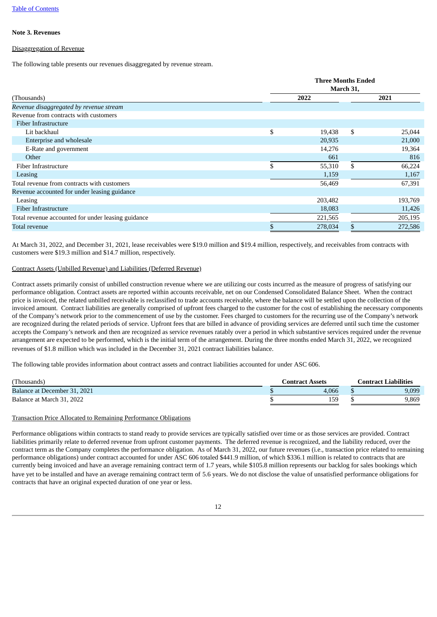#### <span id="page-11-0"></span>**Note 3. Revenues**

#### Disaggregation of Revenue

The following table presents our revenues disaggregated by revenue stream.

|                                                    | <b>Three Months Ended</b><br>March 31, |      |         |  |  |  |
|----------------------------------------------------|----------------------------------------|------|---------|--|--|--|
| (Thousands)                                        | 2022                                   | 2021 |         |  |  |  |
| Revenue disaggregated by revenue stream            |                                        |      |         |  |  |  |
| Revenue from contracts with customers              |                                        |      |         |  |  |  |
| Fiber Infrastructure                               |                                        |      |         |  |  |  |
| Lit backhaul                                       | \$<br>19,438                           | \$   | 25,044  |  |  |  |
| Enterprise and wholesale                           | 20,935                                 |      | 21,000  |  |  |  |
| E-Rate and government                              | 14,276                                 |      | 19,364  |  |  |  |
| Other                                              | 661                                    |      | 816     |  |  |  |
| Fiber Infrastructure                               | \$<br>55,310                           | \$   | 66,224  |  |  |  |
| Leasing                                            | 1,159                                  |      | 1,167   |  |  |  |
| Total revenue from contracts with customers        | 56,469                                 |      | 67,391  |  |  |  |
| Revenue accounted for under leasing guidance       |                                        |      |         |  |  |  |
| Leasing                                            | 203,482                                |      | 193,769 |  |  |  |
| Fiber Infrastructure                               | 18,083                                 |      | 11,426  |  |  |  |
| Total revenue accounted for under leasing guidance | 221,565                                |      | 205,195 |  |  |  |
| Total revenue                                      | 278,034                                |      | 272,586 |  |  |  |

At March 31, 2022, and December 31, 2021, lease receivables were \$19.0 million and \$19.4 million, respectively, and receivables from contracts with customers were \$19.3 million and \$14.7 million, respectively.

#### Contract Assets (Unbilled Revenue) and Liabilities (Deferred Revenue)

Contract assets primarily consist of unbilled construction revenue where we are utilizing our costs incurred as the measure of progress of satisfying our performance obligation. Contract assets are reported within accounts receivable, net on our Condensed Consolidated Balance Sheet. When the contract price is invoiced, the related unbilled receivable is reclassified to trade accounts receivable, where the balance will be settled upon the collection of the invoiced amount. Contract liabilities are generally comprised of upfront fees charged to the customer for the cost of establishing the necessary components of the Company's network prior to the commencement of use by the customer. Fees charged to customers for the recurring use of the Company's network are recognized during the related periods of service. Upfront fees that are billed in advance of providing services are deferred until such time the customer accepts the Company's network and then are recognized as service revenues ratably over a period in which substantive services required under the revenue arrangement are expected to be performed, which is the initial term of the arrangement. During the three months ended March 31, 2022, we recognized revenues of \$1.8 million which was included in the December 31, 2021 contract liabilities balance.

The following table provides information about contract assets and contract liabilities accounted for under ASC 606.

| 'Thousands)                  | Contract Assets | Contract Liabilities |
|------------------------------|-----------------|----------------------|
| Balance at December 31, 2021 | 4.066           | 9,099                |
| Balance at March 31, 2022    | 159             | 9,869                |

#### Transaction Price Allocated to Remaining Performance Obligations

Performance obligations within contracts to stand ready to provide services are typically satisfied over time or as those services are provided. Contract liabilities primarily relate to deferred revenue from upfront customer payments. The deferred revenue is recognized, and the liability reduced, over the contract term as the Company completes the performance obligation. As of March 31, 2022, our future revenues (i.e., transaction price related to remaining performance obligations) under contract accounted for under ASC 606 totaled \$441.9 million, of which \$336.1 million is related to contracts that are currently being invoiced and have an average remaining contract term of 1.7 years, while \$105.8 million represents our backlog for sales bookings which have yet to be installed and have an average remaining contract term of 5.6 years. We do not disclose the value of unsatisfied performance obligations for contracts that have an original expected duration of one year or less.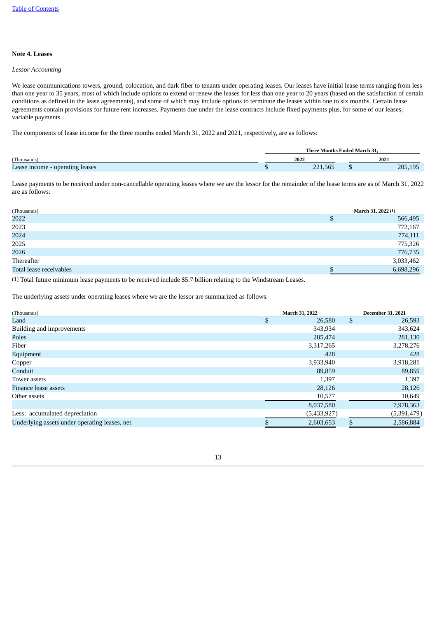#### <span id="page-12-0"></span>**Note 4. Leases**

#### *Lessor Accounting*

We lease communications towers, ground, colocation, and dark fiber to tenants under operating leases. Our leases have initial lease terms ranging from less than one year to 35 years, most of which include options to extend or renew the leases for less than one year to 20 years (based on the satisfaction of certain conditions as defined in the lease agreements), and some of which may include options to terminate the leases within one to six months. Certain lease agreements contain provisions for future rent increases. Payments due under the lease contracts include fixed payments plus, for some of our leases, variable payments.

The components of lease income for the three months ended March 31, 2022 and 2021, respectively, are as follows:

|                                 | <b>Three Months Ended March 31.</b> |         |  |         |  |  |  |  |
|---------------------------------|-------------------------------------|---------|--|---------|--|--|--|--|
| (Thousands)                     |                                     | 2022    |  | 2021    |  |  |  |  |
| Lease income - operating leases |                                     | 221,565 |  | 205,195 |  |  |  |  |

Lease payments to be received under non-cancellable operating leases where we are the lessor for the remainder of the lease terms are as of March 31, 2022 are as follows:

| (Thousands)             | March 31, 2022 (1) |
|-------------------------|--------------------|
| 2022                    | 566,495            |
| 2023                    | 772,167            |
| 2024                    | 774,111            |
| 2025                    | 775,326            |
| 2026                    | 776,735            |
| Thereafter              | 3,033,462          |
| Total lease receivables | 6,698,296          |

(1) Total future minimum lease payments to be received include \$5.7 billion relating to the Windstream Leases.

The underlying assets under operating leases where we are the lessor are summarized as follows:

| (Thousands)                                   | March 31, 2022 |     | <b>December 31, 2021</b> |
|-----------------------------------------------|----------------|-----|--------------------------|
| Land                                          | \$<br>26,580   | \$  | 26,593                   |
| Building and improvements                     | 343,934        |     | 343,624                  |
| Poles                                         | 285,474        |     | 281,130                  |
| Fiber                                         | 3,317,265      |     | 3,278,276                |
| Equipment                                     | 428            |     | 428                      |
| Copper                                        | 3,933,940      |     | 3,918,281                |
| Conduit                                       | 89,859         |     | 89,859                   |
| Tower assets                                  | 1,397          |     | 1,397                    |
| Finance lease assets                          | 28,126         |     | 28,126                   |
| Other assets                                  | 10,577         |     | 10,649                   |
|                                               | 8,037,580      |     | 7,978,363                |
| Less: accumulated depreciation                | (5,433,927)    |     | (5,391,479)              |
| Underlying assets under operating leases, net | 2,603,653      | \$. | 2,586,884                |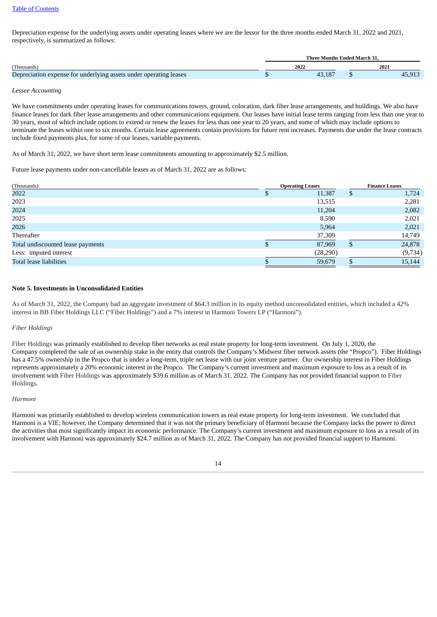#### Table of [Contents](#page-3-0)

Depreciation expense for the underlying assets under operating leases where we are the lessor for the three months ended March 31, 2022 and 2021, respectively, is summarized as follows:

|                                                                   | Three Months Ended March 31. |      |
|-------------------------------------------------------------------|------------------------------|------|
| (Thousands)                                                       | 2022                         | 2021 |
| Depreciation expense for underlying assets under operating leases | 13 187                       |      |

#### *Lessee Accounting*

We have commitments under operating leases for communications towers, ground, colocation, dark fiber lease arrangements, and buildings. We also have finance leases for dark fiber lease arrangements and other communications equipment. Our leases have initial lease terms ranging from less than one year to 30 years, most of which include options to extend or renew the leases for less than one year to 20 years, and some of which may include options to terminate the leases within one to six months. Certain lease agreements contain provisions for future rent increases. Payments due under the lease contracts include fixed payments plus, for some of our leases, variable payments.

As of March 31, 2022, we have short term lease commitments amounting to approximately \$2.5 million.

Future lease payments under non-cancellable leases as of March 31, 2022 are as follows:

| (Thousands)                       | <b>Operating Leases</b> |           |    | <b>Finance Leases</b> |
|-----------------------------------|-------------------------|-----------|----|-----------------------|
| 2022                              |                         | 11,387    | D  | 1,724                 |
| 2023                              |                         | 13,515    |    | 2,281                 |
| 2024                              |                         | 11,204    |    | 2,082                 |
| 2025                              |                         | 8,590     |    | 2,021                 |
| 2026                              |                         | 5,964     |    | 2,021                 |
| Thereafter                        |                         | 37,309    |    | 14,749                |
| Total undiscounted lease payments |                         | 87,969    | \$ | 24,878                |
| Less: imputed interest            |                         | (28, 290) |    | (9,734)               |
| Total lease liabilities           |                         | 59,679    |    | 15,144                |

#### <span id="page-13-0"></span>**Note 5. Investments in Unconsolidated Entities**

As of March 31, 2022, the Company had an aggregate investment of \$64.3 million in its equity method unconsolidated entities, which included a 42% interest in BB Fiber Holdings LLC ("Fiber Holdings") and a 7% interest in Harmoni Towers LP ("Harmoni").

#### *Fiber Holdings*

Fiber Holdings was primarily established to develop fiber networks as real estate property for long-term investment. On July 1, 2020, the Company completed the sale of an ownership stake in the entity that controls the Company's Midwest fiber network assets (the "Propco"). Fiber Holdings has a 47.5% ownership in the Propco that is under a long-term, triple net lease with our joint venture partner. Our ownership interest in Fiber Holdings represents approximately a 20% economic interest in the Propco. The Company's current investment and maximum exposure to loss as a result of its involvement with Fiber Holdings was approximately \$39.6 million as of March 31, 2022. The Company has not provided financial support to Fiber Holdings.

#### *Harmoni*

Harmoni was primarily established to develop wireless communication towers as real estate property for long-term investment. We concluded that Harmoni is a VIE; however, the Company determined that it was not the primary beneficiary of Harmoni because the Company lacks the power to direct the activities that most significantly impact its economic performance. The Company's current investment and maximum exposure to loss as a result of its involvement with Harmoni was approximately \$24.7 million as of March 31, 2022. The Company has not provided financial support to Harmoni.

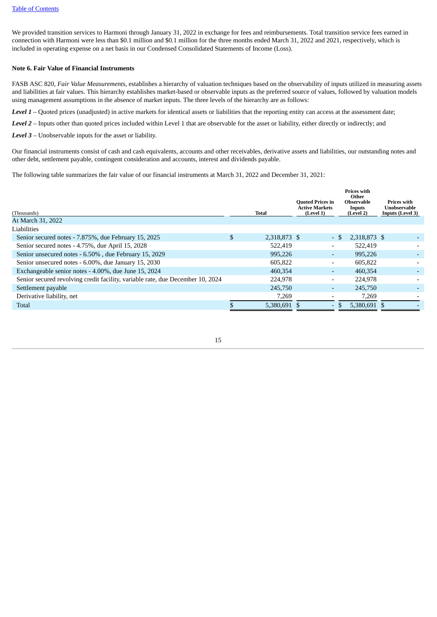We provided transition services to Harmoni through January 31, 2022 in exchange for fees and reimbursements. Total transition service fees earned in connection with Harmoni were less than \$0.1 million and \$0.1 million for the three months ended March 31, 2022 and 2021, respectively, which is included in operating expense on a net basis in our Condensed Consolidated Statements of Income (Loss).

#### <span id="page-14-0"></span>**Note 6. Fair Value of Financial Instruments**

FASB ASC 820, *Fair Value Measurements*, establishes a hierarchy of valuation techniques based on the observability of inputs utilized in measuring assets and liabilities at fair values. This hierarchy establishes market-based or observable inputs as the preferred source of values, followed by valuation models using management assumptions in the absence of market inputs. The three levels of the hierarchy are as follows:

*Level 1* – Quoted prices (unadjusted) in active markets for identical assets or liabilities that the reporting entity can access at the assessment date;

*Level 2* – Inputs other than quoted prices included within Level 1 that are observable for the asset or liability, either directly or indirectly; and

*Level 3* – Unobservable inputs for the asset or liability.

Our financial instruments consist of cash and cash equivalents, accounts and other receivables, derivative assets and liabilities, our outstanding notes and other debt, settlement payable, contingent consideration and accounts, interest and dividends payable.

The following table summarizes the fair value of our financial instruments at March 31, 2022 and December 31, 2021:

| (Thousands)                                                                    | <b>Total</b>       | <b>Ouoted Prices in</b><br><b>Active Markets</b><br>(Level 1) |      | <b>Prices with</b><br>Other<br>Observable<br>Inputs<br>(Level 2) | <b>Prices with</b><br>Unobservable<br><b>Inputs (Level 3)</b> |  |
|--------------------------------------------------------------------------------|--------------------|---------------------------------------------------------------|------|------------------------------------------------------------------|---------------------------------------------------------------|--|
| At March 31, 2022                                                              |                    |                                                               |      |                                                                  |                                                               |  |
| Liabilities                                                                    |                    |                                                               |      |                                                                  |                                                               |  |
| Senior secured notes - 7.875%, due February 15, 2025                           | \$<br>2,318,873 \$ |                                                               | - \$ | 2,318,873 \$                                                     |                                                               |  |
| Senior secured notes - 4.75%, due April 15, 2028                               | 522,419            | $\overline{\phantom{a}}$                                      |      | 522,419                                                          |                                                               |  |
| Senior unsecured notes - 6.50%, due February 15, 2029                          | 995,226            | $\overline{\phantom{a}}$                                      |      | 995.226                                                          |                                                               |  |
| Senior unsecured notes - 6.00%, due January 15, 2030                           | 605,822            | $\overline{\phantom{a}}$                                      |      | 605,822                                                          |                                                               |  |
| Exchangeable senior notes - 4.00%, due June 15, 2024                           | 460,354            | $\sim$                                                        |      | 460.354                                                          |                                                               |  |
| Senior secured revolving credit facility, variable rate, due December 10, 2024 | 224,978            | $\overline{\phantom{a}}$                                      |      | 224,978                                                          |                                                               |  |
| Settlement payable                                                             | 245,750            | $\sim$                                                        |      | 245,750                                                          |                                                               |  |
| Derivative liability, net                                                      | 7,269              | $\overline{\phantom{a}}$                                      |      | 7,269                                                            |                                                               |  |
| <b>Total</b>                                                                   | 5,380,691 \$       | $\overline{a}$                                                |      | 5,380,691 \$                                                     |                                                               |  |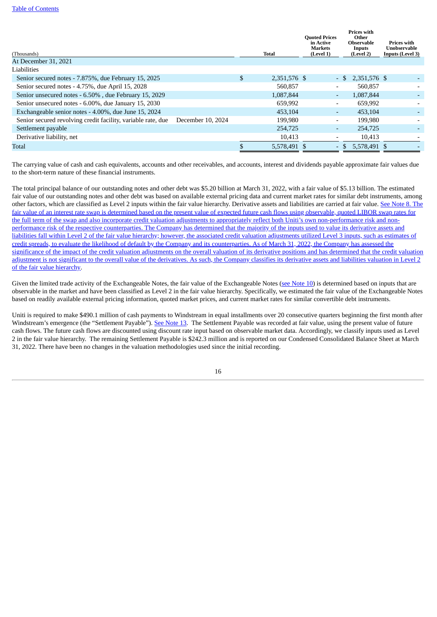| (Thousands)<br>At December 31, 2021                          |                   | <b>Total</b>       | <b>Quoted Prices</b><br>in Active<br><b>Markets</b><br>(Level 1) |                          | <b>Prices with</b><br>Other<br>Observable<br>Inputs<br>(Level 2) | <b>Prices with</b><br>Unobservable<br><b>Inputs (Level 3)</b> |
|--------------------------------------------------------------|-------------------|--------------------|------------------------------------------------------------------|--------------------------|------------------------------------------------------------------|---------------------------------------------------------------|
| Liabilities                                                  |                   |                    |                                                                  |                          |                                                                  |                                                               |
| Senior secured notes - 7.875%, due February 15, 2025         |                   | \$<br>2,351,576 \$ |                                                                  |                          | $-$ \$ 2,351,576 \$                                              |                                                               |
| Senior secured notes - 4.75%, due April 15, 2028             |                   | 560,857            |                                                                  | $\overline{\phantom{0}}$ | 560,857                                                          |                                                               |
| Senior unsecured notes - 6.50%, due February 15, 2029        |                   | 1,087,844          |                                                                  | ٠                        | 1,087,844                                                        |                                                               |
| Senior unsecured notes - 6.00%, due January 15, 2030         |                   | 659,992            |                                                                  | $\overline{\phantom{0}}$ | 659,992                                                          |                                                               |
| Exchangeable senior notes - 4.00%, due June 15, 2024         |                   | 453.104            |                                                                  | $\overline{\phantom{0}}$ | 453.104                                                          |                                                               |
| Senior secured revolving credit facility, variable rate, due | December 10, 2024 | 199,980            |                                                                  | $\overline{\phantom{a}}$ | 199,980                                                          |                                                               |
| Settlement payable                                           |                   | 254,725            |                                                                  | $\overline{\phantom{0}}$ | 254,725                                                          |                                                               |
| Derivative liability, net                                    |                   | 10,413             |                                                                  |                          | 10,413                                                           |                                                               |
| Total                                                        |                   | 5,578,491 \$       |                                                                  | $\overline{\phantom{0}}$ | 5,578,491 \$                                                     |                                                               |

The carrying value of cash and cash equivalents, accounts and other receivables, and accounts, interest and dividends payable approximate fair values due to the short-term nature of these financial instruments.

The total principal balance of our outstanding notes and other debt was \$5.20 billion at March 31, 2022, with a fair value of \$5.13 billion. The estimated fair value of our outstanding notes and other debt was based on available external pricing data and current market rates for similar debt instruments, among other factors, which are classified as Level 2 inputs within the fair value hierarchy. Derivative assets and liabilities are carried at fair value. See Note 8. The fair value of an interest rate swap is determined based on the present value of expected future cash flows using observable, quoted LIBOR swap rates for the full term of the swap and also incorporate credit valuation adjustments to appropriately reflect both Uniti's own [non-performance](#page-16-1) risk and nonperformance risk of the respective counterparties. The Company has determined that the majority of the inputs used to value its derivative assets and liabilities fall within Level 2 of the fair value hierarchy; however, the associated credit valuation adjustments utilized Level 3 inputs, such as estimates of credit spreads, to evaluate the likelihood of default by the Company and its counterparties. As of March 31, 2022, the Company has assessed the significance of the impact of the credit valuation adjustments on the overall valuation of its derivative positions and has determined that the credit valuation adjustment is not significant to the overall value of the derivatives. As such, the Company classifies its derivative assets and liabilities valuation in Level 2 of the fair value hierarchy.

Given the limited trade activity of the Exchangeable [Note](#page-19-0)s, the fair value of the Exchangeable Notes (see Note 10) is determined based on inputs that are observable in the market and have been classified as Level 2 in the fair value hierarchy. Specifically, we estimated the fair value of the Exchangeable Notes based on readily available external pricing information, quoted market prices, and current market rates for similar convertible debt instruments.

Uniti is required to make \$490.1 million of cash payments to Windstream in equal installments over 20 consecutive quarters beginning the first month after Windstream's emergence (the "Settlement Payable"). See [Note](#page-23-0) 13. The Settlement Payable was recorded at fair value, using the present value of future cash flows. The future cash flows are discounted using discount rate input based on observable market data. Accordingly, we classify inputs used as Level 2 in the fair value hierarchy. The remaining Settlement Payable is \$242.3 million and is reported on our Condensed Consolidated Balance Sheet at March 31, 2022. There have been no changes in the valuation methodologies used since the initial recording.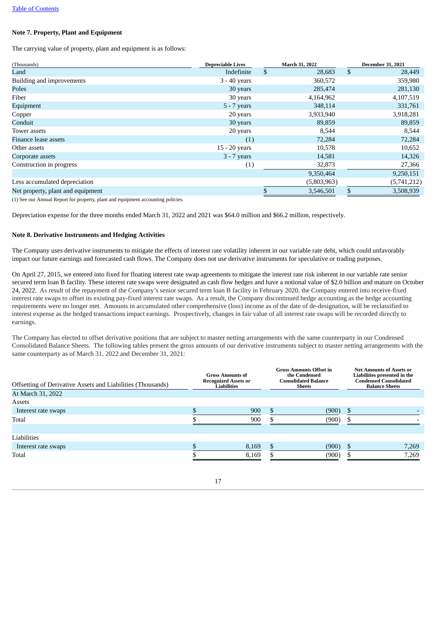#### <span id="page-16-0"></span>**Note 7. Property, Plant and Equipment**

The carrying value of property, plant and equipment is as follows:

| (Thousands)                       | <b>Depreciable Lives</b> | March 31, 2022 | <b>December 31, 2021</b> |
|-----------------------------------|--------------------------|----------------|--------------------------|
| Land                              | Indefinite               | \$<br>28,683   | \$<br>28,449             |
| Building and improvements         | 3 - 40 years             | 360,572        | 359,980                  |
| Poles                             | 30 years                 | 285,474        | 281,130                  |
| Fiber                             | 30 years                 | 4,164,962      | 4,107,519                |
| Equipment                         | $5 - 7$ years            | 348,114        | 331,761                  |
| Copper                            | 20 years                 | 3,933,940      | 3,918,281                |
| Conduit                           | 30 years                 | 89,859         | 89,859                   |
| Tower assets                      | 20 years                 | 8,544          | 8,544                    |
| Finance lease assets              | (1)                      | 72,284         | 72,284                   |
| Other assets                      | 15 - 20 years            | 10,578         | 10,652                   |
| Corporate assets                  | $3 - 7$ years            | 14,581         | 14,326                   |
| Construction in progress          | (1)                      | 32,873         | 27,366                   |
|                                   |                          | 9,350,464      | 9,250,151                |
| Less accumulated depreciation     |                          | (5,803,963)    | (5,741,212)              |
| Net property, plant and equipment |                          | 3,546,501      | 3,508,939                |

(1) See our Annual Report for property, plant and equipment accounting policies.

Depreciation expense for the three months ended March 31, 2022 and 2021 was \$64.0 million and \$66.2 million, respectively.

#### <span id="page-16-1"></span>**Note 8. Derivative Instruments and Hedging Activities**

The Company uses derivative instruments to mitigate the effects of interest rate volatility inherent in our variable rate debt, which could unfavorably impact our future earnings and forecasted cash flows. The Company does not use derivative instruments for speculative or trading purposes.

On April 27, 2015, we entered into fixed for floating interest rate swap agreements to mitigate the interest rate risk inherent in our variable rate senior secured term loan B facility. These interest rate swaps were designated as cash flow hedges and have a notional value of \$2.0 billion and mature on October 24, 2022. As result of the repayment of the Company's senior secured term loan B facility in February 2020, the Company entered into receive-fixed interest rate swaps to offset its existing pay-fixed interest rate swaps. As a result, the Company discontinued hedge accounting as the hedge accounting requirements were no longer met. Amounts in accumulated other comprehensive (loss) income as of the date of de-designation, will be reclassified to interest expense as the hedged transactions impact earnings. Prospectively, changes in fair value of all interest rate swaps will be recorded directly to earnings.

The Company has elected to offset derivative positions that are subject to master netting arrangements with the same counterparty in our Condensed Consolidated Balance Sheets. The following tables present the gross amounts of our derivative instruments subject to master netting arrangements with the same counterparty as of March 31, 2022 and December 31, 2021:

| Offsetting of Derivative Assets and Liabilities (Thousands)<br>At March 31, 2022 | <b>Gross Amounts of</b><br><b>Recognized Assets or</b><br>Liabilities |       | <b>Gross Amounts Offset in</b><br>the Condensed<br><b>Consolidated Balance</b><br>Sheets | <b>Net Amounts of Assets or</b><br>Liabilities presented in the<br><b>Condensed Consolidated</b><br><b>Balance Sheets</b> |       |
|----------------------------------------------------------------------------------|-----------------------------------------------------------------------|-------|------------------------------------------------------------------------------------------|---------------------------------------------------------------------------------------------------------------------------|-------|
| Assets                                                                           |                                                                       |       |                                                                                          |                                                                                                                           |       |
| Interest rate swaps                                                              |                                                                       | 900   | (900)<br>\$.                                                                             | S                                                                                                                         |       |
| Total                                                                            |                                                                       | 900   | (900)                                                                                    |                                                                                                                           |       |
| Liabilities                                                                      |                                                                       |       |                                                                                          |                                                                                                                           |       |
| Interest rate swaps                                                              |                                                                       | 8,169 | (900)<br>\$.                                                                             | £.                                                                                                                        | 7,269 |
| Total                                                                            |                                                                       | 8.169 | (900)                                                                                    |                                                                                                                           | 7,269 |

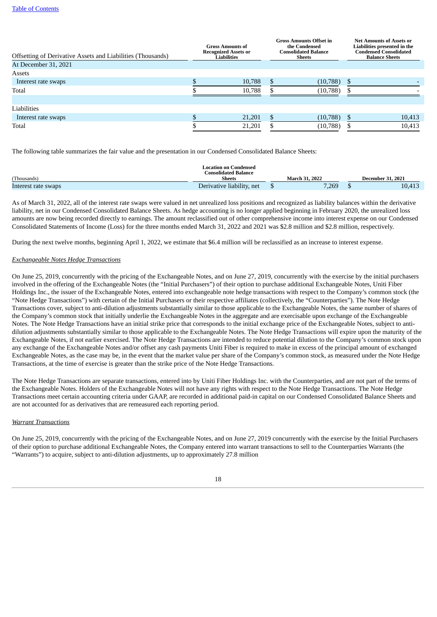| <b>Offsetting of Derivative Assets and Liabilities (Thousands)</b><br>At December 31, 2021 | <b>Gross Amounts of</b><br><b>Recognized Assets or</b><br>Liabilities |        | <b>Gross Amounts Offset in</b><br>the Condensed<br><b>Consolidated Balance</b><br>Sheets |           | <b>Net Amounts of Assets or</b><br>Liabilities presented in the<br><b>Condensed Consolidated</b><br><b>Balance Sheets</b> |        |
|--------------------------------------------------------------------------------------------|-----------------------------------------------------------------------|--------|------------------------------------------------------------------------------------------|-----------|---------------------------------------------------------------------------------------------------------------------------|--------|
| Assets                                                                                     |                                                                       |        |                                                                                          |           |                                                                                                                           |        |
| Interest rate swaps                                                                        |                                                                       | 10,788 | \$                                                                                       | (10, 788) |                                                                                                                           |        |
| Total                                                                                      |                                                                       | 10,788 |                                                                                          | (10, 788) |                                                                                                                           |        |
| Liabilities                                                                                |                                                                       |        |                                                                                          |           |                                                                                                                           |        |
| Interest rate swaps                                                                        |                                                                       | 21,201 |                                                                                          | (10,788)  |                                                                                                                           | 10,413 |
| Total                                                                                      |                                                                       | 21,201 |                                                                                          | (10, 788) |                                                                                                                           | 10,413 |

The following table summarizes the fair value and the presentation in our Condensed Consolidated Balance Sheets:

|                     | <b>Location on Condensed</b><br>Consolidated Balance. |                          |        |
|---------------------|-------------------------------------------------------|--------------------------|--------|
| (Thousands)         | <b>Sheets</b>                                         | <b>December 31, 2021</b> |        |
| Interest rate swaps | Derivative liability, net                             | 7,269                    | 10,413 |

As of March 31, 2022, all of the interest rate swaps were valued in net unrealized loss positions and recognized as liability balances within the derivative liability, net in our Condensed Consolidated Balance Sheets. As hedge accounting is no longer applied beginning in February 2020, the unrealized loss amounts are now being recorded directly to earnings. The amount reclassified out of other comprehensive income into interest expense on our Condensed Consolidated Statements of Income (Loss) for the three months ended March 31, 2022 and 2021 was \$2.8 million and \$2.8 million, respectively.

During the next twelve months, beginning April 1, 2022, we estimate that \$6.4 million will be reclassified as an increase to interest expense.

#### *Exchangeable Notes Hedge Transactions*

On June 25, 2019, concurrently with the pricing of the Exchangeable Notes, and on June 27, 2019, concurrently with the exercise by the initial purchasers involved in the offering of the Exchangeable Notes (the "Initial Purchasers") of their option to purchase additional Exchangeable Notes, Uniti Fiber Holdings Inc., the issuer of the Exchangeable Notes, entered into exchangeable note hedge transactions with respect to the Company's common stock (the "Note Hedge Transactions") with certain of the Initial Purchasers or their respective affiliates (collectively, the "Counterparties"). The Note Hedge Transactions cover, subject to anti-dilution adjustments substantially similar to those applicable to the Exchangeable Notes, the same number of shares of the Company's common stock that initially underlie the Exchangeable Notes in the aggregate and are exercisable upon exchange of the Exchangeable Notes. The Note Hedge Transactions have an initial strike price that corresponds to the initial exchange price of the Exchangeable Notes, subject to antidilution adjustments substantially similar to those applicable to the Exchangeable Notes. The Note Hedge Transactions will expire upon the maturity of the Exchangeable Notes, if not earlier exercised. The Note Hedge Transactions are intended to reduce potential dilution to the Company's common stock upon any exchange of the Exchangeable Notes and/or offset any cash payments Uniti Fiber is required to make in excess of the principal amount of exchanged Exchangeable Notes, as the case may be, in the event that the market value per share of the Company's common stock, as measured under the Note Hedge Transactions, at the time of exercise is greater than the strike price of the Note Hedge Transactions.

The Note Hedge Transactions are separate transactions, entered into by Uniti Fiber Holdings Inc. with the Counterparties, and are not part of the terms of the Exchangeable Notes. Holders of the Exchangeable Notes will not have any rights with respect to the Note Hedge Transactions. The Note Hedge Transactions meet certain accounting criteria under GAAP, are recorded in additional paid-in capital on our Condensed Consolidated Balance Sheets and are not accounted for as derivatives that are remeasured each reporting period.

#### *Warrant Transactions*

On June 25, 2019, concurrently with the pricing of the Exchangeable Notes, and on June 27, 2019 concurrently with the exercise by the Initial Purchasers of their option to purchase additional Exchangeable Notes, the Company entered into warrant transactions to sell to the Counterparties Warrants (the "Warrants") to acquire, subject to anti-dilution adjustments, up to approximately 27.8 million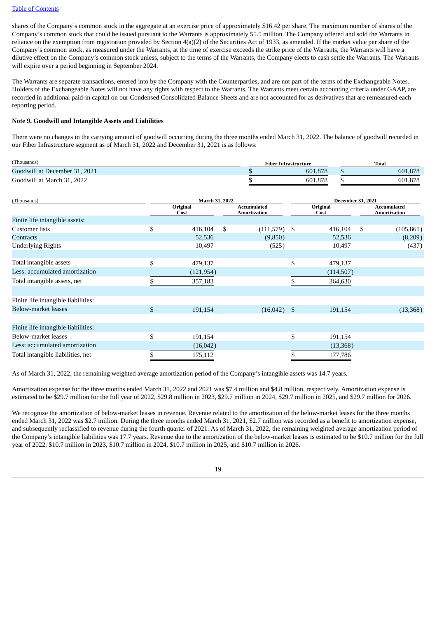shares of the Company's common stock in the aggregate at an exercise price of approximately \$16.42 per share. The maximum number of shares of the Company's common stock that could be issued pursuant to the Warrants is approximately 55.5 million. The Company offered and sold the Warrants in reliance on the exemption from registration provided by Section 4(a)(2) of the Securities Act of 1933, as amended. If the market value per share of the Company's common stock, as measured under the Warrants, at the time of exercise exceeds the strike price of the Warrants, the Warrants will have a dilutive effect on the Company's common stock unless, subject to the terms of the Warrants, the Company elects to cash settle the Warrants. The Warrants will expire over a period beginning in September 2024.

The Warrants are separate transactions, entered into by the Company with the Counterparties, and are not part of the terms of the Exchangeable Notes. Holders of the Exchangeable Notes will not have any rights with respect to the Warrants. The Warrants meet certain accounting criteria under GAAP, are recorded in additional paid-in capital on our Condensed Consolidated Balance Sheets and are not accounted for as derivatives that are remeasured each reporting period.

#### <span id="page-18-0"></span>**Note 9. Goodwill and Intangible Assets and Liabilities**

There were no changes in the carrying amount of goodwill occurring during the three months ended March 31, 2022. The balance of goodwill recorded in our Fiber Infrastructure segment as of March 31, 2022 and December 31, 2021 is as follows:

| (Thousands)                            | <b>Fiber Infrastructure</b> | <b>Total</b> |
|----------------------------------------|-----------------------------|--------------|
| Goodwill at December<br>31, 2021<br>AA | 601.878                     | 601.878      |
| 2022<br>Goodwill at March 31<br>2022   | .878<br>601                 | 601,878      |

| (Thousands)                         | March 31, 2022   |    | <b>December 31, 2021</b>    |                  |                                           |
|-------------------------------------|------------------|----|-----------------------------|------------------|-------------------------------------------|
|                                     | Original<br>Cost |    | Accumulated<br>Amortization | Original<br>Cost | <b>Accumulated</b><br><b>Amortization</b> |
| Finite life intangible assets:      |                  |    |                             |                  |                                           |
| <b>Customer</b> lists               | \$<br>416,104    | \$ | $(111,579)$ \$              | 416,104          | \$<br>(105, 861)                          |
| Contracts                           | 52,536           |    | (9,850)                     | 52,536           | (8,209)                                   |
| <b>Underlying Rights</b>            | 10,497           |    | (525)                       | 10,497           | (437)                                     |
|                                     |                  |    |                             |                  |                                           |
| Total intangible assets             | \$<br>479,137    |    |                             | \$<br>479,137    |                                           |
| Less: accumulated amortization      | (121, 954)       |    |                             | (114, 507)       |                                           |
| Total intangible assets, net        | 357,183          |    |                             | 364,630          |                                           |
|                                     |                  |    |                             |                  |                                           |
| Finite life intangible liabilities: |                  |    |                             |                  |                                           |
| Below-market leases                 | \$<br>191,154    |    | (16,042)                    | \$<br>191,154    | (13,368)                                  |
|                                     |                  |    |                             |                  |                                           |
| Finite life intangible liabilities: |                  |    |                             |                  |                                           |
| Below-market leases                 | \$<br>191,154    |    |                             | \$<br>191,154    |                                           |
| Less: accumulated amortization      | (16,042)         |    |                             | (13,368)         |                                           |
| Total intangible liabilities, net   | 175,112          |    |                             | 177,786          |                                           |

As of March 31, 2022, the remaining weighted average amortization period of the Company's intangible assets was 14.7 years.

Amortization expense for the three months ended March 31, 2022 and 2021 was \$7.4 million and \$4.8 million, respectively. Amortization expense is estimated to be \$29.7 million for the full year of 2022, \$29.8 million in 2023, \$29.7 million in 2024, \$29.7 million in 2025, and \$29.7 million for 2026.

We recognize the amortization of below-market leases in revenue. Revenue related to the amortization of the below-market leases for the three months ended March 31, 2022 was \$2.7 million. During the three months ended March 31, 2021, \$2.7 million was recorded as a benefit to amortization expense, and subsequently reclassified to revenue during the fourth quarter of 2021. As of March 31, 2022, the remaining weighted average amortization period of the Company's intangible liabilities was 17.7 years. Revenue due to the amortization of the below-market leases is estimated to be \$10.7 million for the full year of 2022, \$10.7 million in 2023, \$10.7 million in 2024, \$10.7 million in 2025, and \$10.7 million in 2026.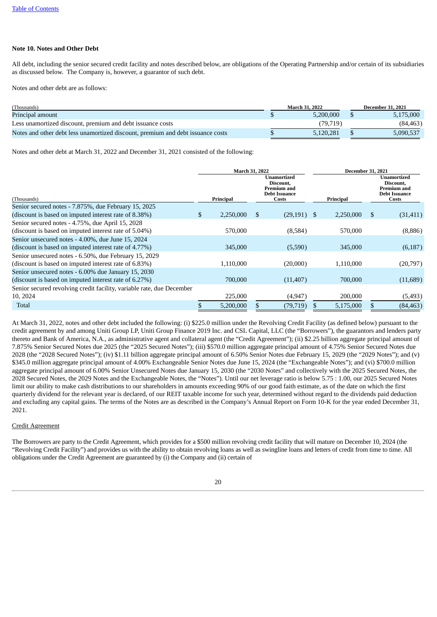#### <span id="page-19-0"></span>**Note 10. Notes and Other Debt**

All debt, including the senior secured credit facility and notes described below, are obligations of the Operating Partnership and/or certain of its subsidiaries as discussed below. The Company is, however, a guarantor of such debt.

Notes and other debt are as follows:

| (Thousands)                                                                     | <b>March 31, 2022</b> | <b>December 31, 2021</b> |
|---------------------------------------------------------------------------------|-----------------------|--------------------------|
| Principal amount                                                                | 5.200.000             | 5,175,000                |
| Less unamortized discount, premium and debt issuance costs                      | (79, 719)             | (84, 463)                |
| Notes and other debt less unamortized discount, premium and debt issuance costs | 5.120.281             | 5,090,537                |

Notes and other debt at March 31, 2022 and December 31, 2021 consisted of the following:

|                                                                       | March 31, 2022  |               |                                                                          | <b>December 31, 2021</b> |           |              |                                                                                        |  |
|-----------------------------------------------------------------------|-----------------|---------------|--------------------------------------------------------------------------|--------------------------|-----------|--------------|----------------------------------------------------------------------------------------|--|
| (Thousands)                                                           | Principal       |               | Unamortized<br>Discount,<br>Premium and<br><b>Debt Issuance</b><br>Costs |                          | Principal |              | <b>Unamortized</b><br>Discount,<br><b>Premium and</b><br><b>Debt Issuance</b><br>Costs |  |
| Senior secured notes - 7.875%, due February 15, 2025                  |                 |               |                                                                          |                          |           |              |                                                                                        |  |
| (discount is based on imputed interest rate of 8.38%)                 | \$<br>2,250,000 | <sup>\$</sup> | $(29,191)$ \$                                                            |                          | 2,250,000 | \$           | (31, 411)                                                                              |  |
| Senior secured notes - 4.75%, due April 15, 2028                      |                 |               |                                                                          |                          |           |              |                                                                                        |  |
| (discount is based on imputed interest rate of 5.04%)                 | 570,000         |               | (8,584)                                                                  |                          | 570,000   |              | (8,886)                                                                                |  |
| Senior unsecured notes - 4.00%, due June 15, 2024                     |                 |               |                                                                          |                          |           |              |                                                                                        |  |
| (discount is based on imputed interest rate of 4.77%)                 | 345,000         |               | (5,590)                                                                  |                          | 345,000   |              | (6, 187)                                                                               |  |
| Senior unsecured notes - 6.50%, due February 15, 2029                 |                 |               |                                                                          |                          |           |              |                                                                                        |  |
| (discount is based on imputed interest rate of 6.83%)                 | 1,110,000       |               | (20,000)                                                                 |                          | 1,110,000 |              | (20,797)                                                                               |  |
| Senior unsecured notes - 6.00% due January 15, 2030                   |                 |               |                                                                          |                          |           |              |                                                                                        |  |
| (discount is based on imputed interest rate of 6.27%)                 | 700,000         |               | (11, 407)                                                                |                          | 700,000   |              | (11,689)                                                                               |  |
| Senior secured revolving credit facility, variable rate, due December |                 |               |                                                                          |                          |           |              |                                                                                        |  |
| 10, 2024                                                              | 225,000         |               | (4, 947)                                                                 |                          | 200,000   |              | (5, 493)                                                                               |  |
| Total                                                                 | \$<br>5,200,000 |               | (79, 719)                                                                | S                        | 5,175,000 | $\mathbf{s}$ | (84, 463)                                                                              |  |

At March 31, 2022, notes and other debt included the following: (i) \$225.0 million under the Revolving Credit Facility (as defined below) pursuant to the credit agreement by and among Uniti Group LP, Uniti Group Finance 2019 Inc. and CSL Capital, LLC (the "Borrowers"), the guarantors and lenders party thereto and Bank of America, N.A., as administrative agent and collateral agent (the "Credit Agreement"); (ii) \$2.25 billion aggregate principal amount of 7.875% Senior Secured Notes due 2025 (the "2025 Secured Notes"); (iii) \$570.0 million aggregate principal amount of 4.75% Senior Secured Notes due 2028 (the "2028 Secured Notes"); (iv) \$1.11 billion aggregate principal amount of 6.50% Senior Notes due February 15, 2029 (the "2029 Notes"); and (v) \$345.0 million aggregate principal amount of 4.00% Exchangeable Senior Notes due June 15, 2024 (the "Exchangeable Notes"); and (vi) \$700.0 million aggregate principal amount of 6.00% Senior Unsecured Notes due January 15, 2030 (the "2030 Notes" and collectively with the 2025 Secured Notes, the 2028 Secured Notes, the 2029 Notes and the Exchangeable Notes, the "Notes"). Until our net leverage ratio is below 5.75 : 1.00, our 2025 Secured Notes limit our ability to make cash distributions to our shareholders in amounts exceeding 90% of our good faith estimate, as of the date on which the first quarterly dividend for the relevant year is declared, of our REIT taxable income for such year, determined without regard to the dividends paid deduction and excluding any capital gains. The terms of the Notes are as described in the Company's Annual Report on Form 10-K for the year ended December 31, 2021.

#### Credit Agreement

The Borrowers are party to the Credit Agreement, which provides for a \$500 million revolving credit facility that will mature on December 10, 2024 (the "Revolving Credit Facility") and provides us with the ability to obtain revolving loans as well as swingline loans and letters of credit from time to time. All obligations under the Credit Agreement are guaranteed by (i) the Company and (ii) certain of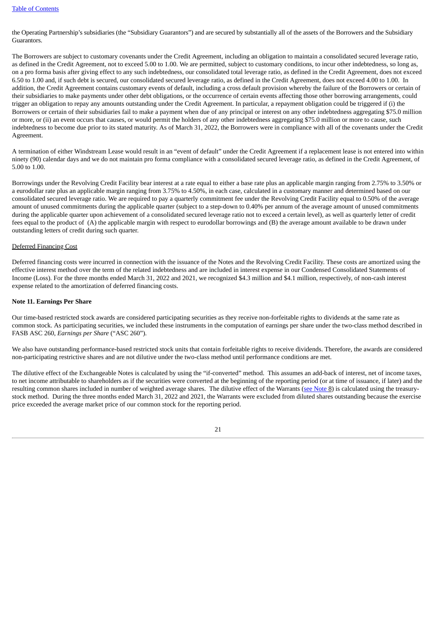the Operating Partnership's subsidiaries (the "Subsidiary Guarantors") and are secured by substantially all of the assets of the Borrowers and the Subsidiary Guarantors.

The Borrowers are subject to customary covenants under the Credit Agreement, including an obligation to maintain a consolidated secured leverage ratio, as defined in the Credit Agreement, not to exceed 5.00 to 1.00. We are permitted, subject to customary conditions, to incur other indebtedness, so long as, on a pro forma basis after giving effect to any such indebtedness, our consolidated total leverage ratio, as defined in the Credit Agreement, does not exceed 6.50 to 1.00 and, if such debt is secured, our consolidated secured leverage ratio, as defined in the Credit Agreement, does not exceed 4.00 to 1.00. In addition, the Credit Agreement contains customary events of default, including a cross default provision whereby the failure of the Borrowers or certain of their subsidiaries to make payments under other debt obligations, or the occurrence of certain events affecting those other borrowing arrangements, could trigger an obligation to repay any amounts outstanding under the Credit Agreement. In particular, a repayment obligation could be triggered if (i) the Borrowers or certain of their subsidiaries fail to make a payment when due of any principal or interest on any other indebtedness aggregating \$75.0 million or more, or (ii) an event occurs that causes, or would permit the holders of any other indebtedness aggregating \$75.0 million or more to cause, such indebtedness to become due prior to its stated maturity. As of March 31, 2022, the Borrowers were in compliance with all of the covenants under the Credit Agreement.

A termination of either Windstream Lease would result in an "event of default" under the Credit Agreement if a replacement lease is not entered into within ninety (90) calendar days and we do not maintain pro forma compliance with a consolidated secured leverage ratio, as defined in the Credit Agreement, of 5.00 to 1.00.

Borrowings under the Revolving Credit Facility bear interest at a rate equal to either a base rate plus an applicable margin ranging from 2.75% to 3.50% or a eurodollar rate plus an applicable margin ranging from 3.75% to 4.50%, in each case, calculated in a customary manner and determined based on our consolidated secured leverage ratio. We are required to pay a quarterly commitment fee under the Revolving Credit Facility equal to 0.50% of the average amount of unused commitments during the applicable quarter (subject to a step-down to 0.40% per annum of the average amount of unused commitments during the applicable quarter upon achievement of a consolidated secured leverage ratio not to exceed a certain level), as well as quarterly letter of credit fees equal to the product of (A) the applicable margin with respect to eurodollar borrowings and (B) the average amount available to be drawn under outstanding letters of credit during such quarter.

#### Deferred Financing Cost

Deferred financing costs were incurred in connection with the issuance of the Notes and the Revolving Credit Facility. These costs are amortized using the effective interest method over the term of the related indebtedness and are included in interest expense in our Condensed Consolidated Statements of Income (Loss). For the three months ended March 31, 2022 and 2021, we recognized \$4.3 million and \$4.1 million, respectively, of non-cash interest expense related to the amortization of deferred financing costs.

#### <span id="page-20-0"></span>**Note 11. Earnings Per Share**

Our time-based restricted stock awards are considered participating securities as they receive non-forfeitable rights to dividends at the same rate as common stock. As participating securities, we included these instruments in the computation of earnings per share under the two-class method described in FASB ASC 260, *Earnings per Share* ("ASC 260").

We also have outstanding performance-based restricted stock units that contain forfeitable rights to receive dividends. Therefore, the awards are considered non-participating restrictive shares and are not dilutive under the two-class method until performance conditions are met.

The dilutive effect of the Exchangeable Notes is calculated by using the "if-converted" method. This assumes an add-back of interest, net of income taxes, to net income attributable to shareholders as if the securities were converted at the beginning of the reporting period (or at time of issuance, if later) and the resulting common shares included in number of weighted average shares. The dilutive effect of the Warrants (see [Note](#page-16-1) 8) is calculated using the treasurystock method. During the three months ended March 31, 2022 and 2021, the Warrants were excluded from diluted shares outstanding because the exercise price exceeded the average market price of our common stock for the reporting period.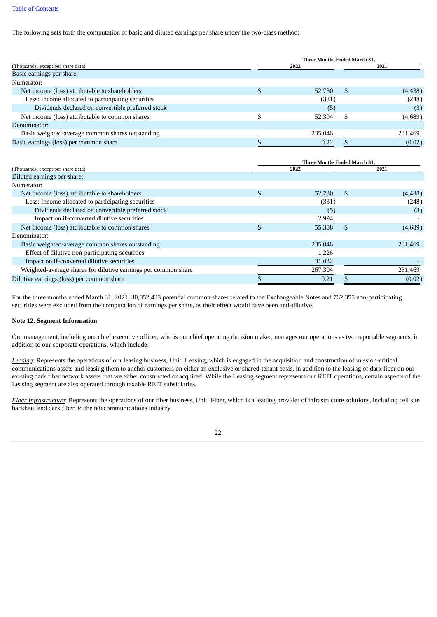The following sets forth the computation of basic and diluted earnings per share under the two-class method:

|                                                    | <b>Three Months Ended March 31.</b> |         |     |          |  |  |  |  |
|----------------------------------------------------|-------------------------------------|---------|-----|----------|--|--|--|--|
| (Thousands, except per share data)                 |                                     | 2022    |     | 2021     |  |  |  |  |
| Basic earnings per share:                          |                                     |         |     |          |  |  |  |  |
| Numerator:                                         |                                     |         |     |          |  |  |  |  |
| Net income (loss) attributable to shareholders     |                                     | 52,730  | \$. | (4, 438) |  |  |  |  |
| Less: Income allocated to participating securities |                                     | (331)   |     | (248)    |  |  |  |  |
| Dividends declared on convertible preferred stock  |                                     | (5)     |     | (3)      |  |  |  |  |
| Net income (loss) attributable to common shares    |                                     | 52,394  |     | (4,689)  |  |  |  |  |
| Denominator:                                       |                                     |         |     |          |  |  |  |  |
| Basic weighted-average common shares outstanding   |                                     | 235,046 |     | 231,469  |  |  |  |  |
| Basic earnings (loss) per common share             |                                     | 0.22    |     | (0.02)   |  |  |  |  |
|                                                    |                                     |         |     |          |  |  |  |  |

|                                                                | <b>Three Months Ended March 31.</b> |         |    |          |  |  |  |  |
|----------------------------------------------------------------|-------------------------------------|---------|----|----------|--|--|--|--|
| (Thousands, except per share data)                             |                                     | 2022    |    | 2021     |  |  |  |  |
| Diluted earnings per share:                                    |                                     |         |    |          |  |  |  |  |
| Numerator:                                                     |                                     |         |    |          |  |  |  |  |
| Net income (loss) attributable to shareholders                 | \$                                  | 52,730  | -S | (4, 438) |  |  |  |  |
| Less: Income allocated to participating securities             |                                     | (331)   |    | (248)    |  |  |  |  |
| Dividends declared on convertible preferred stock              |                                     | (5)     |    | (3)      |  |  |  |  |
| Impact on if-converted dilutive securities                     |                                     | 2,994   |    |          |  |  |  |  |
| Net income (loss) attributable to common shares                |                                     | 55,388  |    | (4,689)  |  |  |  |  |
| Denominator:                                                   |                                     |         |    |          |  |  |  |  |
| Basic weighted-average common shares outstanding               |                                     | 235,046 |    | 231,469  |  |  |  |  |
| Effect of dilutive non-participating securities                |                                     | 1,226   |    |          |  |  |  |  |
| Impact on if-converted dilutive securities                     |                                     | 31,032  |    |          |  |  |  |  |
| Weighted-average shares for dilutive earnings per common share |                                     | 267,304 |    | 231,469  |  |  |  |  |
| Dilutive earnings (loss) per common share                      |                                     | 0.21    |    | (0.02)   |  |  |  |  |

For the three months ended March 31, 2021, 30,052,433 potential common shares related to the Exchangeable Notes and 762,355 non-participating securities were excluded from the computation of earnings per share, as their effect would have been anti-dilutive.

#### <span id="page-21-0"></span>**Note 12. Segment Information**

Our management, including our chief executive officer, who is our chief operating decision maker, manages our operations as two reportable segments, in addition to our corporate operations, which include:

*Leasing*: Represents the operations of our leasing business, Uniti Leasing, which is engaged in the acquisition and construction of mission-critical communications assets and leasing them to anchor customers on either an exclusive or shared-tenant basis, in addition to the leasing of dark fiber on our existing dark fiber network assets that we either constructed or acquired. While the Leasing segment represents our REIT operations, certain aspects of the Leasing segment are also operated through taxable REIT subsidiaries.

*Fiber Infrastructure*: Represents the operations of our fiber business, Uniti Fiber, which is a leading provider of infrastructure solutions, including cell site backhaul and dark fiber, to the telecommunications industry.

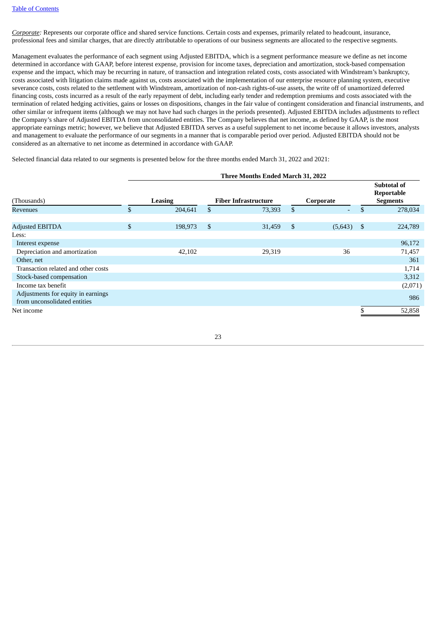*Corporate:* Represents our corporate office and shared service functions. Certain costs and expenses, primarily related to headcount, insurance, professional fees and similar charges, that are directly attributable to operations of our business segments are allocated to the respective segments.

Management evaluates the performance of each segment using Adjusted EBITDA, which is a segment performance measure we define as net income determined in accordance with GAAP, before interest expense, provision for income taxes, depreciation and amortization, stock-based compensation expense and the impact, which may be recurring in nature, of transaction and integration related costs, costs associated with Windstream's bankruptcy, costs associated with litigation claims made against us, costs associated with the implementation of our enterprise resource planning system, executive severance costs, costs related to the settlement with Windstream, amortization of non-cash rights-of-use assets, the write off of unamortized deferred financing costs, costs incurred as a result of the early repayment of debt, including early tender and redemption premiums and costs associated with the termination of related hedging activities, gains or losses on dispositions, changes in the fair value of contingent consideration and financial instruments, and other similar or infrequent items (although we may not have had such charges in the periods presented). Adjusted EBITDA includes adjustments to reflect the Company's share of Adjusted EBITDA from unconsolidated entities. The Company believes that net income, as defined by GAAP, is the most appropriate earnings metric; however, we believe that Adjusted EBITDA serves as a useful supplement to net income because it allows investors, analysts and management to evaluate the performance of our segments in a manner that is comparable period over period. Adjusted EBITDA should not be considered as an alternative to net income as determined in accordance with GAAP.

Selected financial data related to our segments is presented below for the three months ended March 31, 2022 and 2021:

|                                                                    | Three Months Ended March 31, 2022 |                |                |                                          |                |         |                                                     |         |  |  |  |
|--------------------------------------------------------------------|-----------------------------------|----------------|----------------|------------------------------------------|----------------|---------|-----------------------------------------------------|---------|--|--|--|
| (Thousands)                                                        |                                   | <b>Leasing</b> |                | <b>Fiber Infrastructure</b><br>Corporate |                |         | <b>Subtotal of</b><br>Reportable<br><b>Segments</b> |         |  |  |  |
| <b>Revenues</b>                                                    | \$                                | 204,641        | \$             | 73,393                                   | $\mathbb{S}$   | ٠       | \$                                                  | 278,034 |  |  |  |
|                                                                    |                                   |                |                |                                          |                |         |                                                     |         |  |  |  |
| <b>Adjusted EBITDA</b>                                             | \$                                | 198,973        | $\mathfrak{S}$ | 31,459                                   | $\mathfrak{s}$ | (5,643) | - \$                                                | 224,789 |  |  |  |
| Less:                                                              |                                   |                |                |                                          |                |         |                                                     |         |  |  |  |
| Interest expense                                                   |                                   |                |                |                                          |                |         |                                                     | 96,172  |  |  |  |
| Depreciation and amortization                                      |                                   | 42,102         |                | 29,319                                   |                | 36      |                                                     | 71,457  |  |  |  |
| Other, net                                                         |                                   |                |                |                                          |                |         |                                                     | 361     |  |  |  |
| Transaction related and other costs                                |                                   |                |                |                                          |                |         |                                                     | 1,714   |  |  |  |
| Stock-based compensation                                           |                                   |                |                |                                          |                |         |                                                     | 3,312   |  |  |  |
| Income tax benefit                                                 |                                   |                |                |                                          |                |         |                                                     | (2,071) |  |  |  |
| Adjustments for equity in earnings<br>from unconsolidated entities |                                   |                |                |                                          |                |         |                                                     | 986     |  |  |  |
| Net income                                                         |                                   |                |                |                                          |                |         |                                                     | 52,858  |  |  |  |

### **Three Months Ended March 31, 2022**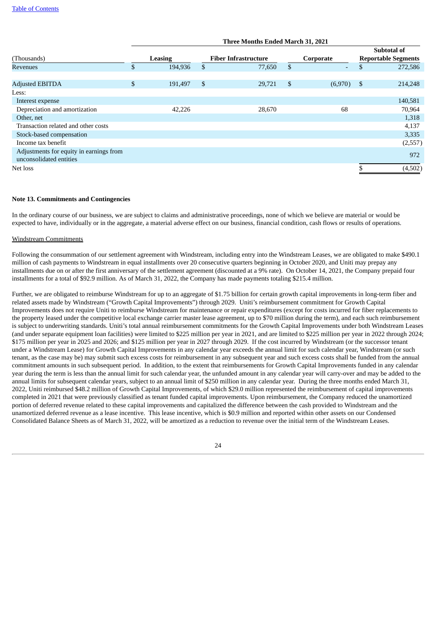|                                         | Three Months Ended March 31, 2021 |         |    |                             |                |           |                                           |         |  |  |  |
|-----------------------------------------|-----------------------------------|---------|----|-----------------------------|----------------|-----------|-------------------------------------------|---------|--|--|--|
| (Thousands)                             | Leasing                           |         |    | <b>Fiber Infrastructure</b> |                | Corporate | Subtotal of<br><b>Reportable Segments</b> |         |  |  |  |
| <b>Revenues</b>                         | \$                                | 194,936 | \$ | 77,650                      | $\mathfrak{S}$ | ۰.        | \$                                        | 272,586 |  |  |  |
|                                         |                                   |         |    |                             |                |           |                                           |         |  |  |  |
| <b>Adjusted EBITDA</b>                  | \$                                | 191,497 | \$ | 29,721                      | \$             | (6,970)   | \$                                        | 214,248 |  |  |  |
| Less:                                   |                                   |         |    |                             |                |           |                                           |         |  |  |  |
| Interest expense                        |                                   |         |    |                             |                |           |                                           | 140,581 |  |  |  |
| Depreciation and amortization           |                                   | 42,226  |    | 28,670                      |                | 68        |                                           | 70,964  |  |  |  |
| Other, net                              |                                   |         |    |                             |                |           |                                           | 1,318   |  |  |  |
| Transaction related and other costs     |                                   |         |    |                             |                |           |                                           | 4,137   |  |  |  |
| Stock-based compensation                |                                   |         |    |                             |                |           |                                           | 3,335   |  |  |  |
| Income tax benefit                      |                                   |         |    |                             |                |           |                                           | (2,557) |  |  |  |
| Adjustments for equity in earnings from |                                   |         |    |                             |                |           |                                           | 972     |  |  |  |
| unconsolidated entities                 |                                   |         |    |                             |                |           |                                           |         |  |  |  |
| Net loss                                |                                   |         |    |                             |                |           |                                           | (4,502) |  |  |  |

#### <span id="page-23-0"></span>**Note 13. Commitments and Contingencies**

In the ordinary course of our business, we are subject to claims and administrative proceedings, none of which we believe are material or would be expected to have, individually or in the aggregate, a material adverse effect on our business, financial condition, cash flows or results of operations.

#### Windstream Commitments

Following the consummation of our settlement agreement with Windstream, including entry into the Windstream Leases, we are obligated to make \$490.1 million of cash payments to Windstream in equal installments over 20 consecutive quarters beginning in October 2020, and Uniti may prepay any installments due on or after the first anniversary of the settlement agreement (discounted at a 9% rate). On October 14, 2021, the Company prepaid four installments for a total of \$92.9 million. As of March 31, 2022, the Company has made payments totaling \$215.4 million.

Further, we are obligated to reimburse Windstream for up to an aggregate of \$1.75 billion for certain growth capital improvements in long-term fiber and related assets made by Windstream ("Growth Capital Improvements") through 2029. Uniti's reimbursement commitment for Growth Capital Improvements does not require Uniti to reimburse Windstream for maintenance or repair expenditures (except for costs incurred for fiber replacements to the property leased under the competitive local exchange carrier master lease agreement, up to \$70 million during the term), and each such reimbursement is subject to underwriting standards. Uniti's total annual reimbursement commitments for the Growth Capital Improvements under both Windstream Leases (and under separate equipment loan facilities) were limited to \$225 million per year in 2021, and are limited to \$225 million per year in 2022 through 2024; \$175 million per year in 2025 and 2026; and \$125 million per year in 2027 through 2029. If the cost incurred by Windstream (or the successor tenant under a Windstream Lease) for Growth Capital Improvements in any calendar year exceeds the annual limit for such calendar year, Windstream (or such tenant, as the case may be) may submit such excess costs for reimbursement in any subsequent year and such excess costs shall be funded from the annual commitment amounts in such subsequent period. In addition, to the extent that reimbursements for Growth Capital Improvements funded in any calendar year during the term is less than the annual limit for such calendar year, the unfunded amount in any calendar year will carry-over and may be added to the annual limits for subsequent calendar years, subject to an annual limit of \$250 million in any calendar year. During the three months ended March 31, 2022, Uniti reimbursed \$48.2 million of Growth Capital Improvements, of which \$29.0 million represented the reimbursement of capital improvements completed in 2021 that were previously classified as tenant funded capital improvements. Upon reimbursement, the Company reduced the unamortized portion of deferred revenue related to these capital improvements and capitalized the difference between the cash provided to Windstream and the unamortized deferred revenue as a lease incentive. This lease incentive, which is \$0.9 million and reported within other assets on our Condensed Consolidated Balance Sheets as of March 31, 2022, will be amortized as a reduction to revenue over the initial term of the Windstream Leases.

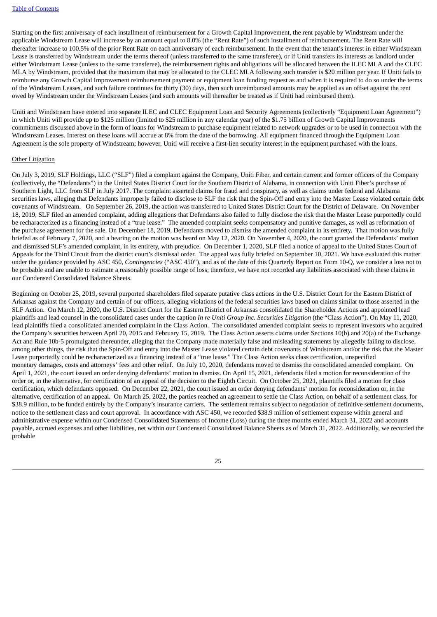Starting on the first anniversary of each installment of reimbursement for a Growth Capital Improvement, the rent payable by Windstream under the applicable Windstream Lease will increase by an amount equal to 8.0% (the "Rent Rate") of such installment of reimbursement. The Rent Rate will thereafter increase to 100.5% of the prior Rent Rate on each anniversary of each reimbursement. In the event that the tenant's interest in either Windstream Lease is transferred by Windstream under the terms thereof (unless transferred to the same transferee), or if Uniti transfers its interests as landlord under either Windstream Lease (unless to the same transferee), the reimbursement rights and obligations will be allocated between the ILEC MLA and the CLEC MLA by Windstream, provided that the maximum that may be allocated to the CLEC MLA following such transfer is \$20 million per year. If Uniti fails to reimburse any Growth Capital Improvement reimbursement payment or equipment loan funding request as and when it is required to do so under the terms of the Windstream Leases, and such failure continues for thirty (30) days, then such unreimbursed amounts may be applied as an offset against the rent owed by Windstream under the Windstream Leases (and such amounts will thereafter be treated as if Uniti had reimbursed them).

Uniti and Windstream have entered into separate ILEC and CLEC Equipment Loan and Security Agreements (collectively "Equipment Loan Agreement") in which Uniti will provide up to \$125 million (limited to \$25 million in any calendar year) of the \$1.75 billion of Growth Capital Improvements commitments discussed above in the form of loans for Windstream to purchase equipment related to network upgrades or to be used in connection with the Windstream Leases. Interest on these loans will accrue at 8% from the date of the borrowing. All equipment financed through the Equipment Loan Agreement is the sole property of Windstream; however, Uniti will receive a first-lien security interest in the equipment purchased with the loans.

#### **Other Litigation**

On July 3, 2019, SLF Holdings, LLC ("SLF") filed a complaint against the Company, Uniti Fiber, and certain current and former officers of the Company (collectively, the "Defendants") in the United States District Court for the Southern District of Alabama, in connection with Uniti Fiber's purchase of Southern Light, LLC from SLF in July 2017. The complaint asserted claims for fraud and conspiracy, as well as claims under federal and Alabama securities laws, alleging that Defendants improperly failed to disclose to SLF the risk that the Spin-Off and entry into the Master Lease violated certain debt covenants of Windstream. On September 26, 2019, the action was transferred to United States District Court for the District of Delaware. On November 18, 2019, SLF filed an amended complaint, adding allegations that Defendants also failed to fully disclose the risk that the Master Lease purportedly could be recharacterized as a financing instead of a "true lease." The amended complaint seeks compensatory and punitive damages, as well as reformation of the purchase agreement for the sale. On December 18, 2019, Defendants moved to dismiss the amended complaint in its entirety. That motion was fully briefed as of February 7, 2020, and a hearing on the motion was heard on May 12, 2020. On November 4, 2020, the court granted the Defendants' motion and dismissed SLF's amended complaint, in its entirety, with prejudice. On December 1, 2020, SLF filed a notice of appeal to the United States Court of Appeals for the Third Circuit from the district court's dismissal order. The appeal was fully briefed on September 10, 2021. We have evaluated this matter under the guidance provided by ASC 450, *Contingencies* ("ASC 450"), and as of the date of this Quarterly Report on Form 10-Q, we consider a loss not to be probable and are unable to estimate a reasonably possible range of loss; therefore, we have not recorded any liabilities associated with these claims in our Condensed Consolidated Balance Sheets.

Beginning on October 25, 2019, several purported shareholders filed separate putative class actions in the U.S. District Court for the Eastern District of Arkansas against the Company and certain of our officers, alleging violations of the federal securities laws based on claims similar to those asserted in the SLF Action. On March 12, 2020, the U.S. District Court for the Eastern District of Arkansas consolidated the Shareholder Actions and appointed lead plaintiffs and lead counsel in the consolidated cases under the caption *In re Uniti Group Inc. Securities Litigation* (the "Class Action"). On May 11, 2020, lead plaintiffs filed a consolidated amended complaint in the Class Action. The consolidated amended complaint seeks to represent investors who acquired the Company's securities between April 20, 2015 and February 15, 2019. The Class Action asserts claims under Sections 10(b) and 20(a) of the Exchange Act and Rule 10b-5 promulgated thereunder, alleging that the Company made materially false and misleading statements by allegedly failing to disclose, among other things, the risk that the Spin-Off and entry into the Master Lease violated certain debt covenants of Windstream and/or the risk that the Master Lease purportedly could be recharacterized as a financing instead of a "true lease." The Class Action seeks class certification, unspecified monetary damages, costs and attorneys' fees and other relief. On July 10, 2020, defendants moved to dismiss the consolidated amended complaint. On April 1, 2021, the court issued an order denying defendants' motion to dismiss. On April 15, 2021, defendants filed a motion for reconsideration of the order or, in the alternative, for certification of an appeal of the decision to the Eighth Circuit. On October 25, 2021, plaintiffs filed a motion for class certification, which defendants opposed. On December 22, 2021, the court issued an order denying defendants' motion for reconsideration or, in the alternative, certification of an appeal. On March 25, 2022, the parties reached an agreement to settle the Class Action, on behalf of a settlement class, for \$38.9 million, to be funded entirely by the Company's insurance carriers. The settlement remains subject to negotiation of definitive settlement documents, notice to the settlement class and court approval. In accordance with ASC 450, we recorded \$38.9 million of settlement expense within general and administrative expense within our Condensed Consolidated Statements of Income (Loss) during the three months ended March 31, 2022 and accounts payable, accrued expenses and other liabilities, net within our Condensed Consolidated Balance Sheets as of March 31, 2022. Additionally, we recorded the probable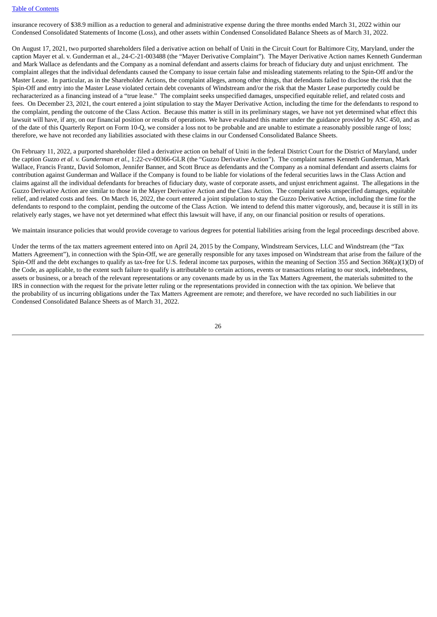insurance recovery of \$38.9 million as a reduction to general and administrative expense during the three months ended March 31, 2022 within our Condensed Consolidated Statements of Income (Loss), and other assets within Condensed Consolidated Balance Sheets as of March 31, 2022.

On August 17, 2021, two purported shareholders filed a derivative action on behalf of Uniti in the Circuit Court for Baltimore City, Maryland, under the caption Mayer et al. v. Gunderman et al., 24-C-21-003488 (the "Mayer Derivative Complaint"). The Mayer Derivative Action names Kenneth Gunderman and Mark Wallace as defendants and the Company as a nominal defendant and asserts claims for breach of fiduciary duty and unjust enrichment. The complaint alleges that the individual defendants caused the Company to issue certain false and misleading statements relating to the Spin-Off and/or the Master Lease. In particular, as in the Shareholder Actions, the complaint alleges, among other things, that defendants failed to disclose the risk that the Spin-Off and entry into the Master Lease violated certain debt covenants of Windstream and/or the risk that the Master Lease purportedly could be recharacterized as a financing instead of a "true lease." The complaint seeks unspecified damages, unspecified equitable relief, and related costs and fees. On December 23, 2021, the court entered a joint stipulation to stay the Mayer Derivative Action, including the time for the defendants to respond to the complaint, pending the outcome of the Class Action. Because this matter is still in its preliminary stages, we have not yet determined what effect this lawsuit will have, if any, on our financial position or results of operations. We have evaluated this matter under the guidance provided by ASC 450, and as of the date of this Quarterly Report on Form 10-Q, we consider a loss not to be probable and are unable to estimate a reasonably possible range of loss; therefore, we have not recorded any liabilities associated with these claims in our Condensed Consolidated Balance Sheets.

On February 11, 2022, a purported shareholder filed a derivative action on behalf of Uniti in the federal District Court for the District of Maryland, under the caption *Guzzo et al. v. Gunderman et al.*, 1:22-cv-00366-GLR (the "Guzzo Derivative Action"). The complaint names Kenneth Gunderman, Mark Wallace, Francis Frantz, David Solomon, Jennifer Banner, and Scott Bruce as defendants and the Company as a nominal defendant and asserts claims for contribution against Gunderman and Wallace if the Company is found to be liable for violations of the federal securities laws in the Class Action and claims against all the individual defendants for breaches of fiduciary duty, waste of corporate assets, and unjust enrichment against. The allegations in the Guzzo Derivative Action are similar to those in the Mayer Derivative Action and the Class Action. The complaint seeks unspecified damages, equitable relief, and related costs and fees. On March 16, 2022, the court entered a joint stipulation to stay the Guzzo Derivative Action, including the time for the defendants to respond to the complaint, pending the outcome of the Class Action. We intend to defend this matter vigorously, and, because it is still in its relatively early stages, we have not yet determined what effect this lawsuit will have, if any, on our financial position or results of operations.

We maintain insurance policies that would provide coverage to various degrees for potential liabilities arising from the legal proceedings described above.

Under the terms of the tax matters agreement entered into on April 24, 2015 by the Company, Windstream Services, LLC and Windstream (the "Tax Matters Agreement"), in connection with the Spin-Off, we are generally responsible for any taxes imposed on Windstream that arise from the failure of the Spin-Off and the debt exchanges to qualify as tax-free for U.S. federal income tax purposes, within the meaning of Section 355 and Section 368(a)(1)(D) of the Code, as applicable, to the extent such failure to qualify is attributable to certain actions, events or transactions relating to our stock, indebtedness, assets or business, or a breach of the relevant representations or any covenants made by us in the Tax Matters Agreement, the materials submitted to the IRS in connection with the request for the private letter ruling or the representations provided in connection with the tax opinion. We believe that the probability of us incurring obligations under the Tax Matters Agreement are remote; and therefore, we have recorded no such liabilities in our Condensed Consolidated Balance Sheets as of March 31, 2022.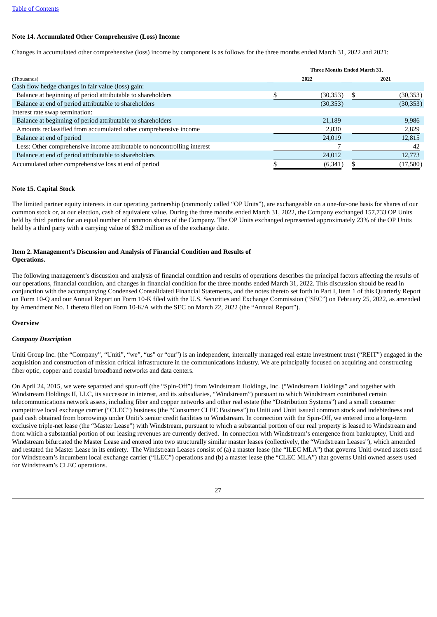#### <span id="page-26-0"></span>**Note 14. Accumulated Other Comprehensive (Loss) Income**

Changes in accumulated other comprehensive (loss) income by component is as follows for the three months ended March 31, 2022 and 2021:

|                                                                          | <b>Three Months Ended March 31,</b> |  |           |  |  |  |  |  |
|--------------------------------------------------------------------------|-------------------------------------|--|-----------|--|--|--|--|--|
| (Thousands)                                                              | 2022                                |  | 2021      |  |  |  |  |  |
| Cash flow hedge changes in fair value (loss) gain:                       |                                     |  |           |  |  |  |  |  |
| Balance at beginning of period attributable to shareholders              | (30, 353)                           |  | (30,353)  |  |  |  |  |  |
| Balance at end of period attributable to shareholders                    | (30, 353)                           |  | (30, 353) |  |  |  |  |  |
| Interest rate swap termination:                                          |                                     |  |           |  |  |  |  |  |
| Balance at beginning of period attributable to shareholders              | 21,189                              |  | 9,986     |  |  |  |  |  |
| Amounts reclassified from accumulated other comprehensive income         | 2,830                               |  | 2,829     |  |  |  |  |  |
| Balance at end of period                                                 | 24,019                              |  | 12,815    |  |  |  |  |  |
| Less: Other comprehensive income attributable to noncontrolling interest |                                     |  | 42        |  |  |  |  |  |
| Balance at end of period attributable to shareholders                    | 24,012                              |  | 12,773    |  |  |  |  |  |
| Accumulated other comprehensive loss at end of period                    | (6, 341)                            |  | (17,580)  |  |  |  |  |  |

#### <span id="page-26-1"></span>**Note 15. Capital Stock**

The limited partner equity interests in our operating partnership (commonly called "OP Units"), are exchangeable on a one-for-one basis for shares of our common stock or, at our election, cash of equivalent value. During the three months ended March 31, 2022, the Company exchanged 157,733 OP Units held by third parties for an equal number of common shares of the Company. The OP Units exchanged represented approximately 23% of the OP Units held by a third party with a carrying value of \$3.2 million as of the exchange date.

#### <span id="page-26-2"></span>**Item 2. Management's Discussion and Analysis of Financial Condition and Results of Operations.**

The following management's discussion and analysis of financial condition and results of operations describes the principal factors affecting the results of our operations, financial condition, and changes in financial condition for the three months ended March 31, 2022. This discussion should be read in conjunction with the accompanying Condensed Consolidated Financial Statements, and the notes thereto set forth in Part I, Item 1 of this Quarterly Report on Form 10-Q and our Annual Report on Form 10-K filed with the U.S. Securities and Exchange Commission ("SEC") on February 25, 2022, as amended by Amendment No. 1 thereto filed on Form 10-K/A with the SEC on March 22, 2022 (the "Annual Report").

#### <span id="page-26-3"></span>**Overview**

#### *Company Description*

Uniti Group Inc. (the "Company", "Uniti", "we", "us" or "our") is an independent, internally managed real estate investment trust ("REIT") engaged in the acquisition and construction of mission critical infrastructure in the communications industry. We are principally focused on acquiring and constructing fiber optic, copper and coaxial broadband networks and data centers.

On April 24, 2015, we were separated and spun-off (the "Spin-Off") from Windstream Holdings, Inc. ("Windstream Holdings" and together with Windstream Holdings II, LLC, its successor in interest, and its subsidiaries, "Windstream") pursuant to which Windstream contributed certain telecommunications network assets, including fiber and copper networks and other real estate (the "Distribution Systems") and a small consumer competitive local exchange carrier ("CLEC") business (the "Consumer CLEC Business") to Uniti and Uniti issued common stock and indebtedness and paid cash obtained from borrowings under Uniti's senior credit facilities to Windstream. In connection with the Spin-Off, we entered into a long-term exclusive triple-net lease (the "Master Lease") with Windstream, pursuant to which a substantial portion of our real property is leased to Windstream and from which a substantial portion of our leasing revenues are currently derived. In connection with Windstream's emergence from bankruptcy, Uniti and Windstream bifurcated the Master Lease and entered into two structurally similar master leases (collectively, the "Windstream Leases"), which amended and restated the Master Lease in its entirety. The Windstream Leases consist of (a) a master lease (the "ILEC MLA") that governs Uniti owned assets used for Windstream's incumbent local exchange carrier ("ILEC") operations and (b) a master lease (the "CLEC MLA") that governs Uniti owned assets used for Windstream's CLEC operations.

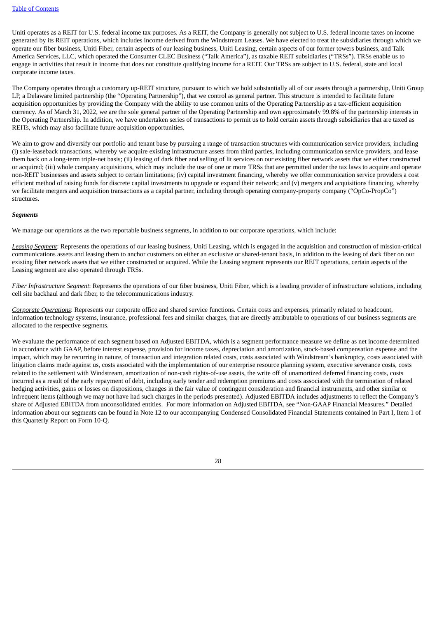Uniti operates as a REIT for U.S. federal income tax purposes. As a REIT, the Company is generally not subject to U.S. federal income taxes on income generated by its REIT operations, which includes income derived from the Windstream Leases. We have elected to treat the subsidiaries through which we operate our fiber business, Uniti Fiber, certain aspects of our leasing business, Uniti Leasing, certain aspects of our former towers business, and Talk America Services, LLC, which operated the Consumer CLEC Business ("Talk America"), as taxable REIT subsidiaries ("TRSs"). TRSs enable us to engage in activities that result in income that does not constitute qualifying income for a REIT. Our TRSs are subject to U.S. federal, state and local corporate income taxes.

The Company operates through a customary up-REIT structure, pursuant to which we hold substantially all of our assets through a partnership, Uniti Group LP, a Delaware limited partnership (the "Operating Partnership"), that we control as general partner. This structure is intended to facilitate future acquisition opportunities by providing the Company with the ability to use common units of the Operating Partnership as a tax-efficient acquisition currency. As of March 31, 2022, we are the sole general partner of the Operating Partnership and own approximately 99.8% of the partnership interests in the Operating Partnership. In addition, we have undertaken series of transactions to permit us to hold certain assets through subsidiaries that are taxed as REITs, which may also facilitate future acquisition opportunities.

We aim to grow and diversify our portfolio and tenant base by pursuing a range of transaction structures with communication service providers, including (i) sale-leaseback transactions, whereby we acquire existing infrastructure assets from third parties, including communication service providers, and lease them back on a long-term triple-net basis; (ii) leasing of dark fiber and selling of lit services on our existing fiber network assets that we either constructed or acquired; (iii) whole company acquisitions, which may include the use of one or more TRSs that are permitted under the tax laws to acquire and operate non-REIT businesses and assets subject to certain limitations; (iv) capital investment financing, whereby we offer communication service providers a cost efficient method of raising funds for discrete capital investments to upgrade or expand their network; and (v) mergers and acquisitions financing, whereby we facilitate mergers and acquisition transactions as a capital partner, including through operating company-property company ("OpCo-PropCo") structures.

#### *Segments*

We manage our operations as the two reportable business segments, in addition to our corporate operations, which include:

*Leasing Segment*: Represents the operations of our leasing business, Uniti Leasing, which is engaged in the acquisition and construction of mission-critical communications assets and leasing them to anchor customers on either an exclusive or shared-tenant basis, in addition to the leasing of dark fiber on our existing fiber network assets that we either constructed or acquired. While the Leasing segment represents our REIT operations, certain aspects of the Leasing segment are also operated through TRSs.

*Fiber Infrastructure Segment*: Represents the operations of our fiber business, Uniti Fiber, which is a leading provider of infrastructure solutions, including cell site backhaul and dark fiber, to the telecommunications industry.

*Corporate Operations*: Represents our corporate office and shared service functions. Certain costs and expenses, primarily related to headcount, information technology systems, insurance, professional fees and similar charges, that are directly attributable to operations of our business segments are allocated to the respective segments.

We evaluate the performance of each segment based on Adjusted EBITDA, which is a segment performance measure we define as net income determined in accordance with GAAP, before interest expense, provision for income taxes, depreciation and amortization, stock-based compensation expense and the impact, which may be recurring in nature, of transaction and integration related costs, costs associated with Windstream's bankruptcy, costs associated with litigation claims made against us, costs associated with the implementation of our enterprise resource planning system, executive severance costs, costs related to the settlement with Windstream, amortization of non-cash rights-of-use assets, the write off of unamortized deferred financing costs, costs incurred as a result of the early repayment of debt, including early tender and redemption premiums and costs associated with the termination of related hedging activities, gains or losses on dispositions, changes in the fair value of contingent consideration and financial instruments, and other similar or infrequent items (although we may not have had such charges in the periods presented). Adjusted EBITDA includes adjustments to reflect the Company's share of Adjusted EBITDA from unconsolidated entities. For more information on Adjusted EBITDA, see "Non-GAAP Financial Measures." Detailed information about our segments can be found in Note 12 to our accompanying Condensed Consolidated Financial Statements contained in Part I, Item 1 of this Quarterly Report on Form 10-Q.

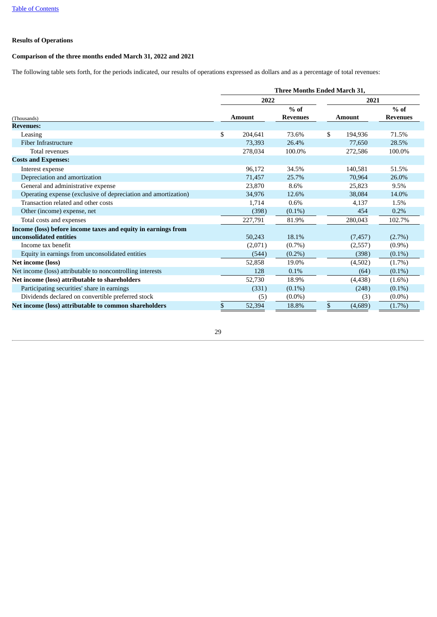#### **Results of Operations**

#### <span id="page-28-0"></span>**Comparison of the three months ended March 31, 2022 and 2021**

The following table sets forth, for the periods indicated, our results of operations expressed as dollars and as a percentage of total revenues:

|                                                                | <b>Three Months Ended March 31.</b> |               |                           |               |          |                           |  |  |  |
|----------------------------------------------------------------|-------------------------------------|---------------|---------------------------|---------------|----------|---------------------------|--|--|--|
|                                                                |                                     | 2022          |                           |               | 2021     |                           |  |  |  |
| (Thousands)                                                    |                                     | <b>Amount</b> | $%$ of<br><b>Revenues</b> | <b>Amount</b> |          | $%$ of<br><b>Revenues</b> |  |  |  |
| <b>Revenues:</b>                                               |                                     |               |                           |               |          |                           |  |  |  |
| Leasing                                                        | \$                                  | 204,641       | 73.6%                     | \$            | 194,936  | 71.5%                     |  |  |  |
| Fiber Infrastructure                                           |                                     | 73,393        | 26.4%                     |               | 77,650   | 28.5%                     |  |  |  |
| Total revenues                                                 |                                     | 278,034       | 100.0%                    |               | 272,586  | 100.0%                    |  |  |  |
| <b>Costs and Expenses:</b>                                     |                                     |               |                           |               |          |                           |  |  |  |
| Interest expense                                               |                                     | 96,172        | 34.5%                     |               | 140,581  | 51.5%                     |  |  |  |
| Depreciation and amortization                                  |                                     | 71,457        | 25.7%                     |               | 70,964   | 26.0%                     |  |  |  |
| General and administrative expense                             |                                     | 23,870        | 8.6%                      |               | 25,823   | 9.5%                      |  |  |  |
| Operating expense (exclusive of depreciation and amortization) |                                     | 34,976        | 12.6%                     |               | 38.084   | 14.0%                     |  |  |  |
| Transaction related and other costs                            |                                     | 1,714         | 0.6%                      |               | 4,137    | 1.5%                      |  |  |  |
| Other (income) expense, net                                    |                                     | (398)         | $(0.1\%)$                 |               | 454      | 0.2%                      |  |  |  |
| Total costs and expenses                                       |                                     | 227,791       | 81.9%                     |               | 280,043  | 102.7%                    |  |  |  |
| Income (loss) before income taxes and equity in earnings from  |                                     |               |                           |               |          |                           |  |  |  |
| unconsolidated entities                                        |                                     | 50,243        | 18.1%                     |               | (7, 457) | $(2.7\%)$                 |  |  |  |
| Income tax benefit                                             |                                     | (2,071)       | $(0.7\%)$                 |               | (2,557)  | $(0.9\%)$                 |  |  |  |
| Equity in earnings from unconsolidated entities                |                                     | (544)         | $(0.2\%)$                 |               | (398)    | $(0.1\%)$                 |  |  |  |
| Net income (loss)                                              |                                     | 52,858        | 19.0%                     |               | (4,502)  | $(1.7\%)$                 |  |  |  |
| Net income (loss) attributable to noncontrolling interests     |                                     | 128           | 0.1%                      |               | (64)     | $(0.1\%)$                 |  |  |  |
| Net income (loss) attributable to shareholders                 |                                     | 52,730        | 18.9%                     |               | (4, 438) | $(1.6\%)$                 |  |  |  |
| Participating securities' share in earnings                    |                                     | (331)         | $(0.1\%)$                 |               | (248)    | $(0.1\%)$                 |  |  |  |
| Dividends declared on convertible preferred stock              |                                     | (5)           | $(0.0\%)$                 |               | (3)      | $(0.0\%)$                 |  |  |  |
| Net income (loss) attributable to common shareholders          | \$                                  | 52,394        | 18.8%                     | \$            | (4,689)  | $(1.7\%)$                 |  |  |  |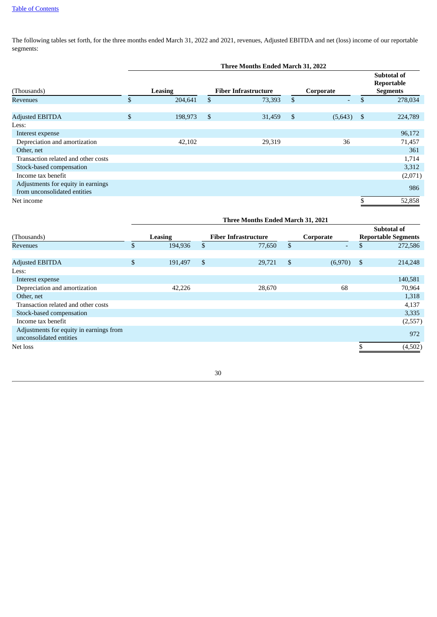The following tables set forth, for the three months ended March 31, 2022 and 2021, revenues, Adjusted EBITDA and net (loss) income of our reportable segments:

|                                                                    | Three Months Ended March 31, 2022 |              |                             |    |           |            |                                                     |  |  |  |
|--------------------------------------------------------------------|-----------------------------------|--------------|-----------------------------|----|-----------|------------|-----------------------------------------------------|--|--|--|
| (Thousands)                                                        | Leasing                           |              | <b>Fiber Infrastructure</b> |    | Corporate |            | <b>Subtotal of</b><br>Reportable<br><b>Segments</b> |  |  |  |
| <b>Revenues</b>                                                    | \$<br>204,641                     | \$           | 73,393                      | \$ | ٠         | \$         | 278,034                                             |  |  |  |
| <b>Adjusted EBITDA</b>                                             | \$<br>198,973                     | $\mathbb{S}$ | 31,459                      | \$ | (5,643)   | $^{\circ}$ | 224,789                                             |  |  |  |
| Less:                                                              |                                   |              |                             |    |           |            |                                                     |  |  |  |
| Interest expense                                                   |                                   |              |                             |    |           |            | 96,172                                              |  |  |  |
| Depreciation and amortization                                      | 42,102                            |              | 29,319                      |    | 36        |            | 71,457                                              |  |  |  |
| Other, net                                                         |                                   |              |                             |    |           |            | 361                                                 |  |  |  |
| Transaction related and other costs                                |                                   |              |                             |    |           |            | 1,714                                               |  |  |  |
| Stock-based compensation                                           |                                   |              |                             |    |           |            | 3,312                                               |  |  |  |
| Income tax benefit                                                 |                                   |              |                             |    |           |            | (2,071)                                             |  |  |  |
| Adjustments for equity in earnings<br>from unconsolidated entities |                                   |              |                             |    |           |            | 986                                                 |  |  |  |
| Net income                                                         |                                   |              |                             |    |           |            | 52,858                                              |  |  |  |

|                                                                    | Three Months Ended March 31, 2021 |         |                             |        |                |           |                                                  |         |  |  |
|--------------------------------------------------------------------|-----------------------------------|---------|-----------------------------|--------|----------------|-----------|--------------------------------------------------|---------|--|--|
| (Thousands)                                                        | Leasing                           |         | <b>Fiber Infrastructure</b> |        |                | Corporate | <b>Subtotal of</b><br><b>Reportable Segments</b> |         |  |  |
| Revenues                                                           | \$                                | 194,936 | \$                          | 77,650 | \$             | ٠         | \$                                               | 272,586 |  |  |
|                                                                    |                                   |         |                             |        |                |           |                                                  |         |  |  |
| <b>Adjusted EBITDA</b>                                             | \$                                | 191,497 | \$                          | 29,721 | $\mathfrak{s}$ | (6,970)   | \$                                               | 214,248 |  |  |
| Less:                                                              |                                   |         |                             |        |                |           |                                                  |         |  |  |
| Interest expense                                                   |                                   |         |                             |        |                |           |                                                  | 140,581 |  |  |
| Depreciation and amortization                                      |                                   | 42,226  |                             | 28,670 |                | 68        |                                                  | 70,964  |  |  |
| Other, net                                                         |                                   |         |                             |        |                |           |                                                  | 1,318   |  |  |
| Transaction related and other costs                                |                                   |         |                             |        |                |           |                                                  | 4,137   |  |  |
| Stock-based compensation                                           |                                   |         |                             |        |                |           |                                                  | 3,335   |  |  |
| Income tax benefit                                                 |                                   |         |                             |        |                |           |                                                  | (2,557) |  |  |
| Adjustments for equity in earnings from<br>unconsolidated entities |                                   |         |                             |        |                |           |                                                  | 972     |  |  |
| Net loss                                                           |                                   |         |                             |        |                |           |                                                  | (4,502) |  |  |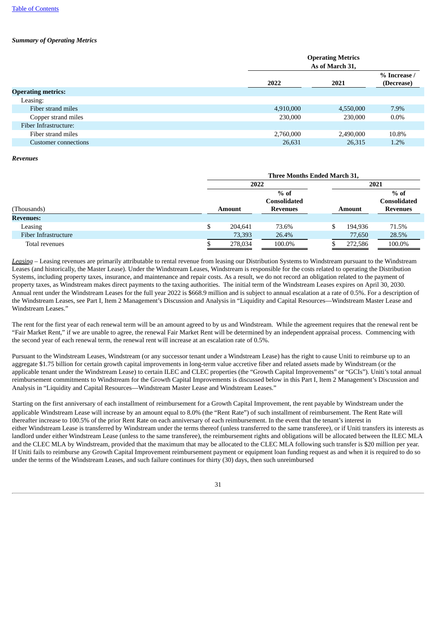#### *Summary of Operating Metrics*

| <b>Operating Metrics</b><br>As of March 31, |           |                            |  |  |  |
|---------------------------------------------|-----------|----------------------------|--|--|--|
| 2022                                        | 2021      | % Increase /<br>(Decrease) |  |  |  |
|                                             |           |                            |  |  |  |
|                                             |           |                            |  |  |  |
| 4,910,000                                   | 4,550,000 | 7.9%                       |  |  |  |
| 230,000                                     | 230,000   | $0.0\%$                    |  |  |  |
|                                             |           |                            |  |  |  |
| 2,760,000                                   | 2,490,000 | 10.8%                      |  |  |  |
| 26,631                                      | 26,315    | 1.2%                       |  |  |  |
|                                             |           |                            |  |  |  |

#### *Revenues*

|                      | Three Months Ended March 31, |               |                               |    |               |                               |  |  |  |  |
|----------------------|------------------------------|---------------|-------------------------------|----|---------------|-------------------------------|--|--|--|--|
|                      |                              | 2022          |                               |    |               | 2021                          |  |  |  |  |
|                      |                              |               | $%$ of<br><b>Consolidated</b> |    |               | $%$ of<br><b>Consolidated</b> |  |  |  |  |
| (Thousands)          |                              | <b>Amount</b> | <b>Revenues</b>               |    | <b>Amount</b> | <b>Revenues</b>               |  |  |  |  |
| <b>Revenues:</b>     |                              |               |                               |    |               |                               |  |  |  |  |
| Leasing              | \$                           | 204.641       | 73.6%                         | \$ | 194,936       | 71.5%                         |  |  |  |  |
| Fiber Infrastructure |                              | 73,393        | 26.4%                         |    | 77,650        | 28.5%                         |  |  |  |  |
| Total revenues       |                              | 278,034       | 100.0%                        |    | 272,586       | 100.0%                        |  |  |  |  |

*Leasing* – Leasing revenues are primarily attributable to rental revenue from leasing our Distribution Systems to Windstream pursuant to the Windstream Leases (and historically, the Master Lease). Under the Windstream Leases, Windstream is responsible for the costs related to operating the Distribution Systems, including property taxes, insurance, and maintenance and repair costs. As a result, we do not record an obligation related to the payment of property taxes, as Windstream makes direct payments to the taxing authorities. The initial term of the Windstream Leases expires on April 30, 2030. Annual rent under the Windstream Leases for the full year 2022 is \$668.9 million and is subject to annual escalation at a rate of 0.5%. For a description of the Windstream Leases, see Part I, Item 2 Management's Discussion and Analysis in "Liquidity and Capital Resources—Windstream Master Lease and Windstream Leases."

The rent for the first year of each renewal term will be an amount agreed to by us and Windstream. While the agreement requires that the renewal rent be "Fair Market Rent," if we are unable to agree, the renewal Fair Market Rent will be determined by an independent appraisal process. Commencing with the second year of each renewal term, the renewal rent will increase at an escalation rate of 0.5%.

Pursuant to the Windstream Leases, Windstream (or any successor tenant under a Windstream Lease) has the right to cause Uniti to reimburse up to an aggregate \$1.75 billion for certain growth capital improvements in long-term value accretive fiber and related assets made by Windstream (or the applicable tenant under the Windstream Lease) to certain ILEC and CLEC properties (the "Growth Capital Improvements" or "GCIs"). Uniti's total annual reimbursement commitments to Windstream for the Growth Capital Improvements is discussed below in this Part I, Item 2 Management's Discussion and Analysis in "Liquidity and Capital Resources—Windstream Master Lease and Windstream Leases."

Starting on the first anniversary of each installment of reimbursement for a Growth Capital Improvement, the rent payable by Windstream under the applicable Windstream Lease will increase by an amount equal to 8.0% (the "Rent Rate") of such installment of reimbursement. The Rent Rate will thereafter increase to 100.5% of the prior Rent Rate on each anniversary of each reimbursement. In the event that the tenant's interest in either Windstream Lease is transferred by Windstream under the terms thereof (unless transferred to the same transferee), or if Uniti transfers its interests as landlord under either Windstream Lease (unless to the same transferee), the reimbursement rights and obligations will be allocated between the ILEC MLA and the CLEC MLA by Windstream, provided that the maximum that may be allocated to the CLEC MLA following such transfer is \$20 million per year. If Uniti fails to reimburse any Growth Capital Improvement reimbursement payment or equipment loan funding request as and when it is required to do so under the terms of the Windstream Leases, and such failure continues for thirty (30) days, then such unreimbursed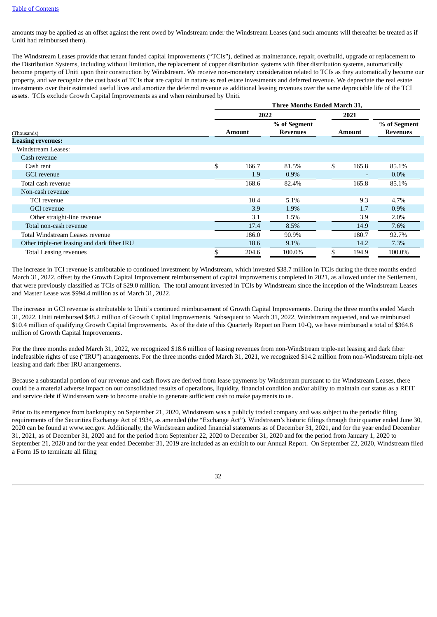amounts may be applied as an offset against the rent owed by Windstream under the Windstream Leases (and such amounts will thereafter be treated as if Uniti had reimbursed them).

The Windstream Leases provide that tenant funded capital improvements ("TCIs"), defined as maintenance, repair, overbuild, upgrade or replacement to the Distribution Systems, including without limitation, the replacement of copper distribution systems with fiber distribution systems, automatically become property of Uniti upon their construction by Windstream. We receive non-monetary consideration related to TCIs as they automatically become our property, and we recognize the cost basis of TCIs that are capital in nature as real estate investments and deferred revenue. We depreciate the real estate investments over their estimated useful lives and amortize the deferred revenue as additional leasing revenues over the same depreciable life of the TCI assets. TCIs exclude Growth Capital Improvements as and when reimbursed by Uniti.

|                                             | <b>Three Months Ended March 31,</b> |                 |      |        |                 |  |
|---------------------------------------------|-------------------------------------|-----------------|------|--------|-----------------|--|
|                                             | 2022                                |                 | 2021 |        |                 |  |
|                                             |                                     | % of Segment    |      |        | % of Segment    |  |
| (Thousands)                                 | <b>Amount</b>                       | <b>Revenues</b> |      | Amount | <b>Revenues</b> |  |
| <b>Leasing revenues:</b>                    |                                     |                 |      |        |                 |  |
| <b>Windstream Leases:</b>                   |                                     |                 |      |        |                 |  |
| Cash revenue                                |                                     |                 |      |        |                 |  |
| Cash rent                                   | \$<br>166.7                         | 81.5%           | \$   | 165.8  | 85.1%           |  |
| <b>GCI</b> revenue                          | 1.9                                 | $0.9\%$         |      |        | $0.0\%$         |  |
| Total cash revenue                          | 168.6                               | 82.4%           |      | 165.8  | 85.1%           |  |
| Non-cash revenue                            |                                     |                 |      |        |                 |  |
| <b>TCI</b> revenue                          | 10.4                                | 5.1%            |      | 9.3    | 4.7%            |  |
| <b>GCI</b> revenue                          | 3.9                                 | 1.9%            |      | 1.7    | $0.9\%$         |  |
| Other straight-line revenue                 | 3.1                                 | 1.5%            |      | 3.9    | 2.0%            |  |
| Total non-cash revenue                      | 17.4                                | 8.5%            |      | 14.9   | 7.6%            |  |
| Total Windstream Leases revenue             | 186.0                               | 90.9%           |      | 180.7  | 92.7%           |  |
| Other triple-net leasing and dark fiber IRU | 18.6                                | 9.1%            |      | 14.2   | 7.3%            |  |
| <b>Total Leasing revenues</b>               | 204.6                               | 100.0%          |      | 194.9  | 100.0%          |  |

The increase in TCI revenue is attributable to continued investment by Windstream, which invested \$38.7 million in TCIs during the three months ended March 31, 2022, offset by the Growth Capital Improvement reimbursement of capital improvements completed in 2021, as allowed under the Settlement, that were previously classified as TCIs of \$29.0 million. The total amount invested in TCIs by Windstream since the inception of the Windstream Leases and Master Lease was \$994.4 million as of March 31, 2022.

The increase in GCI revenue is attributable to Uniti's continued reimbursement of Growth Capital Improvements. During the three months ended March 31, 2022, Uniti reimbursed \$48.2 million of Growth Capital Improvements. Subsequent to March 31, 2022, Windstream requested, and we reimbursed \$10.4 million of qualifying Growth Capital Improvements. As of the date of this Quarterly Report on Form 10-Q, we have reimbursed a total of \$364.8 million of Growth Capital Improvements.

For the three months ended March 31, 2022, we recognized \$18.6 million of leasing revenues from non-Windstream triple-net leasing and dark fiber indefeasible rights of use ("IRU") arrangements. For the three months ended March 31, 2021, we recognized \$14.2 million from non-Windstream triple-net leasing and dark fiber IRU arrangements.

Because a substantial portion of our revenue and cash flows are derived from lease payments by Windstream pursuant to the Windstream Leases, there could be a material adverse impact on our consolidated results of operations, liquidity, financial condition and/or ability to maintain our status as a REIT and service debt if Windstream were to become unable to generate sufficient cash to make payments to us.

Prior to its emergence from bankruptcy on September 21, 2020, Windstream was a publicly traded company and was subject to the periodic filing requirements of the Securities Exchange Act of 1934, as amended (the "Exchange Act"). Windstream's historic filings through their quarter ended June 30, 2020 can be found at www.sec.gov. Additionally, the Windstream audited financial statements as of December 31, 2021, and for the year ended December 31, 2021, as of December 31, 2020 and for the period from September 22, 2020 to December 31, 2020 and for the period from January 1, 2020 to September 21, 2020 and for the year ended December 31, 2019 are included as an exhibit to our Annual Report. On September 22, 2020, Windstream filed a Form 15 to terminate all filing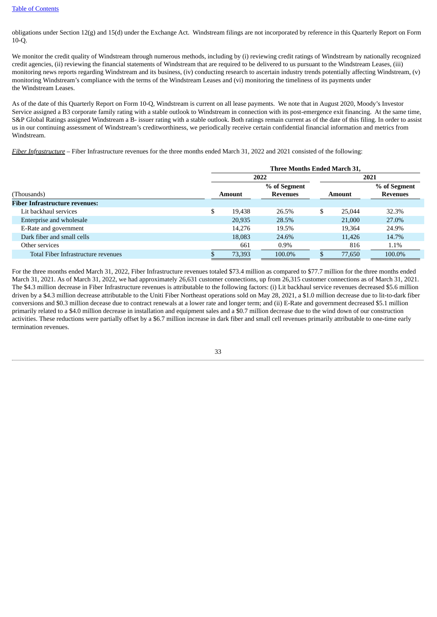obligations under Section 12(g) and 15(d) under the Exchange Act. Windstream filings are not incorporated by reference in this Quarterly Report on Form 10-Q.

We monitor the credit quality of Windstream through numerous methods, including by (i) reviewing credit ratings of Windstream by nationally recognized credit agencies, (ii) reviewing the financial statements of Windstream that are required to be delivered to us pursuant to the Windstream Leases, (iii) monitoring news reports regarding Windstream and its business, (iv) conducting research to ascertain industry trends potentially affecting Windstream, (v) monitoring Windstream's compliance with the terms of the Windstream Leases and (vi) monitoring the timeliness of its payments under the Windstream Leases.

As of the date of this Quarterly Report on Form 10-Q, Windstream is current on all lease payments. We note that in August 2020, Moody's Investor Service assigned a B3 corporate family rating with a stable outlook to Windstream in connection with its post-emergence exit financing. At the same time, S&P Global Ratings assigned Windstream a B- issuer rating with a stable outlook. Both ratings remain current as of the date of this filing. In order to assist us in our continuing assessment of Windstream's creditworthiness, we periodically receive certain confidential financial information and metrics from Windstream.

*Fiber Infrastructure* – Fiber Infrastructure revenues for the three months ended March 31, 2022 and 2021 consisted of the following:

|                                       | Three Months Ended March 31, |               |                 |    |               |                 |
|---------------------------------------|------------------------------|---------------|-----------------|----|---------------|-----------------|
|                                       |                              |               | 2022            |    |               | 2021            |
|                                       |                              |               | % of Segment    |    |               | % of Segment    |
| (Thousands)                           |                              | <b>Amount</b> | <b>Revenues</b> |    | <b>Amount</b> | <b>Revenues</b> |
| <b>Fiber Infrastructure revenues:</b> |                              |               |                 |    |               |                 |
| Lit backhaul services                 | \$                           | 19.438        | 26.5%           | \$ | 25,044        | 32.3%           |
| Enterprise and wholesale              |                              | 20,935        | 28.5%           |    | 21,000        | 27.0%           |
| E-Rate and government                 |                              | 14.276        | 19.5%           |    | 19.364        | 24.9%           |
| Dark fiber and small cells            |                              | 18,083        | 24.6%           |    | 11,426        | 14.7%           |
| Other services                        |                              | 661           | $0.9\%$         |    | 816           | 1.1%            |
| Total Fiber Infrastructure revenues   |                              | 73,393        | 100.0%          |    | 77,650        | 100.0%          |

For the three months ended March 31, 2022, Fiber Infrastructure revenues totaled \$73.4 million as compared to \$77.7 million for the three months ended March 31, 2021. As of March 31, 2022, we had approximately 26,631 customer connections, up from 26,315 customer connections as of March 31, 2021. The \$4.3 million decrease in Fiber Infrastructure revenues is attributable to the following factors: (i) Lit backhaul service revenues decreased \$5.6 million driven by a \$4.3 million decrease attributable to the Uniti Fiber Northeast operations sold on May 28, 2021, a \$1.0 million decrease due to lit-to-dark fiber conversions and \$0.3 million decease due to contract renewals at a lower rate and longer term; and (ii) E-Rate and government decreased \$5.1 million primarily related to a \$4.0 million decrease in installation and equipment sales and a \$0.7 million decrease due to the wind down of our construction activities. These reductions were partially offset by a \$6.7 million increase in dark fiber and small cell revenues primarily attributable to one-time early termination revenues.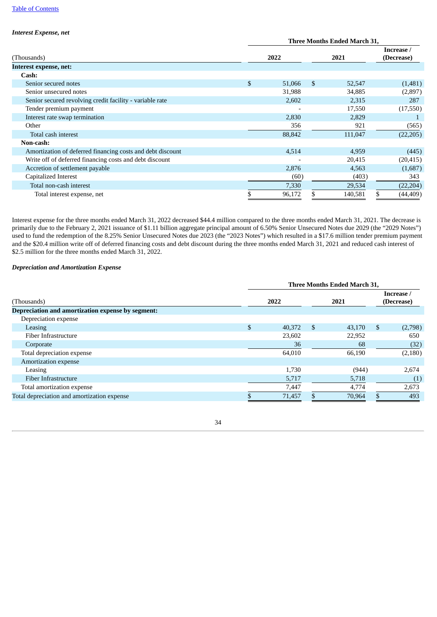#### *Interest Expense, net*

|                                                            | <b>Three Months Ended March 31,</b> |        |     |         |  |                          |
|------------------------------------------------------------|-------------------------------------|--------|-----|---------|--|--------------------------|
| (Thousands)                                                |                                     | 2022   |     | 2021    |  | Increase /<br>(Decrease) |
| Interest expense, net:                                     |                                     |        |     |         |  |                          |
| Cash:                                                      |                                     |        |     |         |  |                          |
| Senior secured notes                                       | \$                                  | 51,066 | \$. | 52,547  |  | (1,481)                  |
| Senior unsecured notes                                     |                                     | 31,988 |     | 34,885  |  | (2,897)                  |
| Senior secured revolving credit facility - variable rate   |                                     | 2,602  |     | 2,315   |  | 287                      |
| Tender premium payment                                     |                                     |        |     | 17,550  |  | (17, 550)                |
| Interest rate swap termination                             |                                     | 2,830  |     | 2,829   |  |                          |
| Other                                                      |                                     | 356    |     | 921     |  | (565)                    |
| Total cash interest                                        |                                     | 88,842 |     | 111,047 |  | (22, 205)                |
| Non-cash:                                                  |                                     |        |     |         |  |                          |
| Amortization of deferred financing costs and debt discount |                                     | 4,514  |     | 4,959   |  | (445)                    |
| Write off of deferred financing costs and debt discount    |                                     |        |     | 20,415  |  | (20, 415)                |
| Accretion of settlement payable                            |                                     | 2,876  |     | 4,563   |  | (1,687)                  |
| Capitalized Interest                                       |                                     | (60)   |     | (403)   |  | 343                      |
| Total non-cash interest                                    |                                     | 7,330  |     | 29,534  |  | (22, 204)                |
| Total interest expense, net                                |                                     | 96,172 |     | 140,581 |  | (44,409)                 |

Interest expense for the three months ended March 31, 2022 decreased \$44.4 million compared to the three months ended March 31, 2021. The decrease is primarily due to the February 2, 2021 issuance of \$1.11 billion aggregate principal amount of 6.50% Senior Unsecured Notes due 2029 (the "2029 Notes") used to fund the redemption of the 8.25% Senior Unsecured Notes due 2023 (the "2023 Notes") which resulted in a \$17.6 million tender premium payment and the \$20.4 million write off of deferred financing costs and debt discount during the three months ended March 31, 2021 and reduced cash interest of \$2.5 million for the three months ended March 31, 2022.

#### *Depreciation and Amortization Expense*

|                                                                  | <b>Three Months Ended March 31,</b> |        |               |        |    |                          |
|------------------------------------------------------------------|-------------------------------------|--------|---------------|--------|----|--------------------------|
| (Thousands)<br>Depreciation and amortization expense by segment: |                                     | 2022   |               | 2021   |    | Increase /<br>(Decrease) |
| Depreciation expense                                             |                                     |        |               |        |    |                          |
| Leasing                                                          | \$                                  | 40,372 | <sup>\$</sup> | 43,170 | \$ | (2,798)                  |
| <b>Fiber Infrastructure</b>                                      |                                     | 23,602 |               | 22,952 |    | 650                      |
| Corporate                                                        |                                     | 36     |               | 68     |    | (32)                     |
| Total depreciation expense                                       |                                     | 64,010 |               | 66,190 |    | (2,180)                  |
| Amortization expense                                             |                                     |        |               |        |    |                          |
| Leasing                                                          |                                     | 1,730  |               | (944)  |    | 2,674                    |
| Fiber Infrastructure                                             |                                     | 5,717  |               | 5,718  |    | (1)                      |
| Total amortization expense                                       |                                     | 7,447  |               | 4,774  |    | 2,673                    |
| Total depreciation and amortization expense                      |                                     | 71,457 |               | 70,964 |    | 493                      |

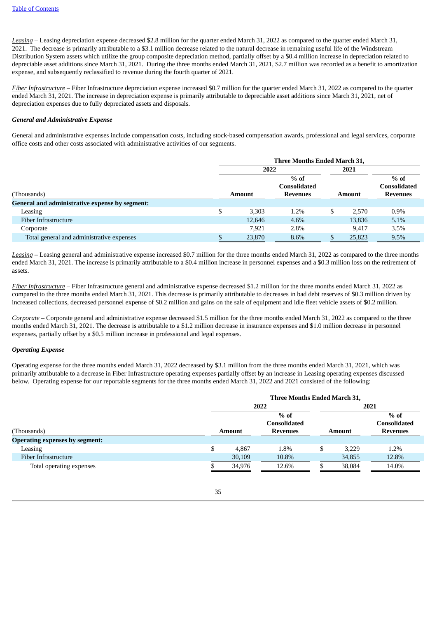*Leasing* – Leasing depreciation expense decreased \$2.8 million for the quarter ended March 31, 2022 as compared to the quarter ended March 31, 2021. The decrease is primarily attributable to a \$3.1 million decrease related to the natural decrease in remaining useful life of the Windstream Distribution System assets which utilize the group composite depreciation method, partially offset by a \$0.4 million increase in depreciation related to depreciable asset additions since March 31, 2021. During the three months ended March 31, 2021, \$2.7 million was recorded as a benefit to amortization expense, and subsequently reclassified to revenue during the fourth quarter of 2021.

*Fiber Infrastructure* – Fiber Infrastructure depreciation expense increased \$0.7 million for the quarter ended March 31, 2022 as compared to the quarter ended March 31, 2021. The increase in depreciation expense is primarily attributable to depreciable asset additions since March 31, 2021, net of depreciation expenses due to fully depreciated assets and disposals.

#### *General and Administrative Expense*

General and administrative expenses include compensation costs, including stock-based compensation awards, professional and legal services, corporate office costs and other costs associated with administrative activities of our segments.

|                                                | Three Months Ended March 31, |        |                               |      |        |                               |
|------------------------------------------------|------------------------------|--------|-------------------------------|------|--------|-------------------------------|
|                                                |                              | 2022   |                               | 2021 |        |                               |
|                                                |                              |        | $%$ of<br><b>Consolidated</b> |      |        | $%$ of<br><b>Consolidated</b> |
| (Thousands)                                    |                              | Amount | <b>Revenues</b>               |      | Amount | <b>Revenues</b>               |
| General and administrative expense by segment: |                              |        |                               |      |        |                               |
| Leasing                                        | \$                           | 3.303  | 1.2%                          | \$   | 2.570  | $0.9\%$                       |
| Fiber Infrastructure                           |                              | 12,646 | 4.6%                          |      | 13,836 | 5.1%                          |
| Corporate                                      |                              | 7,921  | 2.8%                          |      | 9,417  | 3.5%                          |
| Total general and administrative expenses      |                              | 23,870 | 8.6%                          |      | 25,823 | 9.5%                          |

*Leasing* – Leasing general and administrative expense increased \$0.7 million for the three months ended March 31, 2022 as compared to the three months ended March 31, 2021. The increase is primarily attributable to a \$0.4 million increase in personnel expenses and a \$0.3 million loss on the retirement of assets.

*Fiber Infrastructure* – Fiber Infrastructure general and administrative expense decreased \$1.2 million for the three months ended March 31, 2022 as compared to the three months ended March 31, 2021. This decrease is primarily attributable to decreases in bad debt reserves of \$0.3 million driven by increased collections, decreased personnel expense of \$0.2 million and gains on the sale of equipment and idle fleet vehicle assets of \$0.2 million.

*Corporate* – Corporate general and administrative expense decreased \$1.5 million for the three months ended March 31, 2022 as compared to the three months ended March 31, 2021. The decrease is attributable to a \$1.2 million decrease in insurance expenses and \$1.0 million decrease in personnel expenses, partially offset by a \$0.5 million increase in professional and legal expenses.

#### *Operating Expense*

Operating expense for the three months ended March 31, 2022 decreased by \$3.1 million from the three months ended March 31, 2021, which was primarily attributable to a decrease in Fiber Infrastructure operating expenses partially offset by an increase in Leasing operating expenses discussed below. Operating expense for our reportable segments for the three months ended March 31, 2022 and 2021 consisted of the following:

|                                       |                               | Three Months Ended March 31, |                 |   |                               |                 |  |  |
|---------------------------------------|-------------------------------|------------------------------|-----------------|---|-------------------------------|-----------------|--|--|
|                                       |                               | 2022                         |                 |   |                               | 2021            |  |  |
|                                       | $%$ of<br><b>Consolidated</b> |                              |                 |   | $%$ of<br><b>Consolidated</b> |                 |  |  |
| (Thousands)                           |                               | <b>Amount</b>                | <b>Revenues</b> |   | <b>Amount</b>                 | <b>Revenues</b> |  |  |
| <b>Operating expenses by segment:</b> |                               |                              |                 |   |                               |                 |  |  |
| Leasing                               | \$                            | 4.867                        | 1.8%            | S | 3.229                         | 1.2%            |  |  |
| Fiber Infrastructure                  |                               | 30,109                       | 10.8%           |   | 34,855                        | 12.8%           |  |  |
| Total operating expenses              |                               | 34,976                       | 12.6%           |   | 38,084                        | 14.0%           |  |  |

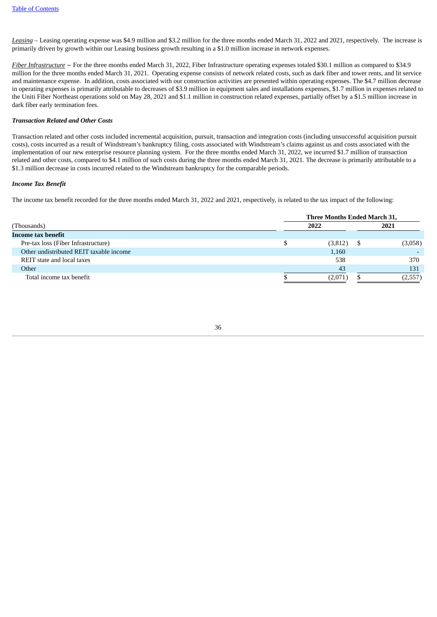*Leasing* – Leasing operating expense was \$4.9 million and \$3.2 million for the three months ended March 31, 2022 and 2021, respectively. The increase is primarily driven by growth within our Leasing business growth resulting in a \$1.0 million increase in network expenses.

*Fiber Infrastructure* – For the three months ended March 31, 2022, Fiber Infrastructure operating expenses totaled \$30.1 million as compared to \$34.9 million for the three months ended March 31, 2021. Operating expense consists of network related costs, such as dark fiber and tower rents, and lit service and maintenance expense. In addition, costs associated with our construction activities are presented within operating expenses. The \$4.7 million decrease in operating expenses is primarily attributable to decreases of \$3.9 million in equipment sales and installations expenses, \$1.7 million in expenses related to the Uniti Fiber Northeast operations sold on May 28, 2021 and \$1.1 million in construction related expenses, partially offset by a \$1.5 million increase in dark fiber early termination fees.

#### *Transaction Related and Other Costs*

Transaction related and other costs included incremental acquisition, pursuit, transaction and integration costs (including unsuccessful acquisition pursuit costs), costs incurred as a result of Windstream's bankruptcy filing, costs associated with Windstream's claims against us and costs associated with the implementation of our new enterprise resource planning system. For the three months ended March 31, 2022, we incurred \$1.7 million of transaction related and other costs, compared to \$4.1 million of such costs during the three months ended March 31, 2021. The decrease is primarily attributable to a \$1.3 million decrease in costs incurred related to the Windstream bankruptcy for the comparable periods.

#### *Income Tax Benefit*

The income tax benefit recorded for the three months ended March 31, 2022 and 2021, respectively, is related to the tax impact of the following:

|                                         | Three Months Ended March 31, |         |
|-----------------------------------------|------------------------------|---------|
| (Thousands)                             | 2022                         | 2021    |
| Income tax benefit                      |                              |         |
| Pre-tax loss (Fiber Infrastructure)     | (3,812)                      | (3,058) |
| Other undistributed REIT taxable income | 1,160                        |         |
| REIT state and local taxes              | 538                          | 370     |
| Other                                   | 43                           | 131     |
| Total income tax benefit                | (2,071)                      | (2,557) |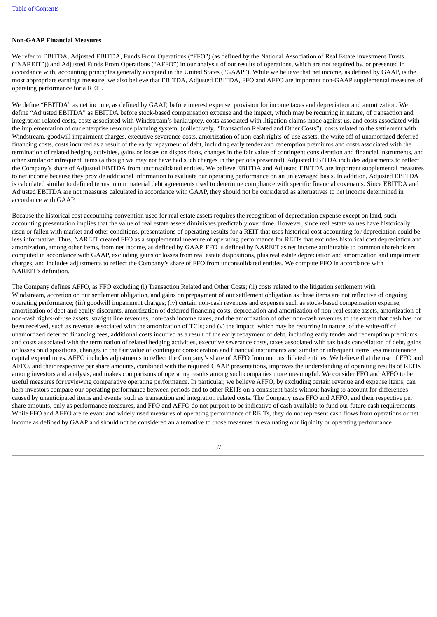#### <span id="page-36-0"></span>**Non-GAAP Financial Measures**

We refer to EBITDA, Adjusted EBITDA, Funds From Operations ("FFO") (as defined by the National Association of Real Estate Investment Trusts ("NAREIT")) and Adjusted Funds From Operations ("AFFO") in our analysis of our results of operations, which are not required by, or presented in accordance with, accounting principles generally accepted in the United States ("GAAP"). While we believe that net income, as defined by GAAP, is the most appropriate earnings measure, we also believe that EBITDA, Adjusted EBITDA, FFO and AFFO are important non-GAAP supplemental measures of operating performance for a REIT.

We define "EBITDA" as net income, as defined by GAAP, before interest expense, provision for income taxes and depreciation and amortization. We define "Adjusted EBITDA" as EBITDA before stock-based compensation expense and the impact, which may be recurring in nature, of transaction and integration related costs, costs associated with Windstream's bankruptcy, costs associated with litigation claims made against us, and costs associated with the implementation of our enterprise resource planning system, (collectively, "Transaction Related and Other Costs"), costs related to the settlement with Windstream, goodwill impairment charges, executive severance costs, amortization of non-cash rights-of-use assets, the write off of unamortized deferred financing costs, costs incurred as a result of the early repayment of debt, including early tender and redemption premiums and costs associated with the termination of related hedging activities, gains or losses on dispositions, changes in the fair value of contingent consideration and financial instruments, and other similar or infrequent items (although we may not have had such charges in the periods presented). Adjusted EBITDA includes adjustments to reflect the Company's share of Adjusted EBITDA from unconsolidated entities. We believe EBITDA and Adjusted EBITDA are important supplemental measures to net income because they provide additional information to evaluate our operating performance on an unleveraged basis. In addition, Adjusted EBITDA is calculated similar to defined terms in our material debt agreements used to determine compliance with specific financial covenants. Since EBITDA and Adjusted EBITDA are not measures calculated in accordance with GAAP, they should not be considered as alternatives to net income determined in accordance with GAAP.

Because the historical cost accounting convention used for real estate assets requires the recognition of depreciation expense except on land, such accounting presentation implies that the value of real estate assets diminishes predictably over time. However, since real estate values have historically risen or fallen with market and other conditions, presentations of operating results for a REIT that uses historical cost accounting for depreciation could be less informative. Thus, NAREIT created FFO as a supplemental measure of operating performance for REITs that excludes historical cost depreciation and amortization, among other items, from net income, as defined by GAAP. FFO is defined by NAREIT as net income attributable to common shareholders computed in accordance with GAAP, excluding gains or losses from real estate dispositions, plus real estate depreciation and amortization and impairment charges, and includes adjustments to reflect the Company's share of FFO from unconsolidated entities. We compute FFO in accordance with NAREIT's definition.

The Company defines AFFO, as FFO excluding (i) Transaction Related and Other Costs; (ii) costs related to the litigation settlement with Windstream, accretion on our settlement obligation, and gains on prepayment of our settlement obligation as these items are not reflective of ongoing operating performance; (iii) goodwill impairment charges; (iv) certain non-cash revenues and expenses such as stock-based compensation expense, amortization of debt and equity discounts, amortization of deferred financing costs, depreciation and amortization of non-real estate assets, amortization of non-cash rights-of-use assets, straight line revenues, non-cash income taxes, and the amortization of other non-cash revenues to the extent that cash has not been received, such as revenue associated with the amortization of TCIs; and (v) the impact, which may be recurring in nature, of the write-off of unamortized deferred financing fees, additional costs incurred as a result of the early repayment of debt, including early tender and redemption premiums and costs associated with the termination of related hedging activities, executive severance costs, taxes associated with tax basis cancellation of debt, gains or losses on dispositions, changes in the fair value of contingent consideration and financial instruments and similar or infrequent items less maintenance capital expenditures. AFFO includes adjustments to reflect the Company's share of AFFO from unconsolidated entities. We believe that the use of FFO and AFFO, and their respective per share amounts, combined with the required GAAP presentations, improves the understanding of operating results of REITs among investors and analysts, and makes comparisons of operating results among such companies more meaningful. We consider FFO and AFFO to be useful measures for reviewing comparative operating performance. In particular, we believe AFFO, by excluding certain revenue and expense items, can help investors compare our operating performance between periods and to other REITs on a consistent basis without having to account for differences caused by unanticipated items and events, such as transaction and integration related costs. The Company uses FFO and AFFO, and their respective per share amounts, only as performance measures, and FFO and AFFO do not purport to be indicative of cash available to fund our future cash requirements. While FFO and AFFO are relevant and widely used measures of operating performance of REITs, they do not represent cash flows from operations or net income as defined by GAAP and should not be considered an alternative to those measures in evaluating our liquidity or operating performance.

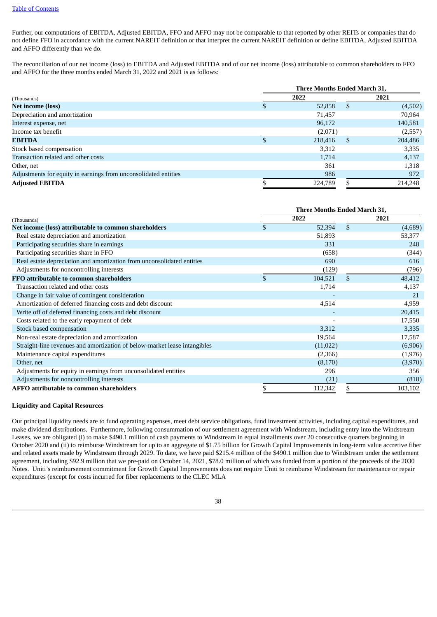Further, our computations of EBITDA, Adjusted EBITDA, FFO and AFFO may not be comparable to that reported by other REITs or companies that do not define FFO in accordance with the current NAREIT definition or that interpret the current NAREIT definition or define EBITDA, Adjusted EBITDA and AFFO differently than we do.

The reconciliation of our net income (loss) to EBITDA and Adjusted EBITDA and of our net income (loss) attributable to common shareholders to FFO and AFFO for the three months ended March 31, 2022 and 2021 is as follows:

|                                                                 | Three Months Ended March 31, |         |      |         |  |  |  |
|-----------------------------------------------------------------|------------------------------|---------|------|---------|--|--|--|
| (Thousands)                                                     |                              | 2022    | 2021 |         |  |  |  |
| <b>Net income (loss)</b>                                        |                              | 52,858  | J.   | (4,502) |  |  |  |
| Depreciation and amortization                                   |                              | 71,457  |      | 70,964  |  |  |  |
| Interest expense, net                                           |                              | 96,172  |      | 140,581 |  |  |  |
| Income tax benefit                                              |                              | (2,071) |      | (2,557) |  |  |  |
| <b>EBITDA</b>                                                   |                              | 218,416 |      | 204,486 |  |  |  |
| Stock based compensation                                        |                              | 3,312   |      | 3,335   |  |  |  |
| Transaction related and other costs                             |                              | 1,714   |      | 4,137   |  |  |  |
| Other, net                                                      |                              | 361     |      | 1,318   |  |  |  |
| Adjustments for equity in earnings from unconsolidated entities |                              | 986     |      | 972     |  |  |  |
| <b>Adjusted EBITDA</b>                                          |                              | 224,789 |      | 214,248 |  |  |  |

|                                                                           | Three Months Ended March 31, |           |    |          |  |  |  |
|---------------------------------------------------------------------------|------------------------------|-----------|----|----------|--|--|--|
| (Thousands)                                                               |                              | 2022      |    | 2021     |  |  |  |
| Net income (loss) attributable to common shareholders                     | \$                           | 52,394    | \$ | (4,689)  |  |  |  |
| Real estate depreciation and amortization                                 |                              | 51,893    |    | 53,377   |  |  |  |
| Participating securities share in earnings                                |                              | 331       |    | 248      |  |  |  |
| Participating securities share in FFO                                     |                              | (658)     |    | (344)    |  |  |  |
| Real estate depreciation and amortization from unconsolidated entities    |                              | 690       |    | 616      |  |  |  |
| Adjustments for noncontrolling interests                                  |                              | (129)     |    | (796)    |  |  |  |
| FFO attributable to common shareholders                                   | \$                           | 104,521   | \$ | 48,412   |  |  |  |
| Transaction related and other costs                                       |                              | 1,714     |    | 4,137    |  |  |  |
| Change in fair value of contingent consideration                          |                              |           |    | 21       |  |  |  |
| Amortization of deferred financing costs and debt discount                |                              | 4,514     |    | 4,959    |  |  |  |
| Write off of deferred financing costs and debt discount                   |                              |           |    | 20,415   |  |  |  |
| Costs related to the early repayment of debt                              |                              |           |    | 17,550   |  |  |  |
| Stock based compensation                                                  |                              | 3,312     |    | 3,335    |  |  |  |
| Non-real estate depreciation and amortization                             |                              | 19,564    |    | 17,587   |  |  |  |
| Straight-line revenues and amortization of below-market lease intangibles |                              | (11, 022) |    | (6,906)  |  |  |  |
| Maintenance capital expenditures                                          |                              | (2,366)   |    | (1, 976) |  |  |  |
| Other, net                                                                |                              | (8,170)   |    | (3,970)  |  |  |  |
| Adjustments for equity in earnings from unconsolidated entities           |                              | 296       |    | 356      |  |  |  |
| Adjustments for noncontrolling interests                                  |                              | (21)      |    | (818)    |  |  |  |
| <b>AFFO attributable to common shareholders</b>                           | \$                           | 112,342   |    | 103,102  |  |  |  |

#### <span id="page-37-0"></span>**Liquidity and Capital Resources**

Our principal liquidity needs are to fund operating expenses, meet debt service obligations, fund investment activities, including capital expenditures, and make dividend distributions. Furthermore, following consummation of our settlement agreement with Windstream, including entry into the Windstream Leases, we are obligated (i) to make \$490.1 million of cash payments to Windstream in equal installments over 20 consecutive quarters beginning in October 2020 and (ii) to reimburse Windstream for up to an aggregate of \$1.75 billion for Growth Capital Improvements in long-term value accretive fiber and related assets made by Windstream through 2029. To date, we have paid \$215.4 million of the \$490.1 million due to Windstream under the settlement agreement, including \$92.9 million that we pre-paid on October 14, 2021, \$78.0 million of which was funded from a portion of the proceeds of the 2030 Notes. Uniti's reimbursement commitment for Growth Capital Improvements does not require Uniti to reimburse Windstream for maintenance or repair expenditures (except for costs incurred for fiber replacements to the CLEC MLA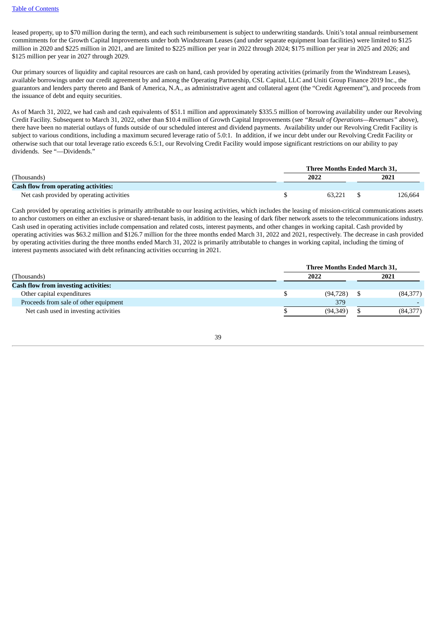leased property, up to \$70 million during the term), and each such reimbursement is subject to underwriting standards. Uniti's total annual reimbursement commitments for the Growth Capital Improvements under both Windstream Leases (and under separate equipment loan facilities) were limited to \$125 million in 2020 and \$225 million in 2021, and are limited to \$225 million per year in 2022 through 2024; \$175 million per year in 2025 and 2026; and \$125 million per year in 2027 through 2029.

Our primary sources of liquidity and capital resources are cash on hand, cash provided by operating activities (primarily from the Windstream Leases), available borrowings under our credit agreement by and among the Operating Partnership, CSL Capital, LLC and Uniti Group Finance 2019 Inc., the guarantors and lenders party thereto and Bank of America, N.A., as administrative agent and collateral agent (the "Credit Agreement"), and proceeds from the issuance of debt and equity securities.

As of March 31, 2022, we had cash and cash equivalents of \$51.1 million and approximately \$335.5 million of borrowing availability under our Revolving Credit Facility. Subsequent to March 31, 2022, other than \$10.4 million of Growth Capital Improvements (see *"Result of Operations—Revenues"* above), there have been no material outlays of funds outside of our scheduled interest and dividend payments. Availability under our Revolving Credit Facility is subject to various conditions, including a maximum secured leverage ratio of 5.0:1. In addition, if we incur debt under our Revolving Credit Facility or otherwise such that our total leverage ratio exceeds 6.5:1, our Revolving Credit Facility would impose significant restrictions on our ability to pay dividends. See "—Dividends."

|                                             | Three Months Ended March 31, |  |         |  |  |  |  |
|---------------------------------------------|------------------------------|--|---------|--|--|--|--|
| (Thousands)                                 | 2022                         |  | 2021    |  |  |  |  |
| <b>Cash flow from operating activities:</b> |                              |  |         |  |  |  |  |
| Net cash provided by operating activities   | 63.221                       |  | 126,664 |  |  |  |  |

Cash provided by operating activities is primarily attributable to our leasing activities, which includes the leasing of mission-critical communications assets to anchor customers on either an exclusive or shared-tenant basis, in addition to the leasing of dark fiber network assets to the telecommunications industry. Cash used in operating activities include compensation and related costs, interest payments, and other changes in working capital. Cash provided by operating activities was \$63.2 million and \$126.7 million for the three months ended March 31, 2022 and 2021, respectively. The decrease in cash provided by operating activities during the three months ended March 31, 2022 is primarily attributable to changes in working capital, including the timing of interest payments associated with debt refinancing activities occurring in 2021.

|                                             |  |           | Three Months Ended March 31, |          |  |  |
|---------------------------------------------|--|-----------|------------------------------|----------|--|--|
| (Thousands)                                 |  | 2022      |                              | 2021     |  |  |
| <b>Cash flow from investing activities:</b> |  |           |                              |          |  |  |
| Other capital expenditures                  |  | (94, 728) |                              | (84,377) |  |  |
| Proceeds from sale of other equipment       |  | 379       |                              |          |  |  |
| Net cash used in investing activities       |  | (94.349)  |                              | (84,377) |  |  |

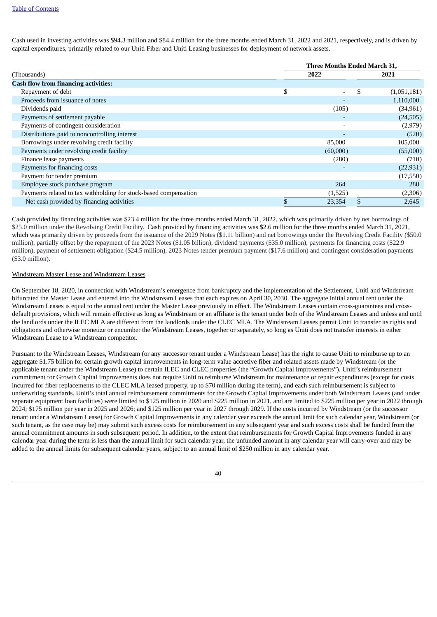Cash used in investing activities was \$94.3 million and \$84.4 million for the three months ended March 31, 2022 and 2021, respectively, and is driven by capital expenditures, primarily related to our Uniti Fiber and Uniti Leasing businesses for deployment of network assets.

|                                                                  |    | Three Months Ended March 31, |    |             |  |  |  |
|------------------------------------------------------------------|----|------------------------------|----|-------------|--|--|--|
| (Thousands)                                                      |    | 2022                         |    | 2021        |  |  |  |
| <b>Cash flow from financing activities:</b>                      |    |                              |    |             |  |  |  |
| Repayment of debt                                                | \$ | $\overline{\phantom{a}}$     | \$ | (1,051,181) |  |  |  |
| Proceeds from issuance of notes                                  |    | ٠                            |    | 1,110,000   |  |  |  |
| Dividends paid                                                   |    | (105)                        |    | (34, 961)   |  |  |  |
| Payments of settlement payable                                   |    | $\overline{\phantom{0}}$     |    | (24, 505)   |  |  |  |
| Payments of contingent consideration                             |    | $\overline{\phantom{a}}$     |    | (2,979)     |  |  |  |
| Distributions paid to noncontrolling interest                    |    | $\overline{\phantom{a}}$     |    | (520)       |  |  |  |
| Borrowings under revolving credit facility                       |    | 85,000                       |    | 105,000     |  |  |  |
| Payments under revolving credit facility                         |    | (60,000)                     |    | (55,000)    |  |  |  |
| Finance lease payments                                           |    | (280)                        |    | (710)       |  |  |  |
| Payments for financing costs                                     |    |                              |    | (22, 931)   |  |  |  |
| Payment for tender premium                                       |    |                              |    | (17,550)    |  |  |  |
| Employee stock purchase program                                  |    | 264                          |    | 288         |  |  |  |
| Payments related to tax withholding for stock-based compensation |    | (1,525)                      |    | (2,306)     |  |  |  |
| Net cash provided by financing activities                        |    | 23,354                       |    | 2,645       |  |  |  |

Cash provided by financing activities was \$23.4 million for the three months ended March 31, 2022, which was primarily driven by net borrowings of \$25.0 million under the Revolving Credit Facility. Cash provided by financing activities was \$2.6 million for the three months ended March 31, 2021, which was primarily driven by proceeds from the issuance of the 2029 Notes (\$1.11 billion) and net borrowings under the Revolving Credit Facility (\$50.0 million), partially offset by the repayment of the 2023 Notes (\$1.05 billion), dividend payments (\$35.0 million), payments for financing costs (\$22.9 million), payment of settlement obligation (\$24.5 million), 2023 Notes tender premium payment (\$17.6 million) and contingent consideration payments (\$3.0 million).

#### Windstream Master Lease and Windstream Leases

On September 18, 2020, in connection with Windstream's emergence from bankruptcy and the implementation of the Settlement, Uniti and Windstream bifurcated the Master Lease and entered into the Windstream Leases that each expires on April 30, 2030. The aggregate initial annual rent under the Windstream Leases is equal to the annual rent under the Master Lease previously in effect. The Windstream Leases contain cross-guarantees and crossdefault provisions, which will remain effective as long as Windstream or an affiliate is the tenant under both of the Windstream Leases and unless and until the landlords under the ILEC MLA are different from the landlords under the CLEC MLA. The Windstream Leases permit Uniti to transfer its rights and obligations and otherwise monetize or encumber the Windstream Leases, together or separately, so long as Uniti does not transfer interests in either Windstream Lease to a Windstream competitor.

Pursuant to the Windstream Leases, Windstream (or any successor tenant under a Windstream Lease) has the right to cause Uniti to reimburse up to an aggregate \$1.75 billion for certain growth capital improvements in long-term value accretive fiber and related assets made by Windstream (or the applicable tenant under the Windstream Lease) to certain ILEC and CLEC properties (the "Growth Capital Improvements"). Uniti's reimbursement commitment for Growth Capital Improvements does not require Uniti to reimburse Windstream for maintenance or repair expenditures (except for costs incurred for fiber replacements to the CLEC MLA leased property, up to \$70 million during the term), and each such reimbursement is subject to underwriting standards. Uniti's total annual reimbursement commitments for the Growth Capital Improvements under both Windstream Leases (and under separate equipment loan facilities) were limited to \$125 million in 2020 and \$225 million in 2021, and are limited to \$225 million per year in 2022 through 2024; \$175 million per year in 2025 and 2026; and \$125 million per year in 2027 through 2029. If the costs incurred by Windstream (or the successor tenant under a Windstream Lease) for Growth Capital Improvements in any calendar year exceeds the annual limit for such calendar year, Windstream (or such tenant, as the case may be) may submit such excess costs for reimbursement in any subsequent year and such excess costs shall be funded from the annual commitment amounts in such subsequent period. In addition, to the extent that reimbursements for Growth Capital Improvements funded in any calendar year during the term is less than the annual limit for such calendar year, the unfunded amount in any calendar year will carry-over and may be added to the annual limits for subsequent calendar years, subject to an annual limit of \$250 million in any calendar year.

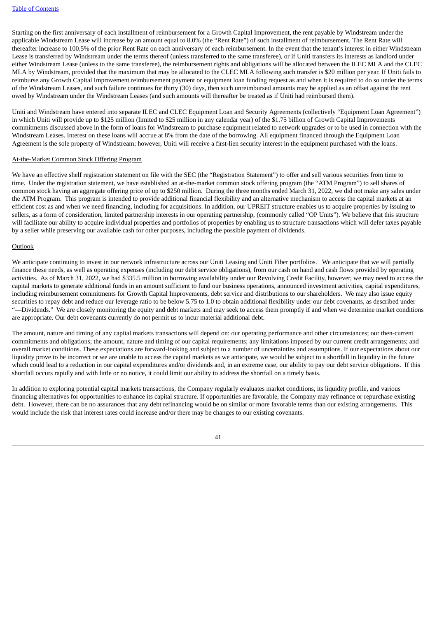Starting on the first anniversary of each installment of reimbursement for a Growth Capital Improvement, the rent payable by Windstream under the applicable Windstream Lease will increase by an amount equal to 8.0% (the "Rent Rate") of such installment of reimbursement. The Rent Rate will thereafter increase to 100.5% of the prior Rent Rate on each anniversary of each reimbursement. In the event that the tenant's interest in either Windstream Lease is transferred by Windstream under the terms thereof (unless transferred to the same transferee), or if Uniti transfers its interests as landlord under either Windstream Lease (unless to the same transferee), the reimbursement rights and obligations will be allocated between the ILEC MLA and the CLEC MLA by Windstream, provided that the maximum that may be allocated to the CLEC MLA following such transfer is \$20 million per year. If Uniti fails to reimburse any Growth Capital Improvement reimbursement payment or equipment loan funding request as and when it is required to do so under the terms of the Windstream Leases, and such failure continues for thirty (30) days, then such unreimbursed amounts may be applied as an offset against the rent owed by Windstream under the Windstream Leases (and such amounts will thereafter be treated as if Uniti had reimbursed them).

Uniti and Windstream have entered into separate ILEC and CLEC Equipment Loan and Security Agreements (collectively "Equipment Loan Agreement") in which Uniti will provide up to \$125 million (limited to \$25 million in any calendar year) of the \$1.75 billion of Growth Capital Improvements commitments discussed above in the form of loans for Windstream to purchase equipment related to network upgrades or to be used in connection with the Windstream Leases. Interest on these loans will accrue at 8% from the date of the borrowing. All equipment financed through the Equipment Loan Agreement is the sole property of Windstream; however, Uniti will receive a first-lien security interest in the equipment purchased with the loans.

#### At-the-Market Common Stock Offering Program

We have an effective shelf registration statement on file with the SEC (the "Registration Statement") to offer and sell various securities from time to time. Under the registration statement, we have established an at-the-market common stock offering program (the "ATM Program") to sell shares of common stock having an aggregate offering price of up to \$250 million. During the three months ended March 31, 2022, we did not make any sales under the ATM Program. This program is intended to provide additional financial flexibility and an alternative mechanism to access the capital markets at an efficient cost as and when we need financing, including for acquisitions. In addition, our UPREIT structure enables us to acquire properties by issuing to sellers, as a form of consideration, limited partnership interests in our operating partnership, (commonly called "OP Units"). We believe that this structure will facilitate our ability to acquire individual properties and portfolios of properties by enabling us to structure transactions which will defer taxes payable by a seller while preserving our available cash for other purposes, including the possible payment of dividends.

#### Outlook

We anticipate continuing to invest in our network infrastructure across our Uniti Leasing and Uniti Fiber portfolios. We anticipate that we will partially finance these needs, as well as operating expenses (including our debt service obligations), from our cash on hand and cash flows provided by operating activities. As of March 31, 2022, we had \$335.5 million in borrowing availability under our Revolving Credit Facility, however, we may need to access the capital markets to generate additional funds in an amount sufficient to fund our business operations, announced investment activities, capital expenditures, including reimbursement commitments for Growth Capital Improvements, debt service and distributions to our shareholders. We may also issue equity securities to repay debt and reduce our leverage ratio to be below 5.75 to 1.0 to obtain additional flexibility under our debt covenants, as described under "--Dividends." We are closely monitoring the equity and debt markets and may seek to access them promptly if and when we determine market conditions are appropriate. Our debt covenants currently do not permit us to incur material additional debt.

The amount, nature and timing of any capital markets transactions will depend on: our operating performance and other circumstances; our then-current commitments and obligations; the amount, nature and timing of our capital requirements; any limitations imposed by our current credit arrangements; and overall market conditions. These expectations are forward-looking and subject to a number of uncertainties and assumptions. If our expectations about our liquidity prove to be incorrect or we are unable to access the capital markets as we anticipate, we would be subject to a shortfall in liquidity in the future which could lead to a reduction in our capital expenditures and/or dividends and, in an extreme case, our ability to pay our debt service obligations. If this shortfall occurs rapidly and with little or no notice, it could limit our ability to address the shortfall on a timely basis.

In addition to exploring potential capital markets transactions, the Company regularly evaluates market conditions, its liquidity profile, and various financing alternatives for opportunities to enhance its capital structure. If opportunities are favorable, the Company may refinance or repurchase existing debt. However, there can be no assurances that any debt refinancing would be on similar or more favorable terms than our existing arrangements. This would include the risk that interest rates could increase and/or there may be changes to our existing covenants.

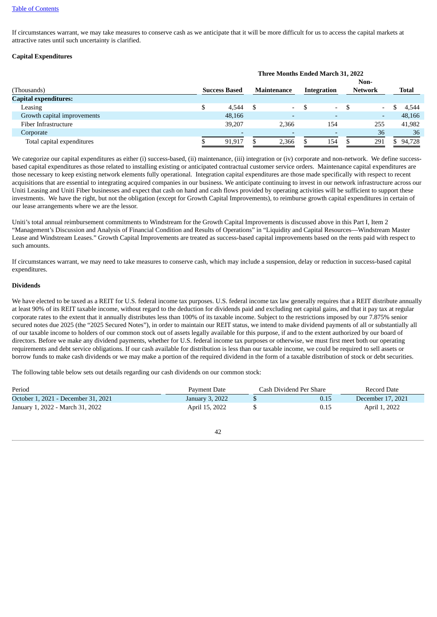If circumstances warrant, we may take measures to conserve cash as we anticipate that it will be more difficult for us to access the capital markets at attractive rates until such uncertainty is clarified.

#### **Capital Expenditures**

|                              | Three Months Ended March 31, 2022 |                          |  |                          |  |                          |     |                          |  |              |  |
|------------------------------|-----------------------------------|--------------------------|--|--------------------------|--|--------------------------|-----|--------------------------|--|--------------|--|
|                              |                                   |                          |  |                          |  |                          |     | Non-                     |  |              |  |
| (Thousands)                  |                                   | <b>Success Based</b>     |  | <b>Maintenance</b>       |  | Integration              |     | <b>Network</b>           |  | <b>Total</b> |  |
| <b>Capital expenditures:</b> |                                   |                          |  |                          |  |                          |     |                          |  |              |  |
| Leasing                      |                                   | 4.544                    |  | $\overline{\phantom{0}}$ |  | $\sim$                   | - S |                          |  | 4.544        |  |
| Growth capital improvements  |                                   | 48,166                   |  | $\overline{\phantom{0}}$ |  | $\overline{\phantom{0}}$ |     | $\overline{\phantom{0}}$ |  | 48,166       |  |
| Fiber Infrastructure         |                                   | 39.207                   |  | 2.366                    |  | 154                      |     | 255                      |  | 41,982       |  |
| Corporate                    |                                   | $\overline{\phantom{0}}$ |  | $\overline{\phantom{0}}$ |  | $\overline{\phantom{0}}$ |     | 36                       |  | 36           |  |
| Total capital expenditures   |                                   | 91.917                   |  | 2.366                    |  | 154                      |     | 291                      |  | \$94,728     |  |

We categorize our capital expenditures as either (i) success-based, (ii) maintenance, (iii) integration or (iv) corporate and non-network. We define successbased capital expenditures as those related to installing existing or anticipated contractual customer service orders. Maintenance capital expenditures are those necessary to keep existing network elements fully operational. Integration capital expenditures are those made specifically with respect to recent acquisitions that are essential to integrating acquired companies in our business. We anticipate continuing to invest in our network infrastructure across our Uniti Leasing and Uniti Fiber businesses and expect that cash on hand and cash flows provided by operating activities will be sufficient to support these investments. We have the right, but not the obligation (except for Growth Capital Improvements), to reimburse growth capital expenditures in certain of our lease arrangements where we are the lessor.

Uniti's total annual reimbursement commitments to Windstream for the Growth Capital Improvements is discussed above in this Part I, Item 2 "Management's Discussion and Analysis of Financial Condition and Results of Operations" in "Liquidity and Capital Resources—Windstream Master Lease and Windstream Leases." Growth Capital Improvements are treated as success-based capital improvements based on the rents paid with respect to such amounts.

If circumstances warrant, we may need to take measures to conserve cash, which may include a suspension, delay or reduction in success-based capital expenditures.

#### **Dividends**

We have elected to be taxed as a REIT for U.S. federal income tax purposes. U.S. federal income tax law generally requires that a REIT distribute annually at least 90% of its REIT taxable income, without regard to the deduction for dividends paid and excluding net capital gains, and that it pay tax at regular corporate rates to the extent that it annually distributes less than 100% of its taxable income. Subject to the restrictions imposed by our 7.875% senior secured notes due 2025 (the "2025 Secured Notes"), in order to maintain our REIT status, we intend to make dividend payments of all or substantially all of our taxable income to holders of our common stock out of assets legally available for this purpose, if and to the extent authorized by our board of directors. Before we make any dividend payments, whether for U.S. federal income tax purposes or otherwise, we must first meet both our operating requirements and debt service obligations. If our cash available for distribution is less than our taxable income, we could be required to sell assets or borrow funds to make cash dividends or we may make a portion of the required dividend in the form of a taxable distribution of stock or debt securities.

The following table below sets out details regarding our cash dividends on our common stock:

| Period                              | Payment Date    | Cash Dividend Per Share | Record Date       |
|-------------------------------------|-----------------|-------------------------|-------------------|
| October 1, 2021 - December 31, 2021 | January 3, 2022 | 0.15                    | December 17, 2021 |
| January 1, 2022 - March 31, 2022    | April 15, 2022  | 0.15                    | April 1, 2022     |

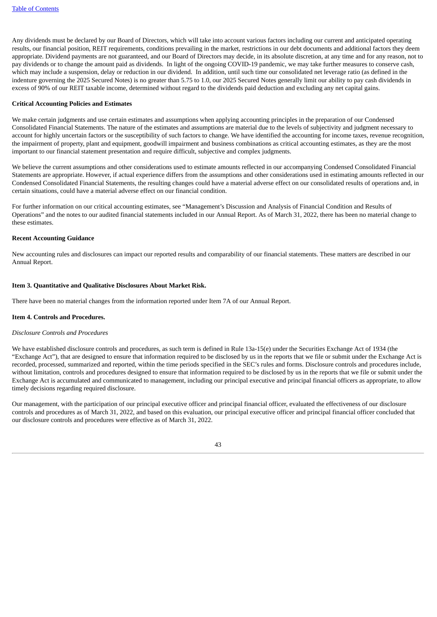Any dividends must be declared by our Board of Directors, which will take into account various factors including our current and anticipated operating results, our financial position, REIT requirements, conditions prevailing in the market, restrictions in our debt documents and additional factors they deem appropriate. Dividend payments are not guaranteed, and our Board of Directors may decide, in its absolute discretion, at any time and for any reason, not to pay dividends or to change the amount paid as dividends. In light of the ongoing COVID-19 pandemic, we may take further measures to conserve cash, which may include a suspension, delay or reduction in our dividend. In addition, until such time our consolidated net leverage ratio (as defined in the indenture governing the 2025 Secured Notes) is no greater than 5.75 to 1.0, our 2025 Secured Notes generally limit our ability to pay cash dividends in excess of 90% of our REIT taxable income, determined without regard to the dividends paid deduction and excluding any net capital gains.

#### **Critical Accounting Policies and Estimates**

We make certain judgments and use certain estimates and assumptions when applying accounting principles in the preparation of our Condensed Consolidated Financial Statements. The nature of the estimates and assumptions are material due to the levels of subjectivity and judgment necessary to account for highly uncertain factors or the susceptibility of such factors to change. We have identified the accounting for income taxes, revenue recognition, the impairment of property, plant and equipment, goodwill impairment and business combinations as critical accounting estimates, as they are the most important to our financial statement presentation and require difficult, subjective and complex judgments.

We believe the current assumptions and other considerations used to estimate amounts reflected in our accompanying Condensed Consolidated Financial Statements are appropriate. However, if actual experience differs from the assumptions and other considerations used in estimating amounts reflected in our Condensed Consolidated Financial Statements, the resulting changes could have a material adverse effect on our consolidated results of operations and, in certain situations, could have a material adverse effect on our financial condition.

For further information on our critical accounting estimates, see "Management's Discussion and Analysis of Financial Condition and Results of Operations" and the notes to our audited financial statements included in our Annual Report. As of March 31, 2022, there has been no material change to these estimates.

#### **Recent Accounting Guidance**

New accounting rules and disclosures can impact our reported results and comparability of our financial statements. These matters are described in our Annual Report.

#### <span id="page-42-0"></span>**Item 3. Quantitative and Qualitative Disclosures About Market Risk.**

There have been no material changes from the information reported under Item 7A of our Annual Report.

#### <span id="page-42-1"></span>**Item 4. Controls and Procedures.**

#### *Disclosure Controls and Procedures*

We have established disclosure controls and procedures, as such term is defined in Rule 13a-15(e) under the Securities Exchange Act of 1934 (the "Exchange Act"), that are designed to ensure that information required to be disclosed by us in the reports that we file or submit under the Exchange Act is recorded, processed, summarized and reported, within the time periods specified in the SEC's rules and forms. Disclosure controls and procedures include, without limitation, controls and procedures designed to ensure that information required to be disclosed by us in the reports that we file or submit under the Exchange Act is accumulated and communicated to management, including our principal executive and principal financial officers as appropriate, to allow timely decisions regarding required disclosure.

Our management, with the participation of our principal executive officer and principal financial officer, evaluated the effectiveness of our disclosure controls and procedures as of March 31, 2022, and based on this evaluation, our principal executive officer and principal financial officer concluded that our disclosure controls and procedures were effective as of March 31, 2022.

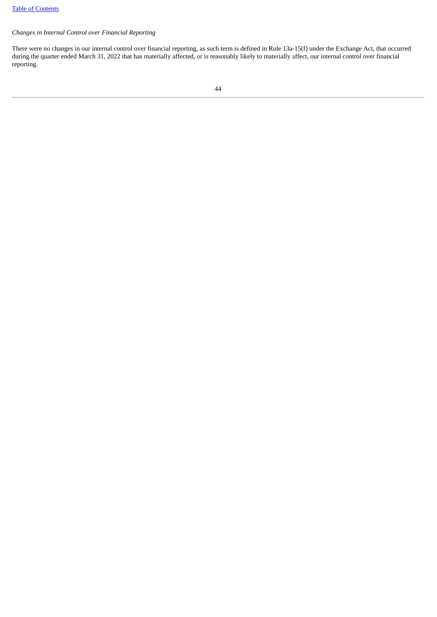#### *Changes in Internal Control over Financial Reporting*

There were no changes in our internal control over financial reporting, as such term is defined in Rule 13a-15(f) under the Exchange Act, that occurred during the quarter ended March 31, 2022 that has materially affected, or is reasonably likely to materially affect, our internal control over financial reporting.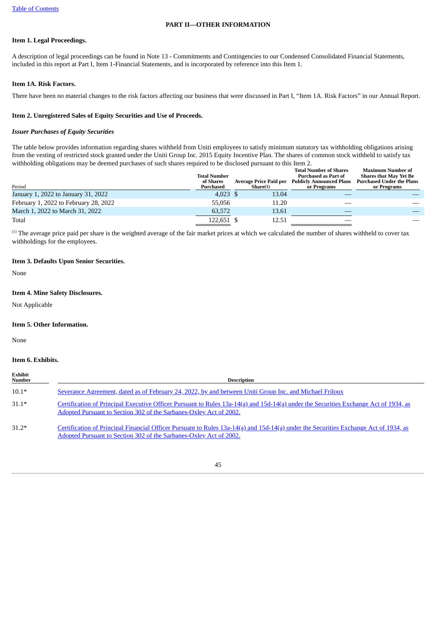#### **PART II—OTHER INFORMATION**

#### <span id="page-44-1"></span><span id="page-44-0"></span>**Item 1. Legal Proceedings.**

A description of legal proceedings can be found in Note 13 - Commitments and Contingencies to our Condensed Consolidated Financial Statements, included in this report at Part I, Item 1-Financial Statements, and is incorporated by reference into this Item 1.

#### <span id="page-44-2"></span>**Item 1A. Risk Factors.**

There have been no material changes to the risk factors affecting our business that were discussed in Part I, "Item 1A. Risk Factors" in our Annual Report.

#### <span id="page-44-3"></span>**Item 2. Unregistered Sales of Equity Securities and Use of Proceeds.**

#### *Issuer Purchases of Equity Securities*

The table below provides information regarding shares withheld from Uniti employees to satisfy minimum statutory tax withholding obligations arising from the vesting of restricted stock granted under the Uniti Group Inc. 2015 Equity Incentive Plan. The shares of common stock withheld to satisfy tax withholding obligations may be deemed purchases of such shares required to be disclosed pursuant to this Item 2.

| Period                                | <b>Total Number</b><br>of Shares<br>Purchased | Average Price Paid per<br>Share(1) | <b>Total Number of Shares</b><br><b>Purchased as Part of</b><br><b>Publicly Announced Plans</b><br>or Programs | <b>Maximum Number of</b><br><b>Shares that May Yet Be</b><br><b>Purchased Under the Plans</b><br>or Programs |
|---------------------------------------|-----------------------------------------------|------------------------------------|----------------------------------------------------------------------------------------------------------------|--------------------------------------------------------------------------------------------------------------|
| January 1, 2022 to January 31, 2022   | $4.023$ \$                                    | 13.04                              |                                                                                                                |                                                                                                              |
| February 1, 2022 to February 28, 2022 | 55.056                                        | 11.20                              |                                                                                                                |                                                                                                              |
| March 1, 2022 to March 31, 2022       | 63.572                                        | 13.61                              |                                                                                                                |                                                                                                              |
| Total                                 | 122,651 \$                                    | 12.51                              |                                                                                                                |                                                                                                              |

<sup>(1)</sup> The average price paid per share is the weighted average of the fair market prices at which we calculated the number of shares withheld to cover tax withholdings for the employees.

#### <span id="page-44-4"></span>**Item 3. Defaults Upon Senior Securities.**

None

### <span id="page-44-5"></span>**Item 4. Mine Safety Disclosures.**

Not Applicable

#### <span id="page-44-6"></span>**Item 5. Other Information.**

None

#### <span id="page-44-7"></span>**Item 6. Exhibits.**

| Exhibit<br>Number | <b>Description</b>                                                                                                                                                                                         |
|-------------------|------------------------------------------------------------------------------------------------------------------------------------------------------------------------------------------------------------|
| $10.1*$           | Severance Agreement, dated as of February 24, 2022, by and between Uniti Group Inc. and Michael Friloux                                                                                                    |
| $31.1*$           | Certification of Principal Executive Officer Pursuant to Rules 13a-14(a) and 15d-14(a) under the Securities Exchange Act of 1934, as<br>Adopted Pursuant to Section 302 of the Sarbanes-Oxley Act of 2002. |
| $31.2*$           | Certification of Principal Financial Officer Pursuant to Rules 13a-14(a) and 15d-14(a) under the Securities Exchange Act of 1934, as<br>Adopted Pursuant to Section 302 of the Sarbanes-Oxley Act of 2002. |

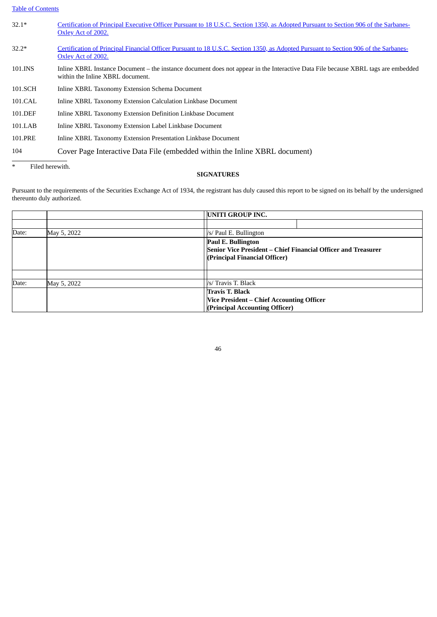#### Table of [Contents](#page-3-0)

| $32.1*$                   | Certification of Principal Executive Officer Pursuant to 18 U.S.C. Section 1350, as Adopted Pursuant to Section 906 of the Sarbanes-<br>Oxley Act of 2002.            |
|---------------------------|-----------------------------------------------------------------------------------------------------------------------------------------------------------------------|
| $32.2*$                   | Certification of Principal Financial Officer Pursuant to 18 U.S.C. Section 1350, as Adopted Pursuant to Section 906 of the Sarbanes-<br>Oxley Act of 2002.            |
| 101.INS                   | Inline XBRL Instance Document – the instance document does not appear in the Interactive Data File because XBRL tags are embedded<br>within the Inline XBRL document. |
| 101.SCH                   | Inline XBRL Taxonomy Extension Schema Document                                                                                                                        |
| 101.CAL                   | Inline XBRL Taxonomy Extension Calculation Linkbase Document                                                                                                          |
| 101.DEF                   | Inline XBRL Taxonomy Extension Definition Linkbase Document                                                                                                           |
| 101.LAB                   | Inline XBRL Taxonomy Extension Label Linkbase Document                                                                                                                |
| 101.PRE                   | Inline XBRL Taxonomy Extension Presentation Linkbase Document                                                                                                         |
| 104                       | Cover Page Interactive Data File (embedded within the Inline XBRL document)                                                                                           |
| $\ast$<br>Filed herewith. |                                                                                                                                                                       |

#### **SIGNATURES**

<span id="page-45-0"></span>Pursuant to the requirements of the Securities Exchange Act of 1934, the registrant has duly caused this report to be signed on its behalf by the undersigned thereunto duly authorized.

|       |             | <b>UNITI GROUP INC.</b>                                                                                              |
|-------|-------------|----------------------------------------------------------------------------------------------------------------------|
|       |             |                                                                                                                      |
| Date: | May 5, 2022 | /s/ Paul E. Bullington                                                                                               |
|       |             | Paul E. Bullington<br>Senior Vice President – Chief Financial Officer and Treasurer<br>(Principal Financial Officer) |
|       |             |                                                                                                                      |
| Date: | May 5, 2022 | /s/ Travis T. Black                                                                                                  |
|       |             | <b>Travis T. Black</b>                                                                                               |
|       |             | Vice President – Chief Accounting Officer                                                                            |
|       |             | (Principal Accounting Officer)                                                                                       |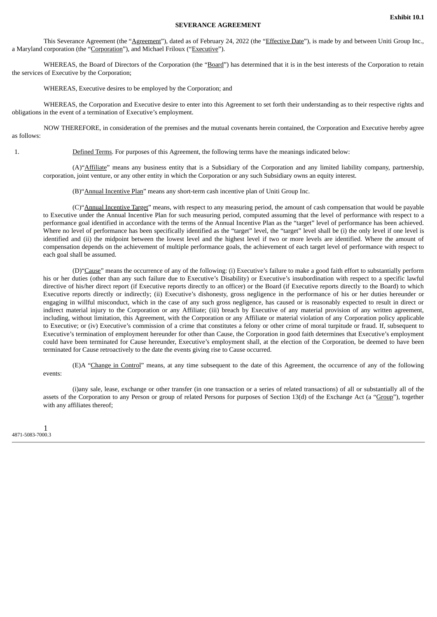#### **SEVERANCE AGREEMENT**

<span id="page-46-0"></span>This Severance Agreement (the "Agreement"), dated as of February 24, 2022 (the "Effective Date"), is made by and between Uniti Group Inc., a Maryland corporation (the "Corporation"), and Michael Friloux ("Executive").

WHEREAS, the Board of Directors of the Corporation (the "Board") has determined that it is in the best interests of the Corporation to retain the services of Executive by the Corporation;

WHEREAS, Executive desires to be employed by the Corporation; and

WHEREAS, the Corporation and Executive desire to enter into this Agreement to set forth their understanding as to their respective rights and obligations in the event of a termination of Executive's employment.

NOW THEREFORE, in consideration of the premises and the mutual covenants herein contained, the Corporation and Executive hereby agree as follows:

1. Defined Terms. For purposes of this Agreement, the following terms have the meanings indicated below:

(A)"Affiliate" means any business entity that is a Subsidiary of the Corporation and any limited liability company, partnership, corporation, joint venture, or any other entity in which the Corporation or any such Subsidiary owns an equity interest.

(B)"Annual Incentive Plan" means any short-term cash incentive plan of Uniti Group Inc.

(C)"Annual Incentive Target" means, with respect to any measuring period, the amount of cash compensation that would be payable to Executive under the Annual Incentive Plan for such measuring period, computed assuming that the level of performance with respect to a performance goal identified in accordance with the terms of the Annual Incentive Plan as the "target" level of performance has been achieved. Where no level of performance has been specifically identified as the "target" level, the "target" level shall be (i) the only level if one level is identified and (ii) the midpoint between the lowest level and the highest level if two or more levels are identified. Where the amount of compensation depends on the achievement of multiple performance goals, the achievement of each target level of performance with respect to each goal shall be assumed.

(D)"Cause" means the occurrence of any of the following: (i) Executive's failure to make a good faith effort to substantially perform his or her duties (other than any such failure due to Executive's Disability) or Executive's insubordination with respect to a specific lawful directive of his/her direct report (if Executive reports directly to an officer) or the Board (if Executive reports directly to the Board) to which Executive reports directly or indirectly; (ii) Executive's dishonesty, gross negligence in the performance of his or her duties hereunder or engaging in willful misconduct, which in the case of any such gross negligence, has caused or is reasonably expected to result in direct or indirect material injury to the Corporation or any Affiliate; (iii) breach by Executive of any material provision of any written agreement, including, without limitation, this Agreement, with the Corporation or any Affiliate or material violation of any Corporation policy applicable to Executive; or (iv) Executive's commission of a crime that constitutes a felony or other crime of moral turpitude or fraud. If, subsequent to Executive's termination of employment hereunder for other than Cause, the Corporation in good faith determines that Executive's employment could have been terminated for Cause hereunder, Executive's employment shall, at the election of the Corporation, be deemed to have been terminated for Cause retroactively to the date the events giving rise to Cause occurred.

(E)A "Change in Control" means, at any time subsequent to the date of this Agreement, the occurrence of any of the following events:

(i)any sale, lease, exchange or other transfer (in one transaction or a series of related transactions) of all or substantially all of the assets of the Corporation to any Person or group of related Persons for purposes of Section 13(d) of the Exchange Act (a "Group"), together with any affiliates thereof;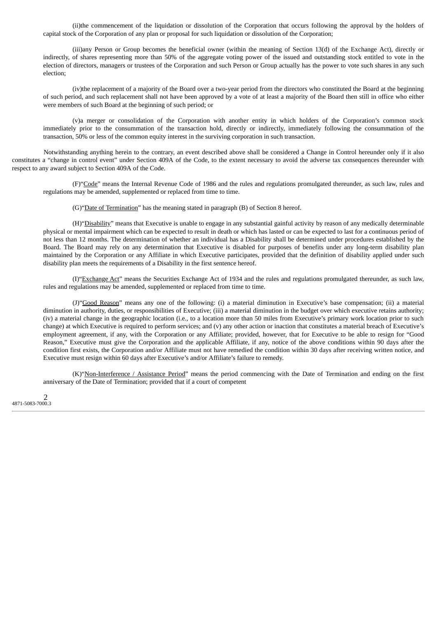(ii)the commencement of the liquidation or dissolution of the Corporation that occurs following the approval by the holders of capital stock of the Corporation of any plan or proposal for such liquidation or dissolution of the Corporation;

(iii)any Person or Group becomes the beneficial owner (within the meaning of Section 13(d) of the Exchange Act), directly or indirectly, of shares representing more than 50% of the aggregate voting power of the issued and outstanding stock entitled to vote in the election of directors, managers or trustees of the Corporation and such Person or Group actually has the power to vote such shares in any such election;

(iv)the replacement of a majority of the Board over a two-year period from the directors who constituted the Board at the beginning of such period, and such replacement shall not have been approved by a vote of at least a majority of the Board then still in office who either were members of such Board at the beginning of such period; or

(v)a merger or consolidation of the Corporation with another entity in which holders of the Corporation's common stock immediately prior to the consummation of the transaction hold, directly or indirectly, immediately following the consummation of the transaction, 50% or less of the common equity interest in the surviving corporation in such transaction.

Notwithstanding anything herein to the contrary, an event described above shall be considered a Change in Control hereunder only if it also constitutes a "change in control event" under Section 409A of the Code, to the extent necessary to avoid the adverse tax consequences thereunder with respect to any award subject to Section 409A of the Code.

(F)"Code" means the Internal Revenue Code of 1986 and the rules and regulations promulgated thereunder, as such law, rules and regulations may be amended, supplemented or replaced from time to time.

(G)"Date of Termination" has the meaning stated in paragraph (B) of Section 8 hereof.

(H)"Disability" means that Executive is unable to engage in any substantial gainful activity by reason of any medically determinable physical or mental impairment which can be expected to result in death or which has lasted or can be expected to last for a continuous period of not less than 12 months. The determination of whether an individual has a Disability shall be determined under procedures established by the Board. The Board may rely on any determination that Executive is disabled for purposes of benefits under any long-term disability plan maintained by the Corporation or any Affiliate in which Executive participates, provided that the definition of disability applied under such disability plan meets the requirements of a Disability in the first sentence hereof.

(I)"Exchange Act" means the Securities Exchange Act of 1934 and the rules and regulations promulgated thereunder, as such law, rules and regulations may be amended, supplemented or replaced from time to time.

(J)"Good Reason" means any one of the following: (i) a material diminution in Executive's base compensation; (ii) a material diminution in authority, duties, or responsibilities of Executive; (iii) a material diminution in the budget over which executive retains authority; (iv) a material change in the geographic location (i.e., to a location more than 50 miles from Executive's primary work location prior to such change) at which Executive is required to perform services; and (v) any other action or inaction that constitutes a material breach of Executive's employment agreement, if any, with the Corporation or any Affiliate; provided, however, that for Executive to be able to resign for "Good Reason," Executive must give the Corporation and the applicable Affiliate, if any, notice of the above conditions within 90 days after the condition first exists, the Corporation and/or Affiliate must not have remedied the condition within 30 days after receiving written notice, and Executive must resign within 60 days after Executive's and/or Affiliate's failure to remedy.

(K)"Non-Interference / Assistance Period" means the period commencing with the Date of Termination and ending on the first anniversary of the Date of Termination; provided that if a court of competent

 $\mathcal{P}$ 4871-5083-7000.3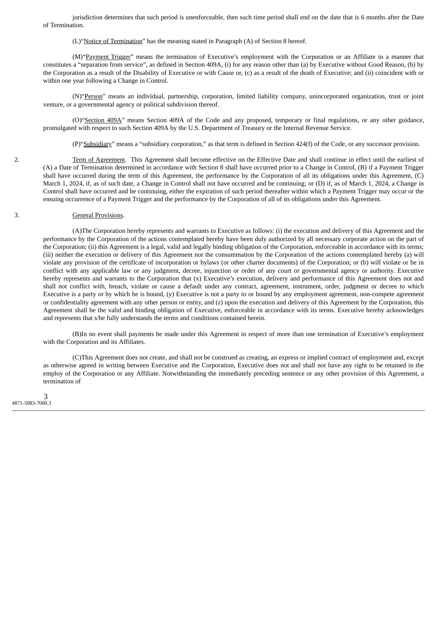jurisdiction determines that such period is unenforceable, then such time period shall end on the date that is 6 months after the Date of Termination.

(L)"Notice of Termination" has the meaning stated in Paragraph (A) of Section 8 hereof.

(M)"Payment Trigger" means the termination of Executive's employment with the Corporation or an Affiliate in a manner that constitutes a "separation from service", as defined in Section 409A, (i) for any reason other than (a) by Executive without Good Reason, (b) by the Corporation as a result of the Disability of Executive or with Cause or, (c) as a result of the death of Executive; and (ii) coincident with or within one year following a Change in Control.

(N)"Person" means an individual, partnership, corporation, limited liability company, unincorporated organization, trust or joint venture, or a governmental agency or political subdivision thereof.

(O)"Section 409A" means Section 409A of the Code and any proposed, temporary or final regulations, or any other guidance, promulgated with respect to such Section 409A by the U.S. Department of Treasury or the Internal Revenue Service.

(P)"Subsidiary" means a "subsidiary corporation," as that term is defined in Section 424(f) of the Code, or any successor provision.

2. Term of Agreement. This Agreement shall become effective on the Effective Date and shall continue in effect until the earliest of (A) a Date of Termination determined in accordance with Section 8 shall have occurred prior to a Change in Control, (B) if a Payment Trigger shall have occurred during the term of this Agreement, the performance by the Corporation of all its obligations under this Agreement, (C) March 1, 2024, if, as of such date, a Change in Control shall not have occurred and be continuing; or (D) if, as of March 1, 2024, a Change in Control shall have occurred and be continuing, either the expiration of such period thereafter within which a Payment Trigger may occur or the ensuing occurrence of a Payment Trigger and the performance by the Corporation of all of its obligations under this Agreement.

#### 3. General Provisions.

(A)The Corporation hereby represents and warrants to Executive as follows: (i) the execution and delivery of this Agreement and the performance by the Corporation of the actions contemplated hereby have been duly authorized by all necessary corporate action on the part of the Corporation; (ii) this Agreement is a legal, valid and legally binding obligation of the Corporation, enforceable in accordance with its terms; (iii) neither the execution or delivery of this Agreement nor the consummation by the Corporation of the actions contemplated hereby (a) will violate any provision of the certificate of incorporation or bylaws (or other charter documents) of the Corporation; or (b) will violate or be in conflict with any applicable law or any judgment, decree, injunction or order of any court or governmental agency or authority. Executive hereby represents and warrants to the Corporation that (x) Executive's execution, delivery and performance of this Agreement does not and shall not conflict with, breach, violate or cause a default under any contract, agreement, instrument, order, judgment or decree to which Executive is a party or by which he is bound, (y) Executive is not a party to or bound by any employment agreement, non-compete agreement or confidentiality agreement with any other person or entity, and (z) upon the execution and delivery of this Agreement by the Corporation, this Agreement shall be the valid and binding obligation of Executive, enforceable in accordance with its terms. Executive hereby acknowledges and represents that s/he fully understands the terms and conditions contained herein.

(B)In no event shall payments be made under this Agreement in respect of more than one termination of Executive's employment with the Corporation and its Affiliates.

(C)This Agreement does not create, and shall not be construed as creating, an express or implied contract of employment and, except as otherwise agreed in writing between Executive and the Corporation, Executive does not and shall not have any right to be retained in the employ of the Corporation or any Affiliate. Notwithstanding the immediately preceding sentence or any other provision of this Agreement, a termination of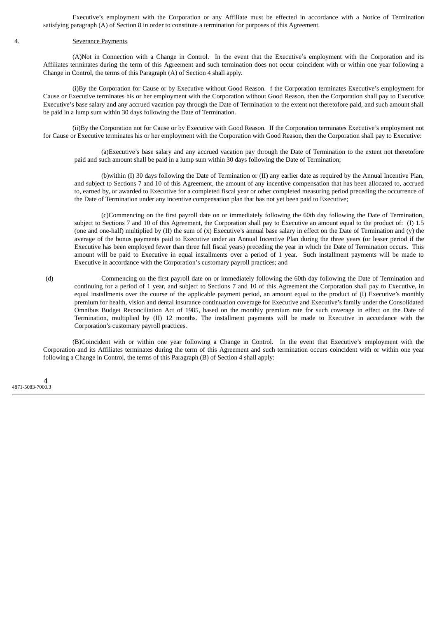Executive's employment with the Corporation or any Affiliate must be effected in accordance with a Notice of Termination satisfying paragraph (A) of Section 8 in order to constitute a termination for purposes of this Agreement.

#### 4. Severance Payments.

(A)Not in Connection with a Change in Control. In the event that the Executive's employment with the Corporation and its Affiliates terminates during the term of this Agreement and such termination does not occur coincident with or within one year following a Change in Control, the terms of this Paragraph (A) of Section 4 shall apply.

(i)By the Corporation for Cause or by Executive without Good Reason. f the Corporation terminates Executive's employment for Cause or Executive terminates his or her employment with the Corporation without Good Reason, then the Corporation shall pay to Executive Executive's base salary and any accrued vacation pay through the Date of Termination to the extent not theretofore paid, and such amount shall be paid in a lump sum within 30 days following the Date of Termination.

(ii)By the Corporation not for Cause or by Executive with Good Reason. If the Corporation terminates Executive's employment not for Cause or Executive terminates his or her employment with the Corporation with Good Reason, then the Corporation shall pay to Executive:

(a)Executive's base salary and any accrued vacation pay through the Date of Termination to the extent not theretofore paid and such amount shall be paid in a lump sum within 30 days following the Date of Termination;

(b)within (I) 30 days following the Date of Termination or (II) any earlier date as required by the Annual Incentive Plan, and subject to Sections 7 and 10 of this Agreement, the amount of any incentive compensation that has been allocated to, accrued to, earned by, or awarded to Executive for a completed fiscal year or other completed measuring period preceding the occurrence of the Date of Termination under any incentive compensation plan that has not yet been paid to Executive;

(c)Commencing on the first payroll date on or immediately following the 60th day following the Date of Termination, subject to Sections 7 and 10 of this Agreement, the Corporation shall pay to Executive an amount equal to the product of: (I) 1.5 (one and one-half) multiplied by  $(II)$  the sum of  $(x)$  Executive's annual base salary in effect on the Date of Termination and  $(y)$  the average of the bonus payments paid to Executive under an Annual Incentive Plan during the three years (or lesser period if the Executive has been employed fewer than three full fiscal years) preceding the year in which the Date of Termination occurs. This amount will be paid to Executive in equal installments over a period of 1 year. Such installment payments will be made to Executive in accordance with the Corporation's customary payroll practices; and

(d) Commencing on the first payroll date on or immediately following the 60th day following the Date of Termination and continuing for a period of 1 year, and subject to Sections 7 and 10 of this Agreement the Corporation shall pay to Executive, in equal installments over the course of the applicable payment period, an amount equal to the product of (I) Executive's monthly premium for health, vision and dental insurance continuation coverage for Executive and Executive's family under the Consolidated Omnibus Budget Reconciliation Act of 1985, based on the monthly premium rate for such coverage in effect on the Date of Termination, multiplied by (II) 12 months. The installment payments will be made to Executive in accordance with the Corporation's customary payroll practices.

(B)Coincident with or within one year following a Change in Control. In the event that Executive's employment with the Corporation and its Affiliates terminates during the term of this Agreement and such termination occurs coincident with or within one year following a Change in Control, the terms of this Paragraph (B) of Section 4 shall apply: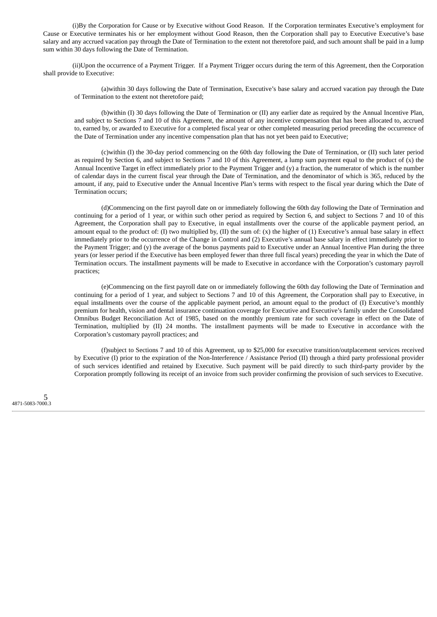(i)By the Corporation for Cause or by Executive without Good Reason. If the Corporation terminates Executive's employment for Cause or Executive terminates his or her employment without Good Reason, then the Corporation shall pay to Executive Executive's base salary and any accrued vacation pay through the Date of Termination to the extent not theretofore paid, and such amount shall be paid in a lump sum within 30 days following the Date of Termination.

(ii)Upon the occurrence of a Payment Trigger. If a Payment Trigger occurs during the term of this Agreement, then the Corporation shall provide to Executive:

(a)within 30 days following the Date of Termination, Executive's base salary and accrued vacation pay through the Date of Termination to the extent not theretofore paid;

(b)within (I) 30 days following the Date of Termination or (II) any earlier date as required by the Annual Incentive Plan, and subject to Sections 7 and 10 of this Agreement, the amount of any incentive compensation that has been allocated to, accrued to, earned by, or awarded to Executive for a completed fiscal year or other completed measuring period preceding the occurrence of the Date of Termination under any incentive compensation plan that has not yet been paid to Executive;

(c)within (I) the 30-day period commencing on the 60th day following the Date of Termination, or (II) such later period as required by Section 6, and subject to Sections 7 and 10 of this Agreement, a lump sum payment equal to the product of  $(x)$  the Annual Incentive Target in effect immediately prior to the Payment Trigger and (y) a fraction, the numerator of which is the number of calendar days in the current fiscal year through the Date of Termination, and the denominator of which is 365, reduced by the amount, if any, paid to Executive under the Annual Incentive Plan's terms with respect to the fiscal year during which the Date of Termination occurs;

(d)Commencing on the first payroll date on or immediately following the 60th day following the Date of Termination and continuing for a period of 1 year, or within such other period as required by Section 6, and subject to Sections 7 and 10 of this Agreement, the Corporation shall pay to Executive, in equal installments over the course of the applicable payment period, an amount equal to the product of: (I) two multiplied by, (II) the sum of:  $(x)$  the higher of  $(1)$  Executive's annual base salary in effect immediately prior to the occurrence of the Change in Control and (2) Executive's annual base salary in effect immediately prior to the Payment Trigger; and (y) the average of the bonus payments paid to Executive under an Annual Incentive Plan during the three years (or lesser period if the Executive has been employed fewer than three full fiscal years) preceding the year in which the Date of Termination occurs. The installment payments will be made to Executive in accordance with the Corporation's customary payroll practices;

(e)Commencing on the first payroll date on or immediately following the 60th day following the Date of Termination and continuing for a period of 1 year, and subject to Sections 7 and 10 of this Agreement, the Corporation shall pay to Executive, in equal installments over the course of the applicable payment period, an amount equal to the product of (I) Executive's monthly premium for health, vision and dental insurance continuation coverage for Executive and Executive's family under the Consolidated Omnibus Budget Reconciliation Act of 1985, based on the monthly premium rate for such coverage in effect on the Date of Termination, multiplied by (II) 24 months. The installment payments will be made to Executive in accordance with the Corporation's customary payroll practices; and

(f)subject to Sections 7 and 10 of this Agreement, up to \$25,000 for executive transition/outplacement services received by Executive (I) prior to the expiration of the Non-Interference / Assistance Period (II) through a third party professional provider of such services identified and retained by Executive. Such payment will be paid directly to such third-party provider by the Corporation promptly following its receipt of an invoice from such provider confirming the provision of such services to Executive.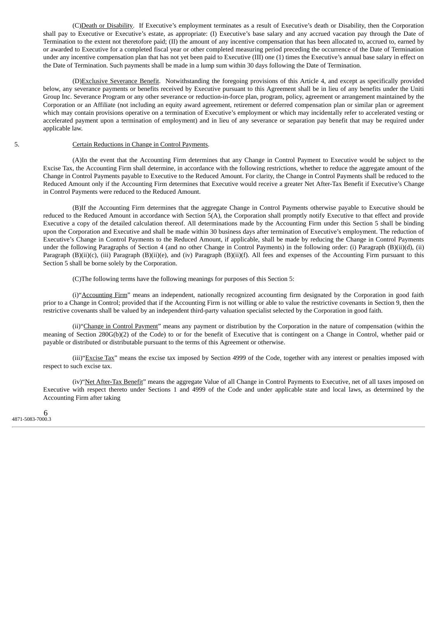(C)Death or Disability. If Executive's employment terminates as a result of Executive's death or Disability, then the Corporation shall pay to Executive or Executive's estate, as appropriate: (I) Executive's base salary and any accrued vacation pay through the Date of Termination to the extent not theretofore paid; (II) the amount of any incentive compensation that has been allocated to, accrued to, earned by or awarded to Executive for a completed fiscal year or other completed measuring period preceding the occurrence of the Date of Termination under any incentive compensation plan that has not yet been paid to Executive (III) one (1) times the Executive's annual base salary in effect on the Date of Termination. Such payments shall be made in a lump sum within 30 days following the Date of Termination.

(D)Exclusive Severance Benefit. Notwithstanding the foregoing provisions of this Article 4, and except as specifically provided below, any severance payments or benefits received by Executive pursuant to this Agreement shall be in lieu of any benefits under the Uniti Group Inc. Severance Program or any other severance or reduction-in-force plan, program, policy, agreement or arrangement maintained by the Corporation or an Affiliate (not including an equity award agreement, retirement or deferred compensation plan or similar plan or agreement which may contain provisions operative on a termination of Executive's employment or which may incidentally refer to accelerated vesting or accelerated payment upon a termination of employment) and in lieu of any severance or separation pay benefit that may be required under applicable law.

#### 5. Certain Reductions in Change in Control Payments.

(A)In the event that the Accounting Firm determines that any Change in Control Payment to Executive would be subject to the Excise Tax, the Accounting Firm shall determine, in accordance with the following restrictions, whether to reduce the aggregate amount of the Change in Control Payments payable to Executive to the Reduced Amount. For clarity, the Change in Control Payments shall be reduced to the Reduced Amount only if the Accounting Firm determines that Executive would receive a greater Net After-Tax Benefit if Executive's Change in Control Payments were reduced to the Reduced Amount.

(B)If the Accounting Firm determines that the aggregate Change in Control Payments otherwise payable to Executive should be reduced to the Reduced Amount in accordance with Section 5(A), the Corporation shall promptly notify Executive to that effect and provide Executive a copy of the detailed calculation thereof. All determinations made by the Accounting Firm under this Section 5 shall be binding upon the Corporation and Executive and shall be made within 30 business days after termination of Executive's employment. The reduction of Executive's Change in Control Payments to the Reduced Amount, if applicable, shall be made by reducing the Change in Control Payments under the following Paragraphs of Section 4 (and no other Change in Control Payments) in the following order: (i) Paragraph (B)(ii)(d), (ii) Paragraph (B)(ii)(c), (iii) Paragraph (B)(ii)(e), and (iv) Paragraph (B)(ii)(f). All fees and expenses of the Accounting Firm pursuant to this Section 5 shall be borne solely by the Corporation.

(C)The following terms have the following meanings for purposes of this Section 5:

(i)"Accounting Firm" means an independent, nationally recognized accounting firm designated by the Corporation in good faith prior to a Change in Control; provided that if the Accounting Firm is not willing or able to value the restrictive covenants in Section 9, then the restrictive covenants shall be valued by an independent third-party valuation specialist selected by the Corporation in good faith.

(ii)"Change in Control Payment" means any payment or distribution by the Corporation in the nature of compensation (within the meaning of Section 280G(b)(2) of the Code) to or for the benefit of Executive that is contingent on a Change in Control, whether paid or payable or distributed or distributable pursuant to the terms of this Agreement or otherwise.

(iii)"Excise Tax" means the excise tax imposed by Section 4999 of the Code, together with any interest or penalties imposed with respect to such excise tax.

(iv)"Net After-Tax Benefit" means the aggregate Value of all Change in Control Payments to Executive, net of all taxes imposed on Executive with respect thereto under Sections 1 and 4999 of the Code and under applicable state and local laws, as determined by the Accounting Firm after taking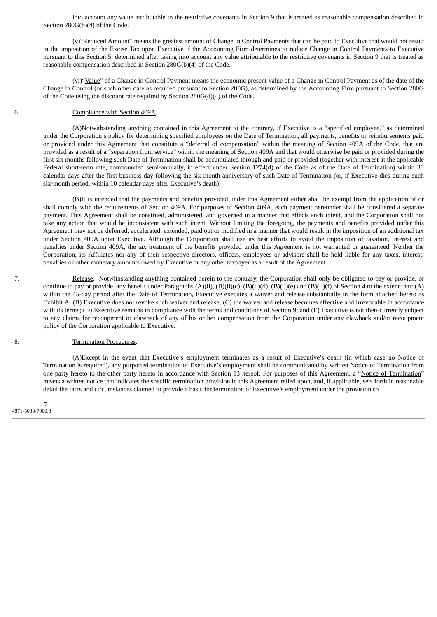into account any value attributable to the restrictive covenants in Section 9 that is treated as reasonable compensation described in Section 280G(b)(4) of the Code.

(v)"Reduced Amount" means the greatest amount of Change in Control Payments that can be paid to Executive that would not result in the imposition of the Excise Tax upon Executive if the Accounting Firm determines to reduce Change in Control Payments to Executive pursuant to this Section 5, determined after taking into account any value attributable to the restrictive covenants in Section 9 that is treated as reasonable compensation described in Section 280G(b)(4) of the Code.

(vi)"Value" of a Change in Control Payment means the economic present value of a Change in Control Payment as of the date of the Change in Control (or such other date as required pursuant to Section 280G), as determined by the Accounting Firm pursuant to Section 280G of the Code using the discount rate required by Section 280G(d)(4) of the Code.

#### 6. Compliance with Section 409A.

(A)Notwithstanding anything contained in this Agreement to the contrary, if Executive is a "specified employee," as determined under the Corporation's policy for determining specified employees on the Date of Termination, all payments, benefits or reimbursements paid or provided under this Agreement that constitute a "deferral of compensation" within the meaning of Section 409A of the Code, that are provided as a result of a "separation from service" within the meaning of Section 409A and that would otherwise be paid or provided during the first six months following such Date of Termination shall be accumulated through and paid or provided (together with interest at the applicable Federal short-term rate, compounded semi-annually, in effect under Section 1274(d) of the Code as of the Date of Termination) within 30 calendar days after the first business day following the six month anniversary of such Date of Termination (or, if Executive dies during such six-month period, within 10 calendar days after Executive's death).

(B)It is intended that the payments and benefits provided under this Agreement either shall be exempt from the application of or shall comply with the requirements of Section 409A. For purposes of Section 409A, each payment hereunder shall be considered a separate payment. This Agreement shall be construed, administered, and governed in a manner that effects such intent, and the Corporation shall not take any action that would be inconsistent with such intent. Without limiting the foregoing, the payments and benefits provided under this Agreement may not be deferred, accelerated, extended, paid out or modified in a manner that would result in the imposition of an additional tax under Section 409A upon Executive. Although the Corporation shall use its best efforts to avoid the imposition of taxation, interest and penalties under Section 409A, the tax treatment of the benefits provided under this Agreement is not warranted or guaranteed. Neither the Corporation, its Affiliates nor any of their respective directors, officers, employees or advisors shall be held liable for any taxes, interest, penalties or other monetary amounts owed by Executive or any other taxpayer as a result of the Agreement.

7. Release. Notwithstanding anything contained herein to the contrary, the Corporation shall only be obligated to pay or provide, or continue to pay or provide, any benefit under Paragraphs (A)(ii), (B)(ii)(c), (B)(ii)(d), (B)(ii)(e) and (B)(ii)(f) of Section 4 to the extent that: (A) within the 45-day period after the Date of Termination, Executive executes a waiver and release substantially in the form attached hereto as Exhibit A; (B) Executive does not revoke such waiver and release; (C) the waiver and release becomes effective and irrevocable in accordance with its terms; (D) Executive remains in compliance with the terms and conditions of Section 9; and (E) Executive is not then-currently subject to any claims for recoupment or clawback of any of his or her compensation from the Corporation under any clawback and/or recoupment policy of the Corporation applicable to Executive.

#### 8. Termination Procedures.

(A)Except in the event that Executive's employment terminates as a result of Executive's death (in which case no Notice of Termination is required), any purported termination of Executive's employment shall be communicated by written Notice of Termination from one party hereto to the other party hereto in accordance with Section 13 hereof. For purposes of this Agreement, a "Notice of Termination" means a written notice that indicates the specific termination provision in this Agreement relied upon, and, if applicable, sets forth in reasonable detail the facts and circumstances claimed to provide a basis for termination of Executive's employment under the provision so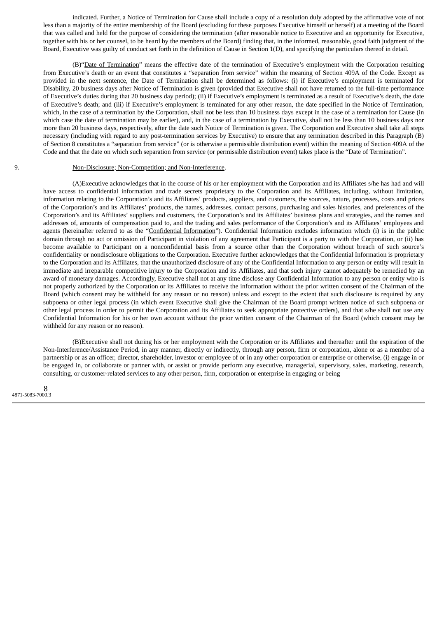indicated. Further, a Notice of Termination for Cause shall include a copy of a resolution duly adopted by the affirmative vote of not less than a majority of the entire membership of the Board (excluding for these purposes Executive himself or herself) at a meeting of the Board that was called and held for the purpose of considering the termination (after reasonable notice to Executive and an opportunity for Executive, together with his or her counsel, to be heard by the members of the Board) finding that, in the informed, reasonable, good faith judgment of the Board, Executive was guilty of conduct set forth in the definition of Cause in Section 1(D), and specifying the particulars thereof in detail.

(B)"Date of Termination" means the effective date of the termination of Executive's employment with the Corporation resulting from Executive's death or an event that constitutes a "separation from service" within the meaning of Section 409A of the Code. Except as provided in the next sentence, the Date of Termination shall be determined as follows: (i) if Executive's employment is terminated for Disability, 20 business days after Notice of Termination is given (provided that Executive shall not have returned to the full-time performance of Executive's duties during that 20 business day period); (ii) if Executive's employment is terminated as a result of Executive's death, the date of Executive's death; and (iii) if Executive's employment is terminated for any other reason, the date specified in the Notice of Termination, which, in the case of a termination by the Corporation, shall not be less than 10 business days except in the case of a termination for Cause (in which case the date of termination may be earlier), and, in the case of a termination by Executive, shall not be less than 10 business days nor more than 20 business days, respectively, after the date such Notice of Termination is given. The Corporation and Executive shall take all steps necessary (including with regard to any post-termination services by Executive) to ensure that any termination described in this Paragraph (B) of Section 8 constitutes a "separation from service" (or is otherwise a permissible distribution event) within the meaning of Section 409A of the Code and that the date on which such separation from service (or permissible distribution event) takes place is the "Date of Termination".

#### 9. Non-Disclosure; Non-Competition; and Non-Interference.

(A)Executive acknowledges that in the course of his or her employment with the Corporation and its Affiliates s/he has had and will have access to confidential information and trade secrets proprietary to the Corporation and its Affiliates, including, without limitation, information relating to the Corporation's and its Affiliates' products, suppliers, and customers, the sources, nature, processes, costs and prices of the Corporation's and its Affiliates' products, the names, addresses, contact persons, purchasing and sales histories, and preferences of the Corporation's and its Affiliates' suppliers and customers, the Corporation's and its Affiliates' business plans and strategies, and the names and addresses of, amounts of compensation paid to, and the trading and sales performance of the Corporation's and its Affiliates' employees and agents (hereinafter referred to as the "Confidential Information"). Confidential Information excludes information which (i) is in the public domain through no act or omission of Participant in violation of any agreement that Participant is a party to with the Corporation, or (ii) has become available to Participant on a nonconfidential basis from a source other than the Corporation without breach of such source's confidentiality or nondisclosure obligations to the Corporation. Executive further acknowledges that the Confidential Information is proprietary to the Corporation and its Affiliates, that the unauthorized disclosure of any of the Confidential Information to any person or entity will result in immediate and irreparable competitive injury to the Corporation and its Affiliates, and that such injury cannot adequately be remedied by an award of monetary damages. Accordingly, Executive shall not at any time disclose any Confidential Information to any person or entity who is not properly authorized by the Corporation or its Affiliates to receive the information without the prior written consent of the Chairman of the Board (which consent may be withheld for any reason or no reason) unless and except to the extent that such disclosure is required by any subpoena or other legal process (in which event Executive shall give the Chairman of the Board prompt written notice of such subpoena or other legal process in order to permit the Corporation and its Affiliates to seek appropriate protective orders), and that s/he shall not use any Confidential Information for his or her own account without the prior written consent of the Chairman of the Board (which consent may be withheld for any reason or no reason).

(B)Executive shall not during his or her employment with the Corporation or its Affiliates and thereafter until the expiration of the Non-Interference/Assistance Period, in any manner, directly or indirectly, through any person, firm or corporation, alone or as a member of a partnership or as an officer, director, shareholder, investor or employee of or in any other corporation or enterprise or otherwise, (i) engage in or be engaged in, or collaborate or partner with, or assist or provide perform any executive, managerial, supervisory, sales, marketing, research, consulting, or customer-related services to any other person, firm, corporation or enterprise in engaging or being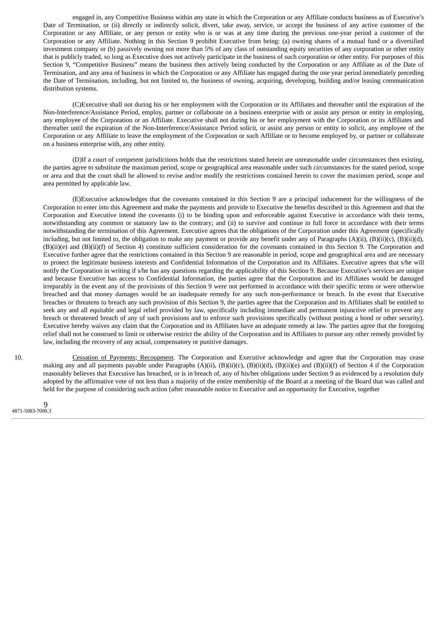engaged in, any Competitive Business within any state in which the Corporation or any Affiliate conducts business as of Executive's Date of Termination, or (ii) directly or indirectly solicit, divert, take away, service, or accept the business of any active customer of the Corporation or any Affiliate, or any person or entity who is or was at any time during the previous one-year period a customer of the Corporation or any Affiliate. Nothing in this Section 9 prohibit Executive from being: (a) owning shares of a mutual fund or a diversified investment company or (b) passively owning not more than 5% of any class of outstanding equity securities of any corporation or other entity that is publicly traded, so long as Executive does not actively participate in the business of such corporation or other entity. For purposes of this Section 9, "Competitive Business" means the business then actively being conducted by the Corporation or any Affiliate as of the Date of Termination, and any area of business in which the Corporation or any Affiliate has engaged during the one year period immediately preceding the Date of Termination, including, but not limited to, the business of owning, acquiring, developing, building and/or leasing communication distribution systems.

(C)Executive shall not during his or her employment with the Corporation or its Affiliates and thereafter until the expiration of the Non-Interference/Assistance Period, employ, partner or collaborate on a business enterprise with or assist any person or entity in employing, any employee of the Corporation or an Affiliate. Executive shall not during his or her employment with the Corporation or its Affiliates and thereafter until the expiration of the Non-Interference/Assistance Period solicit, or assist any person or entity to solicit, any employee of the Corporation or any Affiliate to leave the employment of the Corporation or such Affiliate or to become employed by, or partner or collaborate on a business enterprise with, any other entity.

(D)If a court of competent jurisdictions holds that the restrictions stated herein are unreasonable under circumstances then existing, the parties agree to substitute the maximum period, scope or geographical area reasonable under such circumstances for the stated period, scope or area and that the court shall be allowed to revise and/or modify the restrictions contained herein to cover the maximum period, scope and area permitted by applicable law.

(E)Executive acknowledges that the covenants contained in this Section 9 are a principal inducement for the willingness of the Corporation to enter into this Agreement and make the payments and provide to Executive the benefits described in this Agreement and that the Corporation and Executive intend the covenants (i) to be binding upon and enforceable against Executive in accordance with their terms, notwithstanding any common or statutory law to the contrary; and (ii) to survive and continue in full force in accordance with their terms notwithstanding the termination of this Agreement. Executive agrees that the obligations of the Corporation under this Agreement (specifically including, but not limited to, the obligation to make any payment or provide any benefit under any of Paragraphs (A)(ii), (B)(ii)(c), (B)(ii)(d), (B)(ii)(e) and (B)(ii)(f) of Section 4) constitute sufficient consideration for the covenants contained in this Section 9. The Corporation and Executive further agree that the restrictions contained in this Section 9 are reasonable in period, scope and geographical area and are necessary to protect the legitimate business interests and Confidential Information of the Corporation and its Affiliates. Executive agrees that s/he will notify the Corporation in writing if s/he has any questions regarding the applicability of this Section 9. Because Executive's services are unique and because Executive has access to Confidential Information, the parties agree that the Corporation and its Affiliates would be damaged irreparably in the event any of the provisions of this Section 9 were not performed in accordance with their specific terms or were otherwise breached and that money damages would be an inadequate remedy for any such non-performance or breach. In the event that Executive breaches or threatens to breach any such provision of this Section 9, the parties agree that the Corporation and its Affiliates shall be entitled to seek any and all equitable and legal relief provided by law, specifically including immediate and permanent injunctive relief to prevent any breach or threatened breach of any of such provisions and to enforce such provisions specifically (without posting a bond or other security). Executive hereby waives any claim that the Corporation and its Affiliates have an adequate remedy at law. The parties agree that the foregoing relief shall not be construed to limit or otherwise restrict the ability of the Corporation and its Affiliates to pursue any other remedy provided by law, including the recovery of any actual, compensatory or punitive damages.

10. Cessation of Payments; Recoupment. The Corporation and Executive acknowledge and agree that the Corporation may cease making any and all payments payable under Paragraphs (A)(ii), (B)(ii)(c), (B)(ii)(d), (B)(ii)(e) and (B)(ii)(f) of Section 4 if the Corporation reasonably believes that Executive has breached, or is in breach of, any of his/her obligations under Section 9 as evidenced by a resolution duly adopted by the affirmative vote of not less than a majority of the entire membership of the Board at a meeting of the Board that was called and held for the purpose of considering such action (after reasonable notice to Executive and an opportunity for Executive, together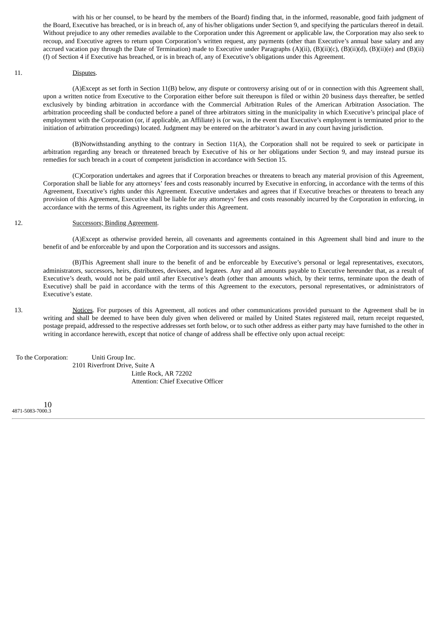with his or her counsel, to be heard by the members of the Board) finding that, in the informed, reasonable, good faith judgment of the Board, Executive has breached, or is in breach of, any of his/her obligations under Section 9, and specifying the particulars thereof in detail. Without prejudice to any other remedies available to the Corporation under this Agreement or applicable law, the Corporation may also seek to recoup, and Executive agrees to return upon Corporation's written request, any payments (other than Executive's annual base salary and any accrued vacation pay through the Date of Termination) made to Executive under Paragraphs  $(A)(ii)$ ,  $(B)(ii)(c)$ ,  $(B)(ii)(d)$ ,  $(B)(ii)(e)$  and  $(B)(ii)$ (f) of Section 4 if Executive has breached, or is in breach of, any of Executive's obligations under this Agreement.

#### 11. Disputes.

(A)Except as set forth in Section 11(B) below, any dispute or controversy arising out of or in connection with this Agreement shall, upon a written notice from Executive to the Corporation either before suit thereupon is filed or within 20 business days thereafter, be settled exclusively by binding arbitration in accordance with the Commercial Arbitration Rules of the American Arbitration Association. The arbitration proceeding shall be conducted before a panel of three arbitrators sitting in the municipality in which Executive's principal place of employment with the Corporation (or, if applicable, an Affiliate) is (or was, in the event that Executive's employment is terminated prior to the initiation of arbitration proceedings) located. Judgment may be entered on the arbitrator's award in any court having jurisdiction.

(B)Notwithstanding anything to the contrary in Section 11(A), the Corporation shall not be required to seek or participate in arbitration regarding any breach or threatened breach by Executive of his or her obligations under Section 9, and may instead pursue its remedies for such breach in a court of competent jurisdiction in accordance with Section 15.

(C)Corporation undertakes and agrees that if Corporation breaches or threatens to breach any material provision of this Agreement, Corporation shall be liable for any attorneys' fees and costs reasonably incurred by Executive in enforcing, in accordance with the terms of this Agreement, Executive's rights under this Agreement. Executive undertakes and agrees that if Executive breaches or threatens to breach any provision of this Agreement, Executive shall be liable for any attorneys' fees and costs reasonably incurred by the Corporation in enforcing, in accordance with the terms of this Agreement, its rights under this Agreement.

#### 12. Successors; Binding Agreement.

(A)Except as otherwise provided herein, all covenants and agreements contained in this Agreement shall bind and inure to the benefit of and be enforceable by and upon the Corporation and its successors and assigns.

(B)This Agreement shall inure to the benefit of and be enforceable by Executive's personal or legal representatives, executors, administrators, successors, heirs, distributees, devisees, and legatees. Any and all amounts payable to Executive hereunder that, as a result of Executive's death, would not be paid until after Executive's death (other than amounts which, by their terms, terminate upon the death of Executive) shall be paid in accordance with the terms of this Agreement to the executors, personal representatives, or administrators of Executive's estate.

13. Notices. For purposes of this Agreement, all notices and other communications provided pursuant to the Agreement shall be in writing and shall be deemed to have been duly given when delivered or mailed by United States registered mail, return receipt requested, postage prepaid, addressed to the respective addresses set forth below, or to such other address as either party may have furnished to the other in writing in accordance herewith, except that notice of change of address shall be effective only upon actual receipt:

To the Corporation: Uniti Group Inc. 2101 Riverfront Drive, Suite A Little Rock, AR 72202 Attention: Chief Executive Officer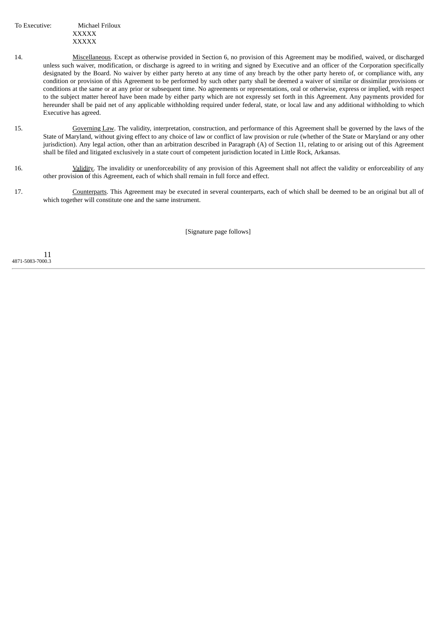To Executive: Michael Friloux XXXXX XXXXX

- 14. Miscellaneous. Except as otherwise provided in Section 6, no provision of this Agreement may be modified, waived, or discharged unless such waiver, modification, or discharge is agreed to in writing and signed by Executive and an officer of the Corporation specifically designated by the Board. No waiver by either party hereto at any time of any breach by the other party hereto of, or compliance with, any condition or provision of this Agreement to be performed by such other party shall be deemed a waiver of similar or dissimilar provisions or conditions at the same or at any prior or subsequent time. No agreements or representations, oral or otherwise, express or implied, with respect to the subject matter hereof have been made by either party which are not expressly set forth in this Agreement. Any payments provided for hereunder shall be paid net of any applicable withholding required under federal, state, or local law and any additional withholding to which Executive has agreed.
- 15. Governing Law. The validity, interpretation, construction, and performance of this Agreement shall be governed by the laws of the State of Maryland, without giving effect to any choice of law or conflict of law provision or rule (whether of the State or Maryland or any other jurisdiction). Any legal action, other than an arbitration described in Paragraph (A) of Section 11, relating to or arising out of this Agreement shall be filed and litigated exclusively in a state court of competent jurisdiction located in Little Rock, Arkansas.
- 16. Validity. The invalidity or unenforceability of any provision of this Agreement shall not affect the validity or enforceability of any other provision of this Agreement, each of which shall remain in full force and effect.
- 17. Counterparts. This Agreement may be executed in several counterparts, each of which shall be deemed to be an original but all of which together will constitute one and the same instrument.

[Signature page follows]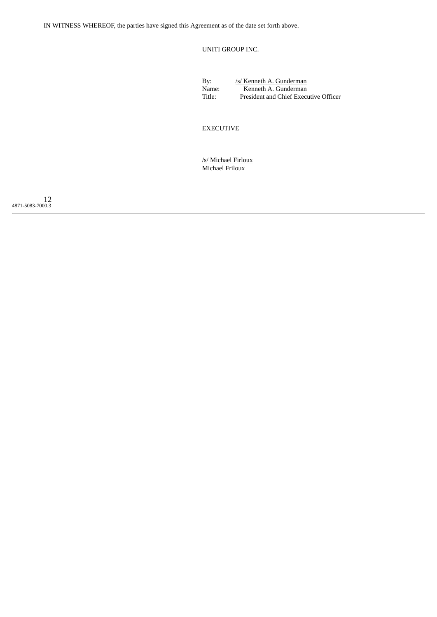IN WITNESS WHEREOF, the parties have signed this Agreement as of the date set forth above.

UNITI GROUP INC.

By: /s/ Kenneth A. Gunderman<br>Name: Kenneth A. Gunderman Name: Kenneth A. Gunderman<br>Title: President and Chief Execu President and Chief Executive Officer

EXECUTIVE

/s/ Michael Firloux Michael Friloux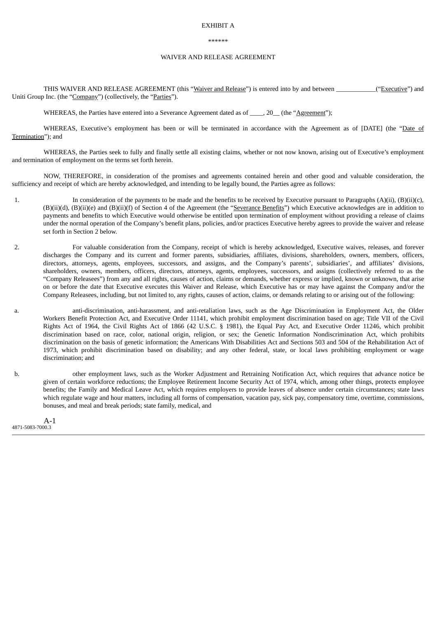#### EXHIBIT A

#### \*\*\*\*\*\*

#### WAIVER AND RELEASE AGREEMENT

THIS WAIVER AND RELEASE AGREEMENT (this "Waiver and Release") is entered into by and between \_\_\_\_\_\_\_\_\_\_("Executive") and Uniti Group Inc. (the "Company") (collectively, the "Parties").

WHEREAS, the Parties have entered into a Severance Agreement dated as of  $\qquad$ , 20 (the "Agreement");

WHEREAS, Executive's employment has been or will be terminated in accordance with the Agreement as of [DATE] (the "Date of Termination"); and

WHEREAS, the Parties seek to fully and finally settle all existing claims, whether or not now known, arising out of Executive's employment and termination of employment on the terms set forth herein.

NOW, THEREFORE, in consideration of the promises and agreements contained herein and other good and valuable consideration, the sufficiency and receipt of which are hereby acknowledged, and intending to be legally bound, the Parties agree as follows:

- 1. In consideration of the payments to be made and the benefits to be received by Executive pursuant to Paragraphs (A)(ii), (B)(ii)(c), (B)(ii)(d), (B)(ii)(e) and (B)(ii)(f) of Section 4 of the Agreement (the "Severance Benefits") which Executive acknowledges are in addition to payments and benefits to which Executive would otherwise be entitled upon termination of employment without providing a release of claims under the normal operation of the Company's benefit plans, policies, and/or practices Executive hereby agrees to provide the waiver and release set forth in Section 2 below.
- 2. For valuable consideration from the Company, receipt of which is hereby acknowledged, Executive waives, releases, and forever discharges the Company and its current and former parents, subsidiaries, affiliates, divisions, shareholders, owners, members, officers, directors, attorneys, agents, employees, successors, and assigns, and the Company's parents', subsidiaries', and affiliates' divisions, shareholders, owners, members, officers, directors, attorneys, agents, employees, successors, and assigns (collectively referred to as the "Company Releasees") from any and all rights, causes of action, claims or demands, whether express or implied, known or unknown, that arise on or before the date that Executive executes this Waiver and Release, which Executive has or may have against the Company and/or the Company Releasees, including, but not limited to, any rights, causes of action, claims, or demands relating to or arising out of the following:
- a. anti-discrimination, anti-harassment, and anti-retaliation laws, such as the Age Discrimination in Employment Act, the Older Workers Benefit Protection Act, and Executive Order 11141, which prohibit employment discrimination based on age; Title VII of the Civil Rights Act of 1964, the Civil Rights Act of 1866 (42 U.S.C. § 1981), the Equal Pay Act, and Executive Order 11246, which prohibit discrimination based on race, color, national origin, religion, or sex; the Genetic Information Nondiscrimination Act, which prohibits discrimination on the basis of genetic information; the Americans With Disabilities Act and Sections 503 and 504 of the Rehabilitation Act of 1973, which prohibit discrimination based on disability; and any other federal, state, or local laws prohibiting employment or wage discrimination; and
- b. other employment laws, such as the Worker Adjustment and Retraining Notification Act, which requires that advance notice be given of certain workforce reductions; the Employee Retirement Income Security Act of 1974, which, among other things, protects employee benefits; the Family and Medical Leave Act, which requires employers to provide leaves of absence under certain circumstances; state laws which regulate wage and hour matters, including all forms of compensation, vacation pay, sick pay, compensatory time, overtime, commissions, bonuses, and meal and break periods; state family, medical, and

A-1 4871-5083-7000.3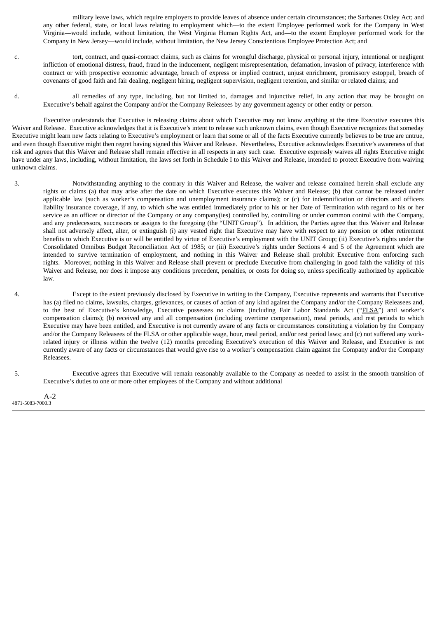military leave laws, which require employers to provide leaves of absence under certain circumstances; the Sarbanes Oxley Act; and any other federal, state, or local laws relating to employment which—to the extent Employee performed work for the Company in West Virginia—would include, without limitation, the West Virginia Human Rights Act, and—to the extent Employee performed work for the Company in New Jersey—would include, without limitation, the New Jersey Conscientious Employee Protection Act; and

- c. tort, contract, and quasi-contract claims, such as claims for wrongful discharge, physical or personal injury, intentional or negligent infliction of emotional distress, fraud, fraud in the inducement, negligent misrepresentation, defamation, invasion of privacy, interference with contract or with prospective economic advantage, breach of express or implied contract, unjust enrichment, promissory estoppel, breach of covenants of good faith and fair dealing, negligent hiring, negligent supervision, negligent retention, and similar or related claims; and
- d. all remedies of any type, including, but not limited to, damages and injunctive relief, in any action that may be brought on Executive's behalf against the Company and/or the Company Releasees by any government agency or other entity or person.

Executive understands that Executive is releasing claims about which Executive may not know anything at the time Executive executes this Waiver and Release. Executive acknowledges that it is Executive's intent to release such unknown claims, even though Executive recognizes that someday Executive might learn new facts relating to Executive's employment or learn that some or all of the facts Executive currently believes to be true are untrue, and even though Executive might then regret having signed this Waiver and Release. Nevertheless, Executive acknowledges Executive's awareness of that risk and agrees that this Waiver and Release shall remain effective in all respects in any such case. Executive expressly waives all rights Executive might have under any laws, including, without limitation, the laws set forth in Schedule I to this Waiver and Release, intended to protect Executive from waiving unknown claims.

- 3. Notwithstanding anything to the contrary in this Waiver and Release, the waiver and release contained herein shall exclude any rights or claims (a) that may arise after the date on which Executive executes this Waiver and Release; (b) that cannot be released under applicable law (such as worker's compensation and unemployment insurance claims); or (c) for indemnification or directors and officers liability insurance coverage, if any, to which s/he was entitled immediately prior to his or her Date of Termination with regard to his or her service as an officer or director of the Company or any company(ies) controlled by, controlling or under common control with the Company, and any predecessors, successors or assigns to the foregoing (the "UNIT Group"). In addition, the Parties agree that this Waiver and Release shall not adversely affect, alter, or extinguish (i) any vested right that Executive may have with respect to any pension or other retirement benefits to which Executive is or will be entitled by virtue of Executive's employment with the UNIT Group; (ii) Executive's rights under the Consolidated Omnibus Budget Reconciliation Act of 1985; or (iii) Executive's rights under Sections 4 and 5 of the Agreement which are intended to survive termination of employment, and nothing in this Waiver and Release shall prohibit Executive from enforcing such rights. Moreover, nothing in this Waiver and Release shall prevent or preclude Executive from challenging in good faith the validity of this Waiver and Release, nor does it impose any conditions precedent, penalties, or costs for doing so, unless specifically authorized by applicable law.
- 4. Except to the extent previously disclosed by Executive in writing to the Company, Executive represents and warrants that Executive has (a) filed no claims, lawsuits, charges, grievances, or causes of action of any kind against the Company and/or the Company Releasees and, to the best of Executive's knowledge, Executive possesses no claims (including Fair Labor Standards Act ("FLSA") and worker's compensation claims); (b) received any and all compensation (including overtime compensation), meal periods, and rest periods to which Executive may have been entitled, and Executive is not currently aware of any facts or circumstances constituting a violation by the Company and/or the Company Releasees of the FLSA or other applicable wage, hour, meal period, and/or rest period laws; and (c) not suffered any workrelated injury or illness within the twelve (12) months preceding Executive's execution of this Waiver and Release, and Executive is not currently aware of any facts or circumstances that would give rise to a worker's compensation claim against the Company and/or the Company Releasees.

5. Executive agrees that Executive will remain reasonably available to the Company as needed to assist in the smooth transition of Executive's duties to one or more other employees of the Company and without additional

A-2 4871-5083-7000.3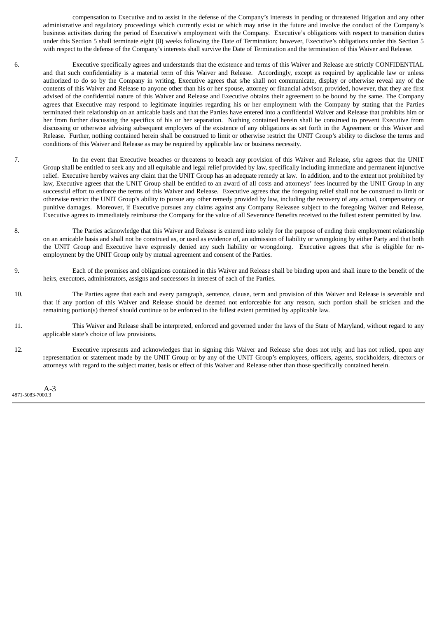compensation to Executive and to assist in the defense of the Company's interests in pending or threatened litigation and any other administrative and regulatory proceedings which currently exist or which may arise in the future and involve the conduct of the Company's business activities during the period of Executive's employment with the Company. Executive's obligations with respect to transition duties under this Section 5 shall terminate eight (8) weeks following the Date of Termination; however, Executive's obligations under this Section 5 with respect to the defense of the Company's interests shall survive the Date of Termination and the termination of this Waiver and Release.

6. Executive specifically agrees and understands that the existence and terms of this Waiver and Release are strictly CONFIDENTIAL and that such confidentiality is a material term of this Waiver and Release. Accordingly, except as required by applicable law or unless authorized to do so by the Company in writing, Executive agrees that s/he shall not communicate, display or otherwise reveal any of the contents of this Waiver and Release to anyone other than his or her spouse, attorney or financial advisor, provided, however, that they are first advised of the confidential nature of this Waiver and Release and Executive obtains their agreement to be bound by the same. The Company agrees that Executive may respond to legitimate inquiries regarding his or her employment with the Company by stating that the Parties terminated their relationship on an amicable basis and that the Parties have entered into a confidential Waiver and Release that prohibits him or her from further discussing the specifics of his or her separation. Nothing contained herein shall be construed to prevent Executive from discussing or otherwise advising subsequent employers of the existence of any obligations as set forth in the Agreement or this Waiver and Release. Further, nothing contained herein shall be construed to limit or otherwise restrict the UNIT Group's ability to disclose the terms and conditions of this Waiver and Release as may be required by applicable law or business necessity.

- 7. In the event that Executive breaches or threatens to breach any provision of this Waiver and Release, s/he agrees that the UNIT Group shall be entitled to seek any and all equitable and legal relief provided by law, specifically including immediate and permanent injunctive relief. Executive hereby waives any claim that the UNIT Group has an adequate remedy at law. In addition, and to the extent not prohibited by law, Executive agrees that the UNIT Group shall be entitled to an award of all costs and attorneys' fees incurred by the UNIT Group in any successful effort to enforce the terms of this Waiver and Release. Executive agrees that the foregoing relief shall not be construed to limit or otherwise restrict the UNIT Group's ability to pursue any other remedy provided by law, including the recovery of any actual, compensatory or punitive damages. Moreover, if Executive pursues any claims against any Company Releasee subject to the foregoing Waiver and Release, Executive agrees to immediately reimburse the Company for the value of all Severance Benefits received to the fullest extent permitted by law.
- 8. The Parties acknowledge that this Waiver and Release is entered into solely for the purpose of ending their employment relationship on an amicable basis and shall not be construed as, or used as evidence of, an admission of liability or wrongdoing by either Party and that both the UNIT Group and Executive have expressly denied any such liability or wrongdoing. Executive agrees that s/he is eligible for reemployment by the UNIT Group only by mutual agreement and consent of the Parties.
- 9. Each of the promises and obligations contained in this Waiver and Release shall be binding upon and shall inure to the benefit of the heirs, executors, administrators, assigns and successors in interest of each of the Parties.
- 10. The Parties agree that each and every paragraph, sentence, clause, term and provision of this Waiver and Release is severable and that if any portion of this Waiver and Release should be deemed not enforceable for any reason, such portion shall be stricken and the remaining portion(s) thereof should continue to be enforced to the fullest extent permitted by applicable law.
- 11. This Waiver and Release shall be interpreted, enforced and governed under the laws of the State of Maryland, without regard to any applicable state's choice of law provisions.
- 12. Executive represents and acknowledges that in signing this Waiver and Release s/he does not rely, and has not relied, upon any representation or statement made by the UNIT Group or by any of the UNIT Group's employees, officers, agents, stockholders, directors or attorneys with regard to the subject matter, basis or effect of this Waiver and Release other than those specifically contained herein.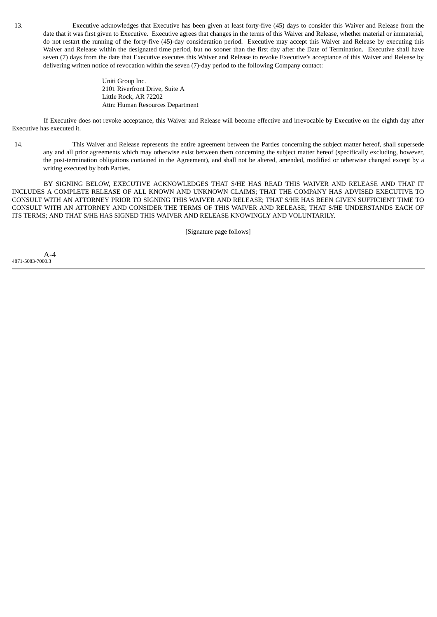13. Executive acknowledges that Executive has been given at least forty-five (45) days to consider this Waiver and Release from the date that it was first given to Executive. Executive agrees that changes in the terms of this Waiver and Release, whether material or immaterial, do not restart the running of the forty-five (45)-day consideration period. Executive may accept this Waiver and Release by executing this Waiver and Release within the designated time period, but no sooner than the first day after the Date of Termination. Executive shall have seven (7) days from the date that Executive executes this Waiver and Release to revoke Executive's acceptance of this Waiver and Release by delivering written notice of revocation within the seven (7)-day period to the following Company contact:

> Uniti Group Inc. 2101 Riverfront Drive, Suite A Little Rock, AR 72202 Attn: Human Resources Department

If Executive does not revoke acceptance, this Waiver and Release will become effective and irrevocable by Executive on the eighth day after Executive has executed it.

14. This Waiver and Release represents the entire agreement between the Parties concerning the subject matter hereof, shall supersede any and all prior agreements which may otherwise exist between them concerning the subject matter hereof (specifically excluding, however, the post-termination obligations contained in the Agreement), and shall not be altered, amended, modified or otherwise changed except by a writing executed by both Parties.

BY SIGNING BELOW, EXECUTIVE ACKNOWLEDGES THAT S/HE HAS READ THIS WAIVER AND RELEASE AND THAT IT INCLUDES A COMPLETE RELEASE OF ALL KNOWN AND UNKNOWN CLAIMS; THAT THE COMPANY HAS ADVISED EXECUTIVE TO CONSULT WITH AN ATTORNEY PRIOR TO SIGNING THIS WAIVER AND RELEASE; THAT S/HE HAS BEEN GIVEN SUFFICIENT TIME TO CONSULT WITH AN ATTORNEY AND CONSIDER THE TERMS OF THIS WAIVER AND RELEASE; THAT S/HE UNDERSTANDS EACH OF ITS TERMS; AND THAT S/HE HAS SIGNED THIS WAIVER AND RELEASE KNOWINGLY AND VOLUNTARILY.

[Signature page follows]

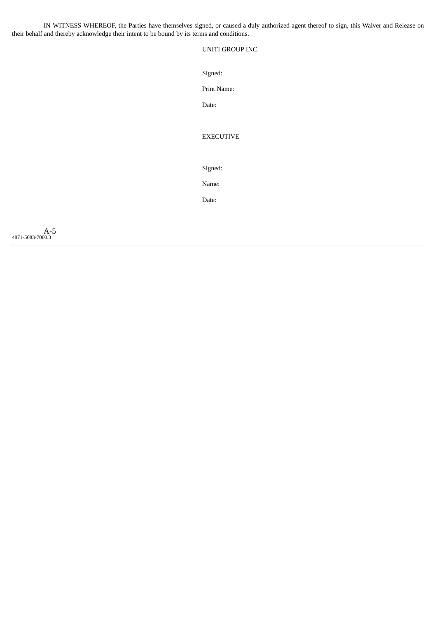IN WITNESS WHEREOF, the Parties have themselves signed, or caused a duly authorized agent thereof to sign, this Waiver and Release on their behalf and thereby acknowledge their intent to be bound by its terms and conditions.

UNITI GROUP INC.

Signed:

Print Name:

Date:

EXECUTIVE

Signed:

Name:

Date:

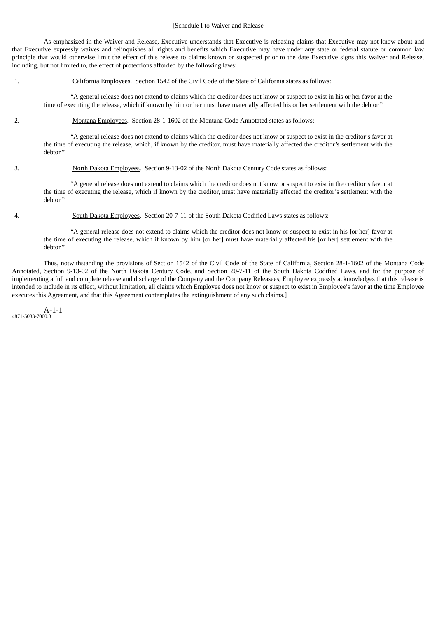#### [Schedule I to Waiver and Release

As emphasized in the Waiver and Release, Executive understands that Executive is releasing claims that Executive may not know about and that Executive expressly waives and relinquishes all rights and benefits which Executive may have under any state or federal statute or common law principle that would otherwise limit the effect of this release to claims known or suspected prior to the date Executive signs this Waiver and Release, including, but not limited to, the effect of protections afforded by the following laws:

1. California Employees. Section 1542 of the Civil Code of the State of California states as follows:

"A general release does not extend to claims which the creditor does not know or suspect to exist in his or her favor at the time of executing the release, which if known by him or her must have materially affected his or her settlement with the debtor."

2. Montana Employees. Section 28-1-1602 of the Montana Code Annotated states as follows:

"A general release does not extend to claims which the creditor does not know or suspect to exist in the creditor's favor at the time of executing the release, which, if known by the creditor, must have materially affected the creditor's settlement with the debtor."

3. North Dakota Employees. Section 9-13-02 of the North Dakota Century Code states as follows:

"A general release does not extend to claims which the creditor does not know or suspect to exist in the creditor's favor at the time of executing the release, which if known by the creditor, must have materially affected the creditor's settlement with the debtor."

4. South Dakota Employees. Section 20-7-11 of the South Dakota Codified Laws states as follows:

"A general release does not extend to claims which the creditor does not know or suspect to exist in his [or her] favor at the time of executing the release, which if known by him [or her] must have materially affected his [or her] settlement with the debtor."

Thus, notwithstanding the provisions of Section 1542 of the Civil Code of the State of California, Section 28-1-1602 of the Montana Code Annotated, Section 9-13-02 of the North Dakota Century Code, and Section 20-7-11 of the South Dakota Codified Laws, and for the purpose of implementing a full and complete release and discharge of the Company and the Company Releasees, Employee expressly acknowledges that this release is intended to include in its effect, without limitation, all claims which Employee does not know or suspect to exist in Employee's favor at the time Employee executes this Agreement, and that this Agreement contemplates the extinguishment of any such claims.]

A-1-1 4871-5083-7000.3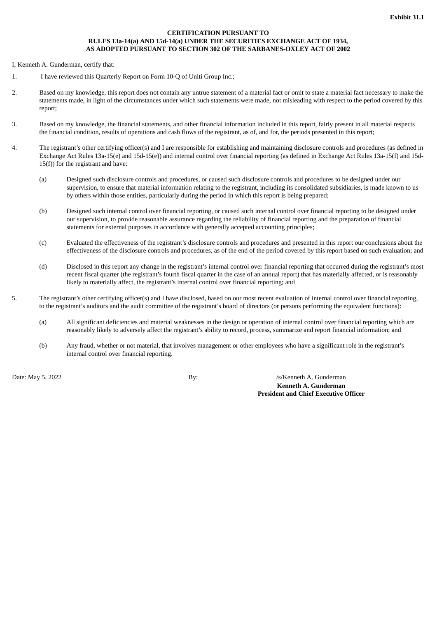#### **CERTIFICATION PURSUANT TO RULES 13a-14(a) AND 15d-14(a) UNDER THE SECURITIES EXCHANGE ACT OF 1934, AS ADOPTED PURSUANT TO SECTION 302 OF THE SARBANES-OXLEY ACT OF 2002**

<span id="page-64-0"></span>I, Kenneth A. Gunderman, certify that:

- 1. I have reviewed this Quarterly Report on Form 10-Q of Uniti Group Inc.;
- 2. Based on my knowledge, this report does not contain any untrue statement of a material fact or omit to state a material fact necessary to make the statements made, in light of the circumstances under which such statements were made, not misleading with respect to the period covered by this report;
- 3. Based on my knowledge, the financial statements, and other financial information included in this report, fairly present in all material respects the financial condition, results of operations and cash flows of the registrant, as of, and for, the periods presented in this report;
- 4. The registrant's other certifying officer(s) and I are responsible for establishing and maintaining disclosure controls and procedures (as defined in Exchange Act Rules 13a-15(e) and 15d-15(e)) and internal control over financial reporting (as defined in Exchange Act Rules 13a-15(f) and 15d-15(f)) for the registrant and have:
	- (a) Designed such disclosure controls and procedures, or caused such disclosure controls and procedures to be designed under our supervision, to ensure that material information relating to the registrant, including its consolidated subsidiaries, is made known to us by others within those entities, particularly during the period in which this report is being prepared;
	- (b) Designed such internal control over financial reporting, or caused such internal control over financial reporting to be designed under our supervision, to provide reasonable assurance regarding the reliability of financial reporting and the preparation of financial statements for external purposes in accordance with generally accepted accounting principles;
	- (c) Evaluated the effectiveness of the registrant's disclosure controls and procedures and presented in this report our conclusions about the effectiveness of the disclosure controls and procedures, as of the end of the period covered by this report based on such evaluation; and
	- (d) Disclosed in this report any change in the registrant's internal control over financial reporting that occurred during the registrant's most recent fiscal quarter (the registrant's fourth fiscal quarter in the case of an annual report) that has materially affected, or is reasonably likely to materially affect, the registrant's internal control over financial reporting; and
- 5. The registrant's other certifying officer(s) and I have disclosed, based on our most recent evaluation of internal control over financial reporting, to the registrant's auditors and the audit committee of the registrant's board of directors (or persons performing the equivalent functions):
	- (a) All significant deficiencies and material weaknesses in the design or operation of internal control over financial reporting which are reasonably likely to adversely affect the registrant's ability to record, process, summarize and report financial information; and
	- (b) Any fraud, whether or not material, that involves management or other employees who have a significant role in the registrant's internal control over financial reporting.

Date: May 5, 2022 By: *By:* By: /s/Kenneth A. Gunderman

**Kenneth A. Gunderman President and Chief Executive Officer**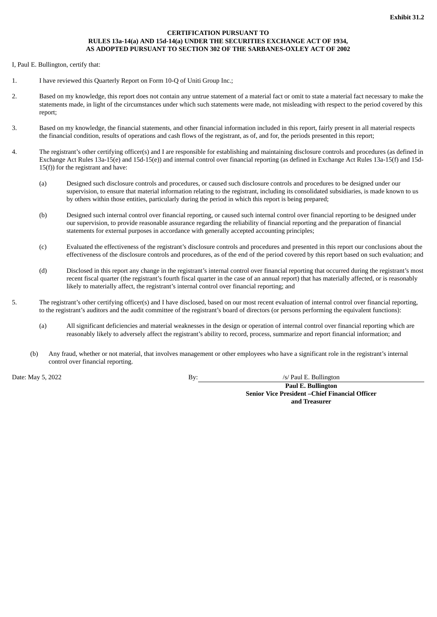#### **CERTIFICATION PURSUANT TO RULES 13a-14(a) AND 15d-14(a) UNDER THE SECURITIES EXCHANGE ACT OF 1934, AS ADOPTED PURSUANT TO SECTION 302 OF THE SARBANES-OXLEY ACT OF 2002**

<span id="page-65-0"></span>I, Paul E. Bullington, certify that:

- 1. I have reviewed this Quarterly Report on Form 10-Q of Uniti Group Inc.;
- 2. Based on my knowledge, this report does not contain any untrue statement of a material fact or omit to state a material fact necessary to make the statements made, in light of the circumstances under which such statements were made, not misleading with respect to the period covered by this report;
- 3. Based on my knowledge, the financial statements, and other financial information included in this report, fairly present in all material respects the financial condition, results of operations and cash flows of the registrant, as of, and for, the periods presented in this report;
- 4. The registrant's other certifying officer(s) and I are responsible for establishing and maintaining disclosure controls and procedures (as defined in Exchange Act Rules 13a-15(e) and 15d-15(e)) and internal control over financial reporting (as defined in Exchange Act Rules 13a-15(f) and 15d-15(f)) for the registrant and have:
	- (a) Designed such disclosure controls and procedures, or caused such disclosure controls and procedures to be designed under our supervision, to ensure that material information relating to the registrant, including its consolidated subsidiaries, is made known to us by others within those entities, particularly during the period in which this report is being prepared;
	- (b) Designed such internal control over financial reporting, or caused such internal control over financial reporting to be designed under our supervision, to provide reasonable assurance regarding the reliability of financial reporting and the preparation of financial statements for external purposes in accordance with generally accepted accounting principles;
	- (c) Evaluated the effectiveness of the registrant's disclosure controls and procedures and presented in this report our conclusions about the effectiveness of the disclosure controls and procedures, as of the end of the period covered by this report based on such evaluation; and
	- (d) Disclosed in this report any change in the registrant's internal control over financial reporting that occurred during the registrant's most recent fiscal quarter (the registrant's fourth fiscal quarter in the case of an annual report) that has materially affected, or is reasonably likely to materially affect, the registrant's internal control over financial reporting; and
- 5. The registrant's other certifying officer(s) and I have disclosed, based on our most recent evaluation of internal control over financial reporting, to the registrant's auditors and the audit committee of the registrant's board of directors (or persons performing the equivalent functions):
	- (a) All significant deficiencies and material weaknesses in the design or operation of internal control over financial reporting which are reasonably likely to adversely affect the registrant's ability to record, process, summarize and report financial information; and
	- (b) Any fraud, whether or not material, that involves management or other employees who have a significant role in the registrant's internal control over financial reporting.

Date: May 5, 2022 **By:** By: *Internal By: By: Internal By: Internal By: Internal By: Internal By: Internal By: Internal By: Internal By: Internal By: Internal By: Internal By: Internal By: Interna* 

**Paul E. Bullington Senior Vice President –Chief Financial Officer and Treasurer**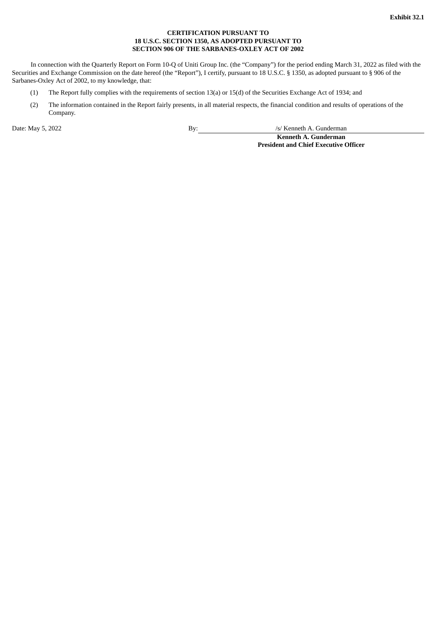#### **CERTIFICATION PURSUANT TO 18 U.S.C. SECTION 1350, AS ADOPTED PURSUANT TO SECTION 906 OF THE SARBANES-OXLEY ACT OF 2002**

<span id="page-66-0"></span>In connection with the Quarterly Report on Form 10-Q of Uniti Group Inc. (the "Company") for the period ending March 31, 2022 as filed with the Securities and Exchange Commission on the date hereof (the "Report"), I certify, pursuant to 18 U.S.C. § 1350, as adopted pursuant to § 906 of the Sarbanes-Oxley Act of 2002, to my knowledge, that:

- (1) The Report fully complies with the requirements of section 13(a) or 15(d) of the Securities Exchange Act of 1934; and
- (2) The information contained in the Report fairly presents, in all material respects, the financial condition and results of operations of the Company.

Date: May 5, 2022 By: /s/ Kenneth A. Gunderman

**Kenneth A. Gunderman President and Chief Executive Officer**